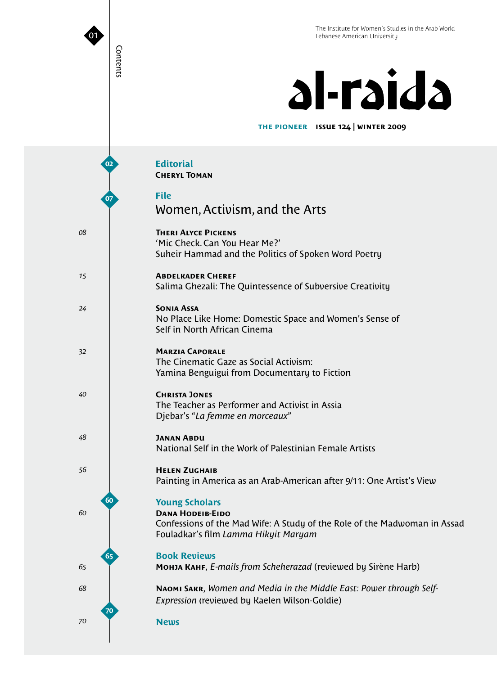# al-raida

**issue 124 | winter 2009 the pioneer**

| 02       | <b>Editorial</b><br><b>CHERYL TOMAN</b>                                                                                                                               |
|----------|-----------------------------------------------------------------------------------------------------------------------------------------------------------------------|
| 07       | <b>File</b><br>Women, Activism, and the Arts                                                                                                                          |
| 08       | <b>THERI ALYCE PICKENS</b><br>'Mic Check. Can You Hear Me?'<br>Suheir Hammad and the Politics of Spoken Word Poetry                                                   |
| 15       | <b>ABDELKADER CHEREF</b><br>Salima Ghezali: The Quintessence of Subversive Creativity                                                                                 |
| 24       | <b>SONIA ASSA</b><br>No Place Like Home: Domestic Space and Women's Sense of<br>Self in North African Cinema                                                          |
| 32       | <b>MARZIA CAPORALE</b><br>The Cinematic Gaze as Social Activism:<br>Yamina Benguigui from Documentary to Fiction                                                      |
| 40       | <b>CHRISTA JONES</b><br>The Teacher as Performer and Activist in Assia<br>Djebar's "La femme en morceaux"                                                             |
| 48       | <b>JANAN ABDU</b><br>National Self in the Work of Palestinian Female Artists                                                                                          |
| 56       | <b>HELEN ZUGHAIB</b><br>Painting in America as an Arab-American after 9/11: One Artist's View                                                                         |
| 60<br>60 | <b>Young Scholars</b><br><b>DANA HODEIB-EIDO</b><br>Confessions of the Mad Wife: A Study of the Role of the Madwoman in Assad<br>Fouladkar's film Lamma Hikyit Maryam |
| 65<br>65 | <b>Book Reviews</b><br>Монла Канг, E-mails from Scheherazad (reviewed by Sirène Harb)                                                                                 |
| 68       | NAOMI SAKR, Women and Media in the Middle East: Power through Self-<br>Expression (reviewed by Kaelen Wilson-Goldie)                                                  |
| 70<br>70 | <b>News</b>                                                                                                                                                           |

Contents

Contents

I

 $\bullet$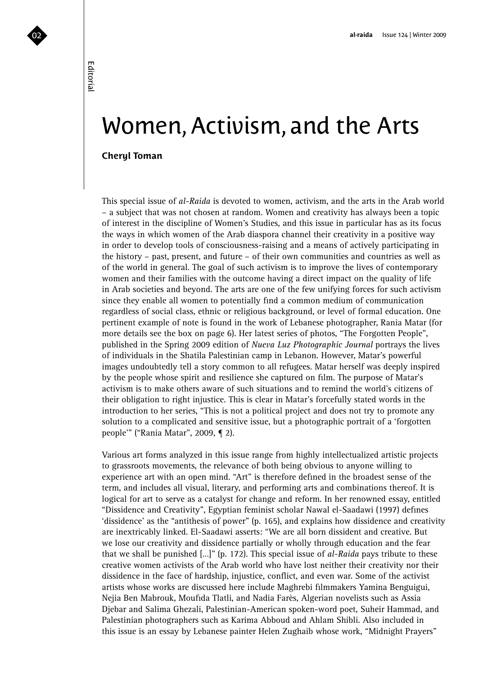# Editorial

## Women, Activism, and the Arts

### **Cheryl Toman**

This special issue of *al-Raida* is devoted to women, activism, and the arts in the Arab world – a subject that was not chosen at random. Women and creativity has always been a topic of interest in the discipline of Women's Studies, and this issue in particular has as its focus the ways in which women of the Arab diaspora channel their creativity in a positive way in order to develop tools of consciousness-raising and a means of actively participating in the history – past, present, and future – of their own communities and countries as well as of the world in general. The goal of such activism is to improve the lives of contemporary women and their families with the outcome having a direct impact on the quality of life in Arab societies and beyond. The arts are one of the few unifying forces for such activism since they enable all women to potentially find a common medium of communication regardless of social class, ethnic or religious background, or level of formal education. One pertinent example of note is found in the work of Lebanese photographer, Rania Matar (for more details see the box on page 6). Her latest series of photos, "The Forgotten People", published in the Spring 2009 edition of *Nueva Luz Photographic Journal* portrays the lives of individuals in the Shatila Palestinian camp in Lebanon. However, Matar's powerful images undoubtedly tell a story common to all refugees. Matar herself was deeply inspired by the people whose spirit and resilience she captured on film. The purpose of Matar's activism is to make others aware of such situations and to remind the world's citizens of their obligation to right injustice. This is clear in Matar's forcefully stated words in the introduction to her series, "This is not a political project and does not try to promote any solution to a complicated and sensitive issue, but a photographic portrait of a 'forgotten people'" ("Rania Matar", 2009, ¶ 2).

Various art forms analyzed in this issue range from highly intellectualized artistic projects to grassroots movements, the relevance of both being obvious to anyone willing to experience art with an open mind. "Art" is therefore defined in the broadest sense of the term, and includes all visual, literary, and performing arts and combinations thereof. It is logical for art to serve as a catalyst for change and reform. In her renowned essay, entitled "Dissidence and Creativity", Egyptian feminist scholar Nawal el-Saadawi (1997) defines 'dissidence' as the "antithesis of power" (p. 165), and explains how dissidence and creativity are inextricably linked. El-Saadawi asserts: "We are all born dissident and creative. But we lose our creativity and dissidence partially or wholly through education and the fear that we shall be punished […]" (p. 172). This special issue of *al-Raida* pays tribute to these creative women activists of the Arab world who have lost neither their creativity nor their dissidence in the face of hardship, injustice, conflict, and even war. Some of the activist artists whose works are discussed here include Maghrebi filmmakers Yamina Benguigui, Nejia Ben Mabrouk, Moufida Tlatli, and Nadia Farès, Algerian novelists such as Assia Djebar and Salima Ghezali, Palestinian-American spoken-word poet, Suheir Hammad, and Palestinian photographers such as Karima Abboud and Ahlam Shibli. Also included in this issue is an essay by Lebanese painter Helen Zughaib whose work, "Midnight Prayers"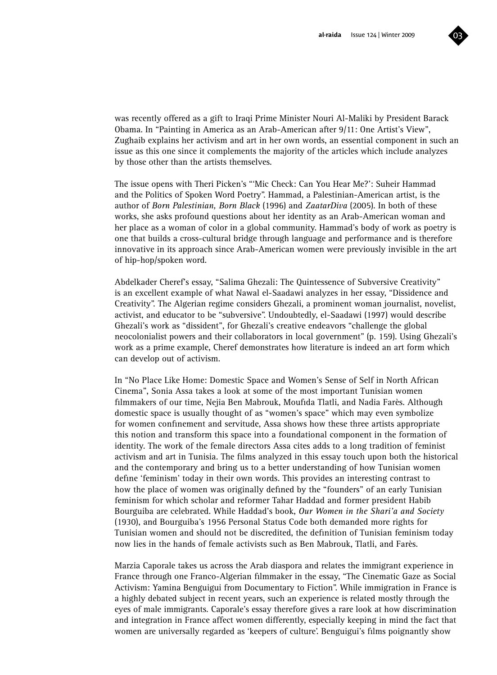

was recently offered as a gift to Iraqi Prime Minister Nouri Al-Maliki by President Barack Obama. In "Painting in America as an Arab-American after 9/11: One Artist's View", Zughaib explains her activism and art in her own words, an essential component in such an issue as this one since it complements the majority of the articles which include analyzes by those other than the artists themselves.

The issue opens with Theri Picken's "'Mic Check: Can You Hear Me?': Suheir Hammad and the Politics of Spoken Word Poetry". Hammad, a Palestinian-American artist, is the author of *Born Palestinian, Born Black* (1996) and *ZaatarDiva* (2005). In both of these works, she asks profound questions about her identity as an Arab-American woman and her place as a woman of color in a global community. Hammad's body of work as poetry is one that builds a cross-cultural bridge through language and performance and is therefore innovative in its approach since Arab-American women were previously invisible in the art of hip-hop/spoken word.

Abdelkader Cheref's essay, "Salima Ghezali: The Quintessence of Subversive Creativity" is an excellent example of what Nawal el-Saadawi analyzes in her essay, "Dissidence and Creativity". The Algerian regime considers Ghezali, a prominent woman journalist, novelist, activist, and educator to be "subversive". Undoubtedly, el-Saadawi (1997) would describe Ghezali's work as "dissident", for Ghezali's creative endeavors "challenge the global neocolonialist powers and their collaborators in local government" (p. 159). Using Ghezali's work as a prime example, Cheref demonstrates how literature is indeed an art form which can develop out of activism.

In "No Place Like Home: Domestic Space and Women's Sense of Self in North African Cinema", Sonia Assa takes a look at some of the most important Tunisian women filmmakers of our time, Nejia Ben Mabrouk, Moufida Tlatli, and Nadia Farès. Although domestic space is usually thought of as "women's space" which may even symbolize for women confinement and servitude, Assa shows how these three artists appropriate this notion and transform this space into a foundational component in the formation of identity. The work of the female directors Assa cites adds to a long tradition of feminist activism and art in Tunisia. The films analyzed in this essay touch upon both the historical and the contemporary and bring us to a better understanding of how Tunisian women define 'feminism' today in their own words. This provides an interesting contrast to how the place of women was originally defined by the "founders" of an early Tunisian feminism for which scholar and reformer Tahar Haddad and former president Habib Bourguiba are celebrated. While Haddad's book, *Our Women in the Shari'a and Society* (1930), and Bourguiba's 1956 Personal Status Code both demanded more rights for Tunisian women and should not be discredited, the definition of Tunisian feminism today now lies in the hands of female activists such as Ben Mabrouk, Tlatli, and Farès.

Marzia Caporale takes us across the Arab diaspora and relates the immigrant experience in France through one Franco-Algerian filmmaker in the essay, "The Cinematic Gaze as Social Activism: Yamina Benguigui from Documentary to Fiction". While immigration in France is a highly debated subject in recent years, such an experience is related mostly through the eyes of male immigrants. Caporale's essay therefore gives a rare look at how discrimination and integration in France affect women differently, especially keeping in mind the fact that women are universally regarded as 'keepers of culture'. Benguigui's films poignantly show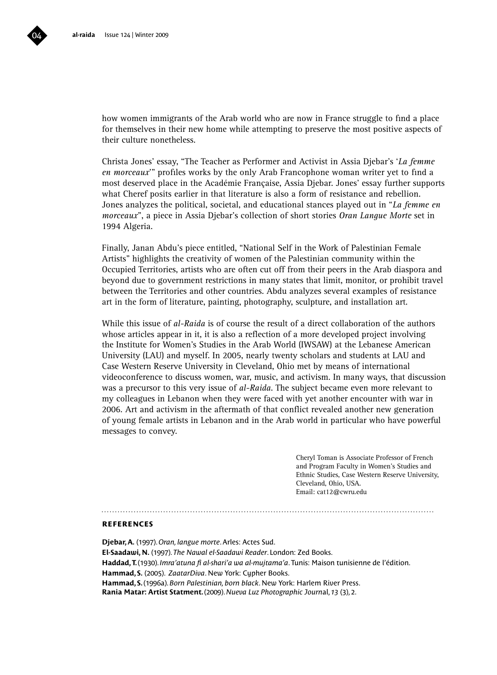how women immigrants of the Arab world who are now in France struggle to find a place for themselves in their new home while attempting to preserve the most positive aspects of their culture nonetheless.

Christa Jones' essay, "The Teacher as Performer and Activist in Assia Djebar's '*La femme en morceaux*'" profiles works by the only Arab Francophone woman writer yet to find a most deserved place in the Académie Française, Assia Djebar. Jones' essay further supports what Cheref posits earlier in that literature is also a form of resistance and rebellion. Jones analyzes the political, societal, and educational stances played out in "*La femme en morceaux*", a piece in Assia Djebar's collection of short stories *Oran Langue Morte* set in 1994 Algeria.

Finally, Janan Abdu's piece entitled, "National Self in the Work of Palestinian Female Artists" highlights the creativity of women of the Palestinian community within the Occupied Territories, artists who are often cut off from their peers in the Arab diaspora and beyond due to government restrictions in many states that limit, monitor, or prohibit travel between the Territories and other countries. Abdu analyzes several examples of resistance art in the form of literature, painting, photography, sculpture, and installation art.

While this issue of *al-Raida* is of course the result of a direct collaboration of the authors whose articles appear in it, it is also a reflection of a more developed project involving the Institute for Women's Studies in the Arab World (IWSAW) at the Lebanese American University (LAU) and myself. In 2005, nearly twenty scholars and students at LAU and Case Western Reserve University in Cleveland, Ohio met by means of international videoconference to discuss women, war, music, and activism. In many ways, that discussion was a precursor to this very issue of *al-Raida*. The subject became even more relevant to my colleagues in Lebanon when they were faced with yet another encounter with war in 2006. Art and activism in the aftermath of that conflict revealed another new generation of young female artists in Lebanon and in the Arab world in particular who have powerful messages to convey.

> Cheryl Toman is Associate Professor of French and Program Faculty in Women's Studies and Ethnic Studies, Case Western Reserve University, Cleveland, Ohio, USA. Email: cat12@cwru.edu

### **references**

**Djebar, A.** (1997). *Oran, langue morte*. Arles: Actes Sud. **El-Saadawi, N.** (1997). *The Nawal el-Saadawi Reader*. London: Zed Books. **Haddad, T.** (1930). *Imra'atuna fi al-shari'a wa al-mujtama'a*. Tunis: Maison tunisienne de l'édition. Hammad, S. (2005). *ZaatarDiva*. New York: Cupher Books. **Hammad, S.** (1996a). *Born Palestinian, born black*. New York: Harlem River Press. **Rania Matar: Artist Statment.** (2009). *Nueva Luz Photographic Journ*al, *13* (3), 2.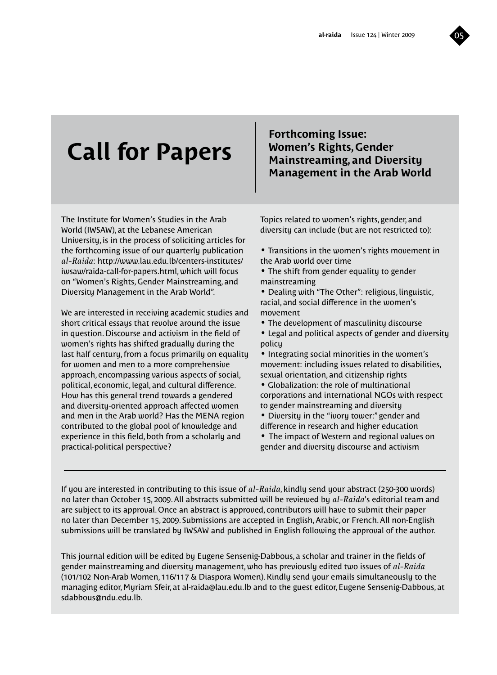

# **Call for Papers**

### **Forthcoming Issue: Women's Rights, Gender Mainstreaming, and Diversity Management in the Arab World**

The Institute for Women's Studies in the Arab World (IWSAW), at the Lebanese American University, is in the process of soliciting articles for the forthcoming issue of our quarterly publication *al-Raida*: http://www.lau.edu.lb/centers-institutes/ iwsaw/raida-call-for-papers.html, which will focus on "Women's Rights, Gender Mainstreaming, and Diversity Management in the Arab World".

We are interested in receiving academic studies and short critical essays that revolve around the issue in question. Discourse and activism in the field of women's rights has shifted gradually during the last half century, from a focus primarily on equality for women and men to a more comprehensive approach, encompassing various aspects of social, political, economic, legal, and cultural difference. How has this general trend towards a gendered and diversity-oriented approach affected women and men in the Arab world? Has the MENA region contributed to the global pool of knowledge and experience in this field, both from a scholarly and practical-political perspective?

Topics related to women's rights, gender, and diversity can include (but are not restricted to):

• Transitions in the women's rights movement in the Arab world over time

• The shift from gender equality to gender mainstreaming

• Dealing with "The Other": religious, linguistic, racial, and social difference in the women's movement

- The development of masculinity discourse
- Legal and political aspects of gender and diversity policy
- Integrating social minorities in the women's movement: including issues related to disabilities, sexual orientation, and citizenship rights

• Globalization: the role of multinational corporations and international NGOs with respect to gender mainstreaming and diversity

- Diversity in the "ivory tower:" gender and difference in research and higher education
- The impact of Western and regional values on gender and diversity discourse and activism

If you are interested in contributing to this issue of *al-Raida*, kindly send your abstract (250-300 words) no later than October 15, 2009. All abstracts submitted will be reviewed by *al-Raida*'s editorial team and are subject to its approval. Once an abstract is approved, contributors will have to submit their paper no later than December 15, 2009. Submissions are accepted in English, Arabic, or French. All non-English submissions will be translated by IWSAW and published in English following the approval of the author.

This journal edition will be edited by Eugene Sensenig-Dabbous, a scholar and trainer in the fields of gender mainstreaming and diversity management, who has previously edited two issues of *al-Raida* (101/102 Non-Arab Women, 116/117 & Diaspora Women). Kindly send your emails simultaneously to the managing editor, Myriam Sfeir, at al-raida@lau.edu.lb and to the guest editor, Eugene Sensenig-Dabbous, at sdabbous@ndu.edu.lb.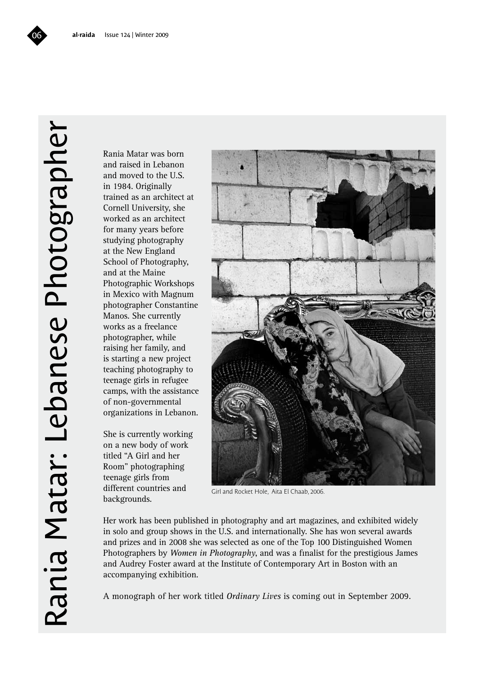# Rania Matar: Lebanese Photographer Rania Matar: Lebanese Photographer

Rania Matar was born and raised in Lebanon and moved to the U.S. in 1984. Originally trained as an architect at Cornell University, she worked as an architect for many years before studying photography at the New England School of Photography, and at the Maine Photographic Workshops in Mexico with Magnum photographer Constantine Manos. She currently works as a freelance photographer, while raising her family, and is starting a new project teaching photography to teenage girls in refugee camps, with the assistance of non-governmental organizations in Lebanon.

She is currently working on a new body of work titled "A Girl and her Room" photographing teenage girls from different countries and backgrounds.



Girl and Rocket Hole, Aita El Chaab, 2006.

Her work has been published in photography and art magazines, and exhibited widely in solo and group shows in the U.S. and internationally. She has won several awards and prizes and in 2008 she was selected as one of the Top 100 Distinguished Women Photographers by *Women in Photography*, and was a finalist for the prestigious James and Audrey Foster award at the Institute of Contemporary Art in Boston with an accompanying exhibition.

A monograph of her work titled *Ordinary Lives* is coming out in September 2009.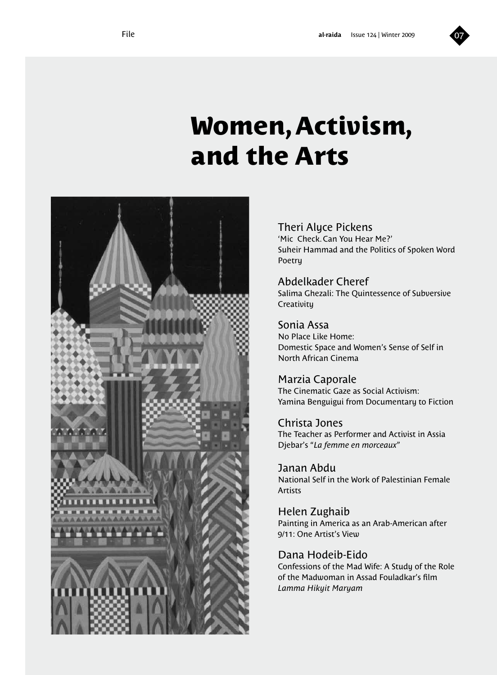# **Women, Activism, and the Arts**



Theri Alyce Pickens

'Mic Check. Can You Hear Me?' Suheir Hammad and the Politics of Spoken Word Poetry

Abdelkader Cheref Salima Ghezali: The Quintessence of Subversive **Creativity** 

Sonia Assa No Place Like Home: Domestic Space and Women's Sense of Self in North African Cinema

Marzia Caporale The Cinematic Gaze as Social Activism: Yamina Benguigui from Documentary to Fiction

Christa Jones The Teacher as Performer and Activist in Assia Djebar's "*La femme en morceaux*"

Janan Abdu National Self in the Work of Palestinian Female Artists

Helen Zughaib Painting in America as an Arab-American after 9/11: One Artist's View

Dana Hodeib-Eido

Confessions of the Mad Wife: A Study of the Role of the Madwoman in Assad Fouladkar's film *Lamma Hikyit Maryam*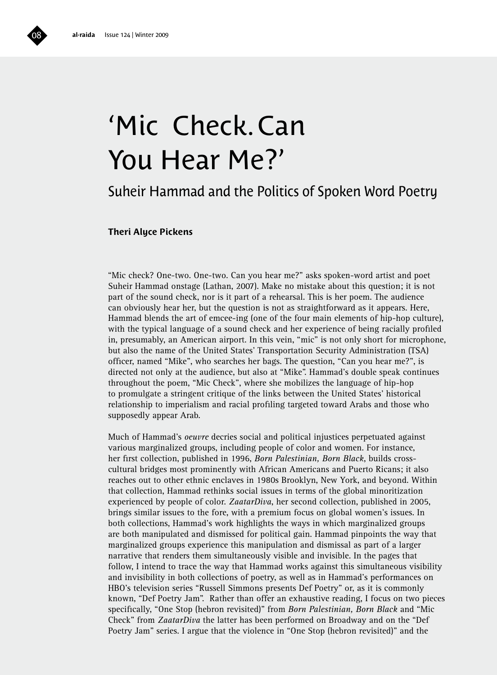# 'Mic Check. Can You Hear Me?'

### Suheir Hammad and the Politics of Spoken Word Poetry

### **Theri Alyce Pickens**

"Mic check? One-two. One-two. Can you hear me?" asks spoken-word artist and poet Suheir Hammad onstage (Lathan, 2007). Make no mistake about this question; it is not part of the sound check, nor is it part of a rehearsal. This is her poem. The audience can obviously hear her, but the question is not as straightforward as it appears. Here, Hammad blends the art of emcee-ing (one of the four main elements of hip-hop culture), with the typical language of a sound check and her experience of being racially profiled in, presumably, an American airport. In this vein, "mic" is not only short for microphone, but also the name of the United States' Transportation Security Administration (TSA) officer, named "Mike", who searches her bags. The question, "Can you hear me?", is directed not only at the audience, but also at "Mike". Hammad's double speak continues throughout the poem, "Mic Check", where she mobilizes the language of hip-hop to promulgate a stringent critique of the links between the United States' historical relationship to imperialism and racial profiling targeted toward Arabs and those who supposedly appear Arab.

Much of Hammad's *oeuvre* decries social and political injustices perpetuated against various marginalized groups, including people of color and women. For instance, her first collection, published in 1996, *Born Palestinian, Born Black*, builds crosscultural bridges most prominently with African Americans and Puerto Ricans; it also reaches out to other ethnic enclaves in 1980s Brooklyn, New York, and beyond. Within that collection, Hammad rethinks social issues in terms of the global minoritization experienced by people of color. *ZaatarDiva*, her second collection, published in 2005, brings similar issues to the fore, with a premium focus on global women's issues. In both collections, Hammad's work highlights the ways in which marginalized groups are both manipulated and dismissed for political gain. Hammad pinpoints the way that marginalized groups experience this manipulation and dismissal as part of a larger narrative that renders them simultaneously visible and invisible. In the pages that follow, I intend to trace the way that Hammad works against this simultaneous visibility and invisibility in both collections of poetry, as well as in Hammad's performances on HBO's television series "Russell Simmons presents Def Poetry" or, as it is commonly known, "Def Poetry Jam". Rather than offer an exhaustive reading, I focus on two pieces specifically, "One Stop (hebron revisited)" from *Born Palestinian, Born Black* and "Mic Check" from *ZaatarDiva* the latter has been performed on Broadway and on the "Def Poetry Jam" series. I argue that the violence in "One Stop (hebron revisited)" and the

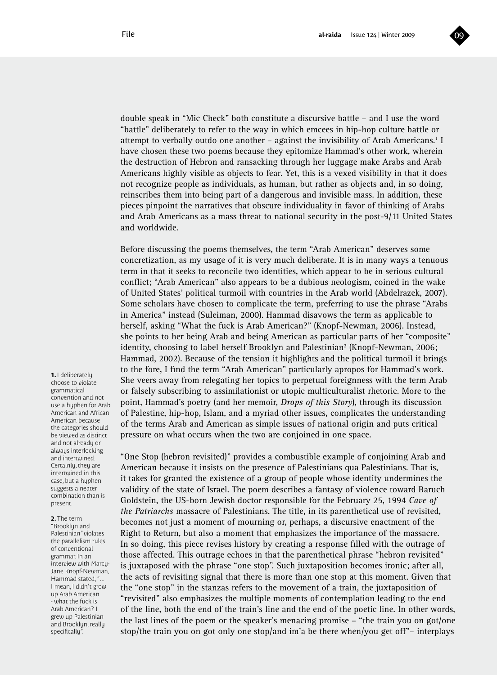

double speak in "Mic Check" both constitute a discursive battle – and I use the word "battle" deliberately to refer to the way in which emcees in hip-hop culture battle or attempt to verbally outdo one another  $-$  against the invisibility of Arab Americans.<sup>1</sup> I have chosen these two poems because they epitomize Hammad's other work, wherein the destruction of Hebron and ransacking through her luggage make Arabs and Arab Americans highly visible as objects to fear. Yet, this is a vexed visibility in that it does not recognize people as individuals, as human, but rather as objects and, in so doing, reinscribes them into being part of a dangerous and invisible mass. In addition, these pieces pinpoint the narratives that obscure individuality in favor of thinking of Arabs and Arab Americans as a mass threat to national security in the post-9/11 United States and worldwide.

Before discussing the poems themselves, the term "Arab American" deserves some concretization, as my usage of it is very much deliberate. It is in many ways a tenuous term in that it seeks to reconcile two identities, which appear to be in serious cultural conflict; "Arab American" also appears to be a dubious neologism, coined in the wake of United States' political turmoil with countries in the Arab world (Abdelrazek, 2007). Some scholars have chosen to complicate the term, preferring to use the phrase "Arabs in America" instead (Suleiman, 2000). Hammad disavows the term as applicable to herself, asking "What the fuck is Arab American?" (Knopf-Newman, 2006). Instead, she points to her being Arab and being American as particular parts of her "composite" identity, choosing to label herself Brooklyn and Palestinian<sup>2</sup> (Knopf-Newman, 2006; Hammad, 2002). Because of the tension it highlights and the political turmoil it brings to the fore, I find the term "Arab American" particularly apropos for Hammad's work. She veers away from relegating her topics to perpetual foreignness with the term Arab or falsely subscribing to assimilationist or utopic multiculturalist rhetoric. More to the point, Hammad's poetry (and her memoir, *Drops of this Story*), through its discussion of Palestine, hip-hop, Islam, and a myriad other issues, complicates the understanding of the terms Arab and American as simple issues of national origin and puts critical pressure on what occurs when the two are conjoined in one space.

"One Stop (hebron revisited)" provides a combustible example of conjoining Arab and American because it insists on the presence of Palestinians qua Palestinians. That is, it takes for granted the existence of a group of people whose identity undermines the validity of the state of Israel. The poem describes a fantasy of violence toward Baruch Goldstein, the US-born Jewish doctor responsible for the February 25, 1994 *Cave of the Patriarchs* massacre of Palestinians. The title, in its parenthetical use of revisited, becomes not just a moment of mourning or, perhaps, a discursive enactment of the Right to Return, but also a moment that emphasizes the importance of the massacre. In so doing, this piece revises history by creating a response filled with the outrage of those affected. This outrage echoes in that the parenthetical phrase "hebron revisited" is juxtaposed with the phrase "one stop". Such juxtaposition becomes ironic; after all, the acts of revisiting signal that there is more than one stop at this moment. Given that the "one stop" in the stanzas refers to the movement of a train, the juxtaposition of "revisited" also emphasizes the multiple moments of contemplation leading to the end of the line, both the end of the train's line and the end of the poetic line. In other words, the last lines of the poem or the speaker's menacing promise – "the train you on got/one stop/the train you on got only one stop/and im'a be there when/you get off"– interplays

**1.** I deliberately choose to violate grammatical convention and not use a huphen for Arab American and African American because the categories should be viewed as distinct and not already or always interlocking and intertwined. Certainly, they are intertwined in this case, but a hyphen suggests a neater combination than is present.

**2.** The term "Brooklyn and Palestinian" violates the parallelism rules of conventional grammar. In an interview with Marcy-Jane Knopf-Newman, Hammad stated, "... I mean, I didn't grow up Arab American - what the fuck is Arab American? I grew up Palestinian and Brooklyn, really specifically".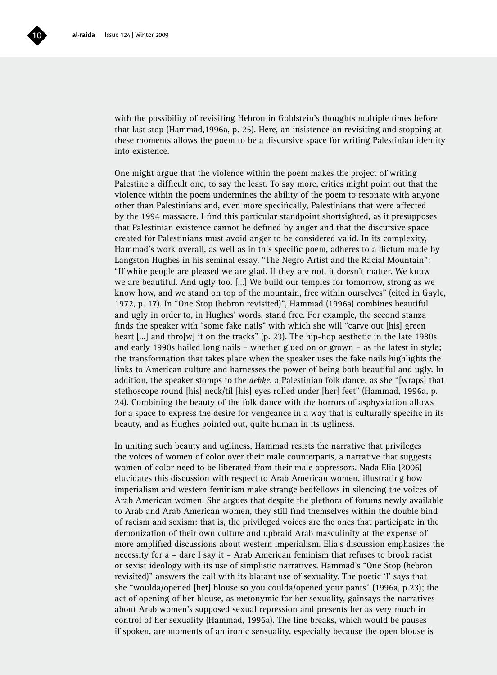

with the possibility of revisiting Hebron in Goldstein's thoughts multiple times before that last stop (Hammad,1996a, p. 25). Here, an insistence on revisiting and stopping at these moments allows the poem to be a discursive space for writing Palestinian identity into existence.

One might argue that the violence within the poem makes the project of writing Palestine a difficult one, to say the least. To say more, critics might point out that the violence within the poem undermines the ability of the poem to resonate with anyone other than Palestinians and, even more specifically, Palestinians that were affected by the 1994 massacre. I find this particular standpoint shortsighted, as it presupposes that Palestinian existence cannot be defined by anger and that the discursive space created for Palestinians must avoid anger to be considered valid. In its complexity, Hammad's work overall, as well as in this specific poem, adheres to a dictum made by Langston Hughes in his seminal essay, "The Negro Artist and the Racial Mountain": "If white people are pleased we are glad. If they are not, it doesn't matter. We know we are beautiful. And ugly too. […] We build our temples for tomorrow, strong as we know how, and we stand on top of the mountain, free within ourselves" (cited in Gayle, 1972, p. 17). In "One Stop (hebron revisited)", Hammad (1996a) combines beautiful and ugly in order to, in Hughes' words, stand free. For example, the second stanza finds the speaker with "some fake nails" with which she will "carve out [his] green heart [...] and thro[w] it on the tracks" (p. 23). The hip-hop aesthetic in the late 1980s and early 1990s hailed long nails – whether glued on or grown – as the latest in style; the transformation that takes place when the speaker uses the fake nails highlights the links to American culture and harnesses the power of being both beautiful and ugly. In addition, the speaker stomps to the *debke*, a Palestinian folk dance, as she "[wraps] that stethoscope round [his] neck/til [his] eyes rolled under [her] feet" (Hammad, 1996a, p. 24). Combining the beauty of the folk dance with the horrors of asphyxiation allows for a space to express the desire for vengeance in a way that is culturally specific in its beauty, and as Hughes pointed out, quite human in its ugliness.

In uniting such beauty and ugliness, Hammad resists the narrative that privileges the voices of women of color over their male counterparts, a narrative that suggests women of color need to be liberated from their male oppressors. Nada Elia (2006) elucidates this discussion with respect to Arab American women, illustrating how imperialism and western feminism make strange bedfellows in silencing the voices of Arab American women. She argues that despite the plethora of forums newly available to Arab and Arab American women, they still find themselves within the double bind of racism and sexism: that is, the privileged voices are the ones that participate in the demonization of their own culture and upbraid Arab masculinity at the expense of more amplified discussions about western imperialism. Elia's discussion emphasizes the necessity for a – dare I say it – Arab American feminism that refuses to brook racist or sexist ideology with its use of simplistic narratives. Hammad's "One Stop (hebron revisited)" answers the call with its blatant use of sexuality. The poetic 'I' says that she "woulda/opened [her] blouse so you coulda/opened your pants" (1996a, p.23); the act of opening of her blouse, as metonymic for her sexuality, gainsays the narratives about Arab women's supposed sexual repression and presents her as very much in control of her sexuality (Hammad, 1996a). The line breaks, which would be pauses if spoken, are moments of an ironic sensuality, especially because the open blouse is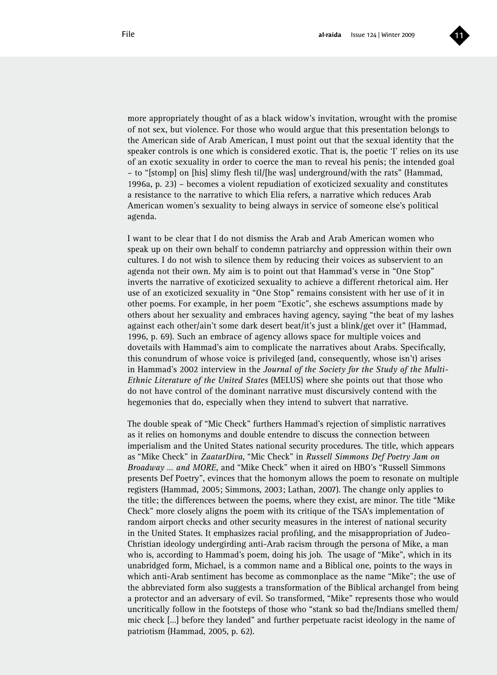

more appropriately thought of as a black widow's invitation, wrought with the promise of not sex, but violence. For those who would argue that this presentation belongs to the American side of Arab American, I must point out that the sexual identity that the speaker controls is one which is considered exotic. That is, the poetic 'I' relies on its use of an exotic sexuality in order to coerce the man to reveal his penis; the intended goal – to "[stomp] on [his] slimy flesh til/[he was] underground/with the rats" (Hammad, 1996a, p. 23) – becomes a violent repudiation of exoticized sexuality and constitutes a resistance to the narrative to which Elia refers, a narrative which reduces Arab American women's sexuality to being always in service of someone else's political agenda.

I want to be clear that I do not dismiss the Arab and Arab American women who speak up on their own behalf to condemn patriarchy and oppression within their own cultures. I do not wish to silence them by reducing their voices as subservient to an agenda not their own. My aim is to point out that Hammad's verse in "One Stop" inverts the narrative of exoticized sexuality to achieve a different rhetorical aim. Her use of an exoticized sexuality in "One Stop" remains consistent with her use of it in other poems. For example, in her poem "Exotic", she eschews assumptions made by others about her sexuality and embraces having agency, saying "the beat of my lashes against each other/ain't some dark desert beat/it's just a blink/get over it" (Hammad, 1996, p. 69). Such an embrace of agency allows space for multiple voices and dovetails with Hammad's aim to complicate the narratives about Arabs. Specifically, this conundrum of whose voice is privileged (and, consequently, whose isn't) arises in Hammad's 2002 interview in the *Journal of the Society for the Study of the Multi-Ethnic Literature of the United States* (MELUS) where she points out that those who do not have control of the dominant narrative must discursively contend with the hegemonies that do, especially when they intend to subvert that narrative.

The double speak of "Mic Check" furthers Hammad's rejection of simplistic narratives as it relies on homonyms and double entendre to discuss the connection between imperialism and the United States national security procedures. The title, which appears as "Mike Check" in *ZaatarDiva*, "Mic Check" in *Russell Simmons Def Poetry Jam on Broadway … and MORE*, and "Mike Check" when it aired on HBO's "Russell Simmons presents Def Poetry", evinces that the homonym allows the poem to resonate on multiple registers (Hammad, 2005; Simmons, 2003; Lathan, 2007). The change only applies to the title; the differences between the poems, where they exist, are minor. The title "Mike Check" more closely aligns the poem with its critique of the TSA's implementation of random airport checks and other security measures in the interest of national security in the United States. It emphasizes racial profiling, and the misappropriation of Judeo-Christian ideology undergirding anti-Arab racism through the persona of Mike, a man who is, according to Hammad's poem, doing his job. The usage of "Mike", which in its unabridged form, Michael, is a common name and a Biblical one, points to the ways in which anti-Arab sentiment has become as commonplace as the name "Mike"; the use of the abbreviated form also suggests a transformation of the Biblical archangel from being a protector and an adversary of evil. So transformed, "Mike" represents those who would uncritically follow in the footsteps of those who "stank so bad the/Indians smelled them/ mic check […] before they landed" and further perpetuate racist ideology in the name of patriotism (Hammad, 2005, p. 62).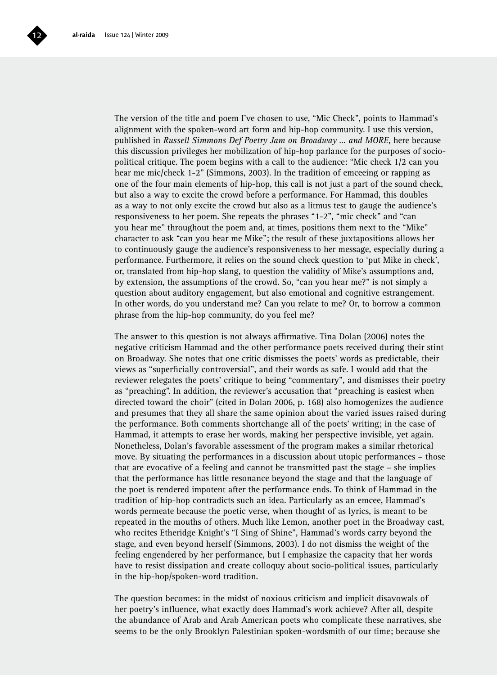

The version of the title and poem I've chosen to use, "Mic Check", points to Hammad's alignment with the spoken-word art form and hip-hop community. I use this version, published in *Russell Simmons Def Poetry Jam on Broadway … and MORE*, here because this discussion privileges her mobilization of hip-hop parlance for the purposes of sociopolitical critique. The poem begins with a call to the audience: "Mic check 1/2 can you hear me mic/check 1-2" (Simmons, 2003). In the tradition of emceeing or rapping as one of the four main elements of hip-hop, this call is not just a part of the sound check, but also a way to excite the crowd before a performance. For Hammad, this doubles as a way to not only excite the crowd but also as a litmus test to gauge the audience's responsiveness to her poem. She repeats the phrases "1-2", "mic check" and "can you hear me" throughout the poem and, at times, positions them next to the "Mike" character to ask "can you hear me Mike"; the result of these juxtapositions allows her to continuously gauge the audience's responsiveness to her message, especially during a performance. Furthermore, it relies on the sound check question to 'put Mike in check', or, translated from hip-hop slang, to question the validity of Mike's assumptions and, by extension, the assumptions of the crowd. So, "can you hear me?" is not simply a question about auditory engagement, but also emotional and cognitive estrangement. In other words, do you understand me? Can you relate to me? Or, to borrow a common phrase from the hip-hop community, do you feel me?

The answer to this question is not always affirmative. Tina Dolan (2006) notes the negative criticism Hammad and the other performance poets received during their stint on Broadway. She notes that one critic dismisses the poets' words as predictable, their views as "superficially controversial", and their words as safe. I would add that the reviewer relegates the poets' critique to being "commentary", and dismisses their poetry as "preaching". In addition, the reviewer's accusation that "preaching is easiest when directed toward the choir" (cited in Dolan 2006, p. 168) also homogenizes the audience and presumes that they all share the same opinion about the varied issues raised during the performance. Both comments shortchange all of the poets' writing; in the case of Hammad, it attempts to erase her words, making her perspective invisible, yet again. Nonetheless, Dolan's favorable assessment of the program makes a similar rhetorical move. By situating the performances in a discussion about utopic performances – those that are evocative of a feeling and cannot be transmitted past the stage – she implies that the performance has little resonance beyond the stage and that the language of the poet is rendered impotent after the performance ends. To think of Hammad in the tradition of hip-hop contradicts such an idea. Particularly as an emcee, Hammad's words permeate because the poetic verse, when thought of as lyrics, is meant to be repeated in the mouths of others. Much like Lemon, another poet in the Broadway cast, who recites Etheridge Knight's "I Sing of Shine", Hammad's words carry beyond the stage, and even beyond herself (Simmons, 2003). I do not dismiss the weight of the feeling engendered by her performance, but I emphasize the capacity that her words have to resist dissipation and create colloquy about socio-political issues, particularly in the hip-hop/spoken-word tradition.

The question becomes: in the midst of noxious criticism and implicit disavowals of her poetry's influence, what exactly does Hammad's work achieve? After all, despite the abundance of Arab and Arab American poets who complicate these narratives, she seems to be the only Brooklyn Palestinian spoken-wordsmith of our time; because she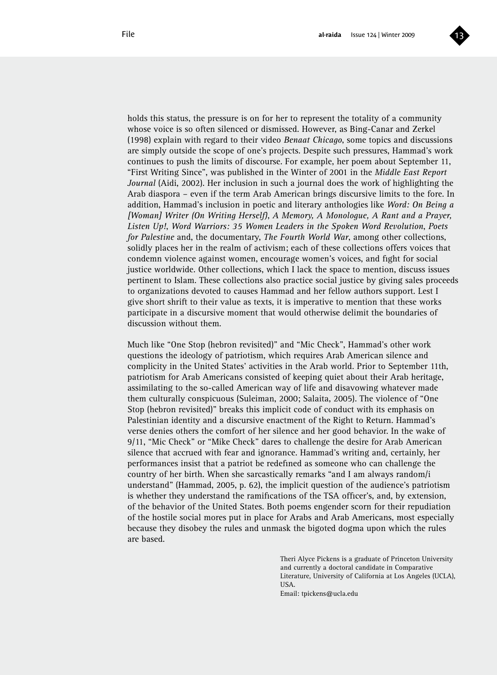

holds this status, the pressure is on for her to represent the totality of a community whose voice is so often silenced or dismissed. However, as Bing-Canar and Zerkel (1998) explain with regard to their video *Benaat Chicago*, some topics and discussions are simply outside the scope of one's projects. Despite such pressures, Hammad's work continues to push the limits of discourse. For example, her poem about September 11, "First Writing Since", was published in the Winter of 2001 in the *Middle East Report Journal* (Aidi, 2002). Her inclusion in such a journal does the work of highlighting the Arab diaspora – even if the term Arab American brings discursive limits to the fore. In addition, Hammad's inclusion in poetic and literary anthologies like *Word: On Being a [Woman] Writer (On Writing Herself)*, *A Memory, A Monologue, A Rant and a Prayer, Listen Up!*, *Word Warriors: 35 Women Leaders in the Spoken Word Revolution*, *Poets for Palestine* and, the documentary, *The Fourth World War*, among other collections, solidly places her in the realm of activism; each of these collections offers voices that condemn violence against women, encourage women's voices, and fight for social justice worldwide. Other collections, which I lack the space to mention, discuss issues pertinent to Islam. These collections also practice social justice by giving sales proceeds to organizations devoted to causes Hammad and her fellow authors support. Lest I give short shrift to their value as texts, it is imperative to mention that these works participate in a discursive moment that would otherwise delimit the boundaries of discussion without them.

Much like "One Stop (hebron revisited)" and "Mic Check", Hammad's other work questions the ideology of patriotism, which requires Arab American silence and complicity in the United States' activities in the Arab world. Prior to September 11th, patriotism for Arab Americans consisted of keeping quiet about their Arab heritage, assimilating to the so-called American way of life and disavowing whatever made them culturally conspicuous (Suleiman, 2000; Salaita, 2005). The violence of "One Stop (hebron revisited)" breaks this implicit code of conduct with its emphasis on Palestinian identity and a discursive enactment of the Right to Return. Hammad's verse denies others the comfort of her silence and her good behavior. In the wake of 9/11, "Mic Check" or "Mike Check" dares to challenge the desire for Arab American silence that accrued with fear and ignorance. Hammad's writing and, certainly, her performances insist that a patriot be redefined as someone who can challenge the country of her birth. When she sarcastically remarks "and I am always random/i understand" (Hammad, 2005, p. 62), the implicit question of the audience's patriotism is whether they understand the ramifications of the TSA officer's, and, by extension, of the behavior of the United States. Both poems engender scorn for their repudiation of the hostile social mores put in place for Arabs and Arab Americans, most especially because they disobey the rules and unmask the bigoted dogma upon which the rules are based.

> Theri Alyce Pickens is a graduate of Princeton University and currently a doctoral candidate in Comparative Literature, University of California at Los Angeles (UCLA), USA.

Email: tpickens@ucla.edu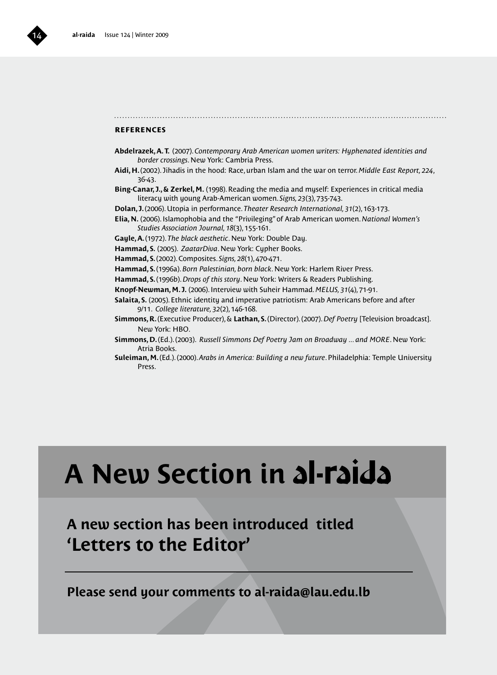### **references**

- **Abdelrazek, A. T.** (2007). *Contemporary Arab American women writers: Hyphenated identities and border crossings*. New York: Cambria Press.
- **Aidi, H.** (2002). Jihadis in the hood: Race, urban Islam and the war on terror. *Middle East Report, 224*, 36-43.
- **Bing-Canar, J., & Zerkel, M.** (1998). Reading the media and myself: Experiences in critical media literacy with young Arab-American women. *Signs, 23*(3), 735-743.
- **Dolan, J.** (2006). Utopia in performance. *Theater Research International, 31*(2), 163-173.
- **Elia, N.** (2006). Islamophobia and the "Privileging" of Arab American women. *National Women's Studies Association Journal, 18*(3), 155-161.
- **Gayle, A.** (1972). *The black aesthetic*. New York: Double Day.
- **Hammad, S.** (2005). *ZaatarDiva*. New York: Cypher Books.

**Hammad, S.** (2002). Composites. *Signs, 28*(1), 470-471.

**Hammad, S.** (1996a). *Born Palestinian, born black*. New York: Harlem River Press.

- **Hammad, S.** (1996b). *Drops of this story*. New York: Writers & Readers Publishing.
- **Knopf-Newman, M. J.** (2006). Interview with Suheir Hammad. *MELUS, 31*(4), 71-91.
- **Salaita, S.** (2005). Ethnic identity and imperative patriotism: Arab Americans before and after 9/11. *College literature, 32*(2), 146-168.
- **Simmons, R.** (Executive Producer), & **Lathan, S.** (Director). (2007). *Def Poetry* [Television broadcast]. New York: HBO.
- **Simmons, D.** (Ed.). (2003). *Russell Simmons Def Poetry Jam on Broadway ... and MORE*. New York: Atria Books.
- **Suleiman, M.** (Ed.). (2000). *Arabs in America: Building a new future*. Philadelphia: Temple University Press.

# **A New Section in**

### **A new section has been introduced titled 'Letters to the Editor'**

**Please send your comments to al-raida@lau.edu.lb**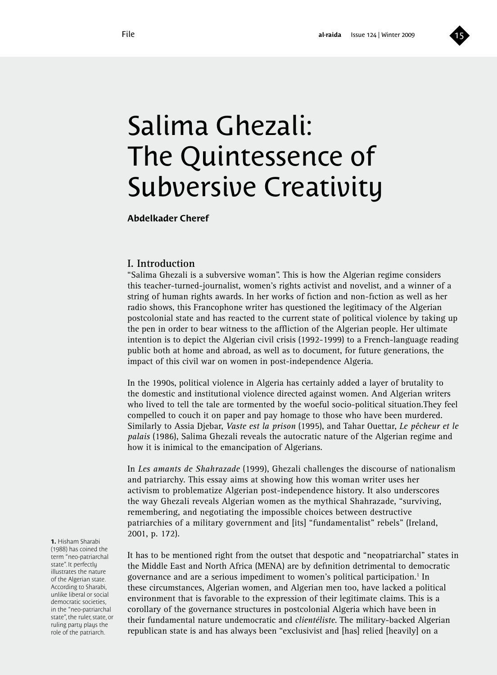

# Salima Ghezali: The Quintessence of Subversive Creativity

**Abdelkader Cheref**

### **I. Introduction**

"Salima Ghezali is a subversive woman". This is how the Algerian regime considers this teacher-turned-journalist, women's rights activist and novelist, and a winner of a string of human rights awards. In her works of fiction and non-fiction as well as her radio shows, this Francophone writer has questioned the legitimacy of the Algerian postcolonial state and has reacted to the current state of political violence by taking up the pen in order to bear witness to the affliction of the Algerian people. Her ultimate intention is to depict the Algerian civil crisis (1992-1999) to a French-language reading public both at home and abroad, as well as to document, for future generations, the impact of this civil war on women in post-independence Algeria.

In the 1990s, political violence in Algeria has certainly added a layer of brutality to the domestic and institutional violence directed against women. And Algerian writers who lived to tell the tale are tormented by the woeful socio-political situation.They feel compelled to couch it on paper and pay homage to those who have been murdered. Similarly to Assia Djebar, *Vaste est la prison* (1995), and Tahar Ouettar, *Le pêcheur et le palais* (1986), Salima Ghezali reveals the autocratic nature of the Algerian regime and how it is inimical to the emancipation of Algerians.

In *Les amants de Shahrazade* (1999), Ghezali challenges the discourse of nationalism and patriarchy. This essay aims at showing how this woman writer uses her activism to problematize Algerian post-independence history. It also underscores the way Ghezali reveals Algerian women as the mythical Shahrazade, "surviving, remembering, and negotiating the impossible choices between destructive patriarchies of a military government and [its] "fundamentalist" rebels" (Ireland, 2001, p. 172).

It has to be mentioned right from the outset that despotic and "neopatriarchal" states in the Middle East and North Africa (MENA) are by definition detrimental to democratic governance and are a serious impediment to women's political participation.<sup>1</sup> In these circumstances, Algerian women, and Algerian men too, have lacked a political environment that is favorable to the expression of their legitimate claims. This is a corollary of the governance structures in postcolonial Algeria which have been in their fundamental nature undemocratic and *clientéliste*. The military-backed Algerian republican state is and has always been "exclusivist and [has] relied [heavily] on a

**1.** Hisham Sharabi (1988) has coined the term "neo-patriarchal state". It perfectly illustrates the nature of the Algerian state. According to Sharabi, unlike liberal or social democratic societies, in the "neo-patriarchal state" the ruler state, or ruling party plays the role of the patriarch.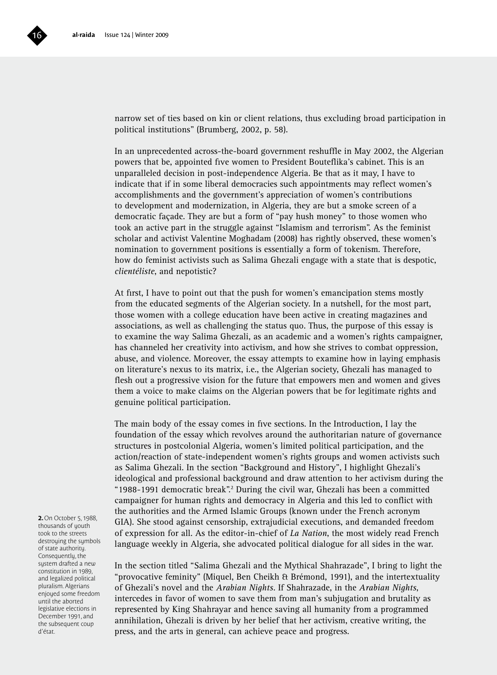

narrow set of ties based on kin or client relations, thus excluding broad participation in political institutions" (Brumberg, 2002, p. 58).

In an unprecedented across-the-board government reshuffle in May 2002, the Algerian powers that be, appointed five women to President Bouteflika's cabinet. This is an unparalleled decision in post-independence Algeria. Be that as it may, I have to indicate that if in some liberal democracies such appointments may reflect women's accomplishments and the government's appreciation of women's contributions to development and modernization, in Algeria, they are but a smoke screen of a democratic façade. They are but a form of "pay hush money" to those women who took an active part in the struggle against "Islamism and terrorism". As the feminist scholar and activist Valentine Moghadam (2008) has rightly observed, these women's nomination to government positions is essentially a form of tokenism. Therefore, how do feminist activists such as Salima Ghezali engage with a state that is despotic, *clientéliste*, and nepotistic?

At first, I have to point out that the push for women's emancipation stems mostly from the educated segments of the Algerian society. In a nutshell, for the most part, those women with a college education have been active in creating magazines and associations, as well as challenging the status quo. Thus, the purpose of this essay is to examine the way Salima Ghezali, as an academic and a women's rights campaigner, has channeled her creativity into activism, and how she strives to combat oppression, abuse, and violence. Moreover, the essay attempts to examine how in laying emphasis on literature's nexus to its matrix, i.e., the Algerian society, Ghezali has managed to flesh out a progressive vision for the future that empowers men and women and gives them a voice to make claims on the Algerian powers that be for legitimate rights and genuine political participation.

The main body of the essay comes in five sections. In the Introduction, I lay the foundation of the essay which revolves around the authoritarian nature of governance structures in postcolonial Algeria, women's limited political participation, and the action/reaction of state-independent women's rights groups and women activists such as Salima Ghezali. In the section "Background and History", I highlight Ghezali's ideological and professional background and draw attention to her activism during the "1988-1991 democratic break".<sup>2</sup> During the civil war, Ghezali has been a committed campaigner for human rights and democracy in Algeria and this led to conflict with the authorities and the Armed Islamic Groups (known under the French acronym GIA). She stood against censorship, extrajudicial executions, and demanded freedom of expression for all. As the editor-in-chief of *La Nation*, the most widely read French language weekly in Algeria, she advocated political dialogue for all sides in the war.

In the section titled "Salima Ghezali and the Mythical Shahrazade", I bring to light the "provocative feminity" (Miquel, Ben Cheikh & Brémond, 1991), and the intertextuality of Ghezali's novel and the *Arabian Nights*. If Shahrazade, in the *Arabian Nights*, intercedes in favor of women to save them from man's subjugation and brutality as represented by King Shahrayar and hence saving all humanity from a programmed annihilation, Ghezali is driven by her belief that her activism, creative writing, the press, and the arts in general, can achieve peace and progress.

**2.** On October 5, 1988, thousands of youth took to the streets destroying the symbols of state authority. Consequently, the sustem drafted a new constitution in 1989, and legalized political pluralism. Algerians enjoyed some freedom until the aborted legislative elections in December 1991, and the subsequent coup d'état.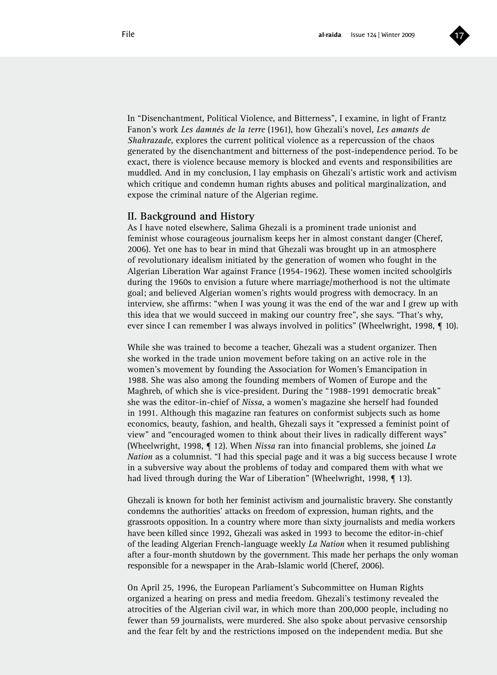

In "Disenchantment, Political Violence, and Bitterness", I examine, in light of Frantz Fanon's work *Les damnés de la terre* (1961), how Ghezali's novel, *Les amants de Shahrazade*, explores the current political violence as a repercussion of the chaos generated by the disenchantment and bitterness of the post-independence period. To be exact, there is violence because memory is blocked and events and responsibilities are muddled. And in my conclusion, I lay emphasis on Ghezali's artistic work and activism which critique and condemn human rights abuses and political marginalization, and expose the criminal nature of the Algerian regime.

### **II. Background and History**

As I have noted elsewhere, Salima Ghezali is a prominent trade unionist and feminist whose courageous journalism keeps her in almost constant danger (Cheref, 2006). Yet one has to bear in mind that Ghezali was brought up in an atmosphere of revolutionary idealism initiated by the generation of women who fought in the Algerian Liberation War against France (1954-1962). These women incited schoolgirls during the 1960s to envision a future where marriage/motherhood is not the ultimate goal; and believed Algerian women's rights would progress with democracy. In an interview, she affirms: "when I was young it was the end of the war and I grew up with this idea that we would succeed in making our country free", she says. "That's why, ever since I can remember I was always involved in politics" (Wheelwright, 1998, ¶ 10).

While she was trained to become a teacher, Ghezali was a student organizer. Then she worked in the trade union movement before taking on an active role in the women's movement by founding the Association for Women's Emancipation in 1988. She was also among the founding members of Women of Europe and the Maghreb, of which she is vice-president. During the "1988-1991 democratic break" she was the editor-in-chief of *Nissa*, a women's magazine she herself had founded in 1991. Although this magazine ran features on conformist subjects such as home economics, beauty, fashion, and health, Ghezali says it "expressed a feminist point of view" and "encouraged women to think about their lives in radically different ways" (Wheelwright, 1998, ¶ 12). When *Nissa* ran into financial problems, she joined *La Nation* as a columnist. "I had this special page and it was a big success because I wrote in a subversive way about the problems of today and compared them with what we had lived through during the War of Liberation" (Wheelwright, 1998, ¶ 13).

Ghezali is known for both her feminist activism and journalistic bravery. She constantly condemns the authorities' attacks on freedom of expression, human rights, and the grassroots opposition. In a country where more than sixty journalists and media workers have been killed since 1992, Ghezali was asked in 1993 to become the editor-in-chief of the leading Algerian French-language weekly *La Nation* when it resumed publishing after a four-month shutdown by the government. This made her perhaps the only woman responsible for a newspaper in the Arab-Islamic world (Cheref, 2006).

On April 25, 1996, the European Parliament's Subcommittee on Human Rights organized a hearing on press and media freedom. Ghezali's testimony revealed the atrocities of the Algerian civil war, in which more than 200,000 people, including no fewer than 59 journalists, were murdered. She also spoke about pervasive censorship and the fear felt by and the restrictions imposed on the independent media. But she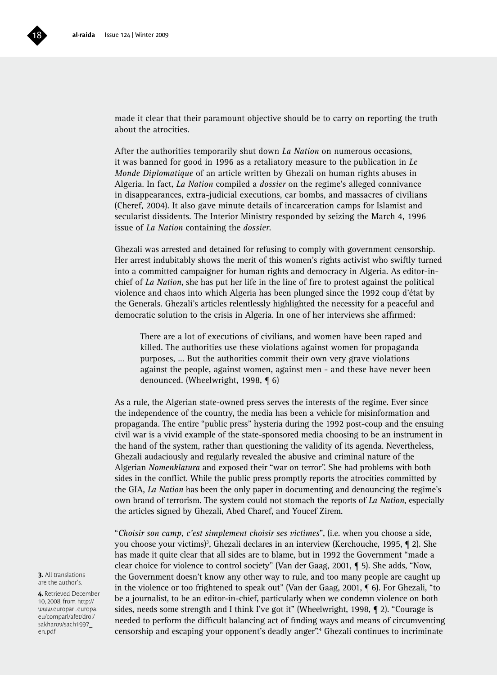

made it clear that their paramount objective should be to carry on reporting the truth about the atrocities.

After the authorities temporarily shut down *La Nation* on numerous occasions, it was banned for good in 1996 as a retaliatory measure to the publication in *Le Monde Diplomatique* of an article written by Ghezali on human rights abuses in Algeria. In fact, *La Nation* compiled a *dossier* on the regime's alleged connivance in disappearances, extra-judicial executions, car bombs, and massacres of civilians (Cheref, 2004). It also gave minute details of incarceration camps for Islamist and secularist dissidents. The Interior Ministry responded by seizing the March 4, 1996 issue of *La Nation* containing the *dossier*.

Ghezali was arrested and detained for refusing to comply with government censorship. Her arrest indubitably shows the merit of this women's rights activist who swiftly turned into a committed campaigner for human rights and democracy in Algeria. As editor-inchief of *La Nation*, she has put her life in the line of fire to protest against the political violence and chaos into which Algeria has been plunged since the 1992 coup d'état by the Generals. Ghezali's articles relentlessly highlighted the necessity for a peaceful and democratic solution to the crisis in Algeria. In one of her interviews she affirmed:

There are a lot of executions of civilians, and women have been raped and killed. The authorities use these violations against women for propaganda purposes, ... But the authorities commit their own very grave violations against the people, against women, against men - and these have never been denounced. (Wheelwright, 1998, ¶ 6)

As a rule, the Algerian state-owned press serves the interests of the regime. Ever since the independence of the country, the media has been a vehicle for misinformation and propaganda. The entire "public press" hysteria during the 1992 post-coup and the ensuing civil war is a vivid example of the state-sponsored media choosing to be an instrument in the hand of the system, rather than questioning the validity of its agenda. Nevertheless, Ghezali audaciously and regularly revealed the abusive and criminal nature of the Algerian *Nomenklatura* and exposed their "war on terror". She had problems with both sides in the conflict. While the public press promptly reports the atrocities committed by the GIA, *La Nation* has been the only paper in documenting and denouncing the regime's own brand of terrorism. The system could not stomach the reports of *La Nation*, especially the articles signed by Ghezali, Abed Charef, and Youcef Zirem.

"*Choisir son camp, c'est simplement choisir ses victimes*", (i.e. when you choose a side, you choose your victims)<sup>3</sup>, Ghezali declares in an interview (Kerchouche, 1995, ¶ 2). She has made it quite clear that all sides are to blame, but in 1992 the Government "made a clear choice for violence to control society" (Van der Gaag, 2001, ¶ 5). She adds, "Now, the Government doesn't know any other way to rule, and too many people are caught up in the violence or too frightened to speak out" (Van der Gaag, 2001, ¶ 6). For Ghezali, "to be a journalist, to be an editor-in-chief, particularly when we condemn violence on both sides, needs some strength and I think I've got it" (Wheelwright, 1998, ¶ 2). "Courage is needed to perform the difficult balancing act of finding ways and means of circumventing censorship and escaping your opponent's deadly anger".4 Ghezali continues to incriminate

**3.** All translations are the author's.

**4.** Retrieved December 10, 2008, from http:// www.europarl.europa. eu/comparl/afet/droi/ sakharov/sach1997\_ en.pdf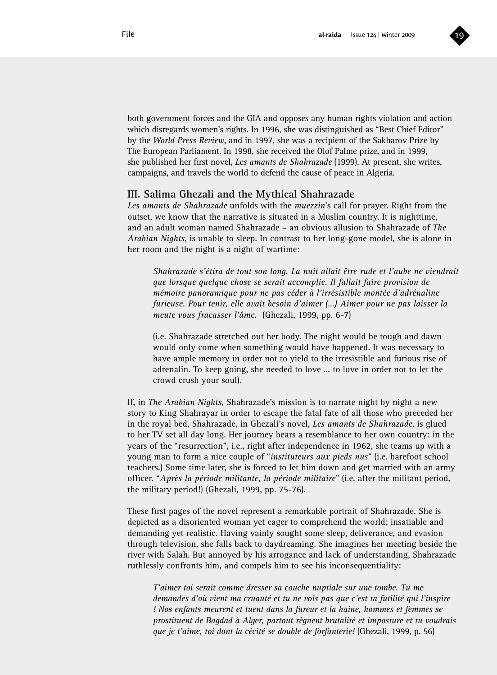

both government forces and the GIA and opposes any human rights violation and action which disregards women's rights. In 1996, she was distinguished as "Best Chief Editor" by the *World Press Review*, and in 1997, she was a recipient of the Sakharov Prize by The European Parliament. In 1998, she received the Olof Palme prize, and in 1999, she published her first novel, *Les amants de Shahrazade* (1999). At present, she writes, campaigns, and travels the world to defend the cause of peace in Algeria.

### **III. Salima Ghezali and the Mythical Shahrazade**

*Les amants de Shahrazade* unfolds with the *muezzin*'s call for prayer. Right from the outset, we know that the narrative is situated in a Muslim country. It is nighttime, and an adult woman named Shahrazade – an obvious allusion to Shahrazade of *The Arabian Nights*, is unable to sleep. In contrast to her long-gone model, she is alone in her room and the night is a night of wartime:

*Shahrazade s'étira de tout son long. La nuit allait être rude et l'aube ne viendrait que lorsque quelque chose se serait accomplie. Il fallait faire provision de mémoire panoramique pour ne pas céder à l'irrésistible montée d'adrénaline furieuse. Pour tenir, elle avait besoin d'aimer (…) Aimer pour ne pas laisser la meute vous fracasser l'âme.* (Ghezali, 1999, pp. 6-7)

(i.e. Shahrazade stretched out her body. The night would be tough and dawn would only come when something would have happened. It was necessary to have ample memory in order not to yield to the irresistible and furious rise of adrenalin. To keep going, she needed to love ... to love in order not to let the crowd crush your soul).

If, in *The Arabian Nights*, Shahrazade's mission is to narrate night by night a new story to King Shahrayar in order to escape the fatal fate of all those who preceded her in the royal bed, Shahrazade, in Ghezali's novel, *Les amants de Shahrazade*, is glued to her TV set all day long. Her journey bears a resemblance to her own country: in the years of the "resurrection", i.e., right after independence in 1962, she teams up with a young man to form a nice couple of "*instituteurs aux pieds nus*" (i.e. barefoot school teachers.) Some time later, she is forced to let him down and get married with an army officer. "*Après la période militante, la période militaire*" (i.e. after the militant period, the military period!) (Ghezali, 1999, pp. 75-76).

These first pages of the novel represent a remarkable portrait of Shahrazade. She is depicted as a disoriented woman yet eager to comprehend the world; insatiable and demanding yet realistic. Having vainly sought some sleep, deliverance, and evasion through television, she falls back to daydreaming. She imagines her meeting beside the river with Salah. But annoyed by his arrogance and lack of understanding, Shahrazade ruthlessly confronts him, and compels him to see his inconsequentiality:

*T'aimer toi serait comme dresser sa couche nuptiale sur une tombe. Tu me demandes d'où vient ma cruauté et tu ne vois pas que c'est ta futilité qui l'inspire ! Nos enfants meurent et tuent dans la fureur et la haine, hommes et femmes se prostituent de Bagdad à Alger, partout règnent brutalité et imposture et tu voudrais que je t'aime, toi dont la cécité se double de forfanterie!* (Ghezali, 1999, p. 56)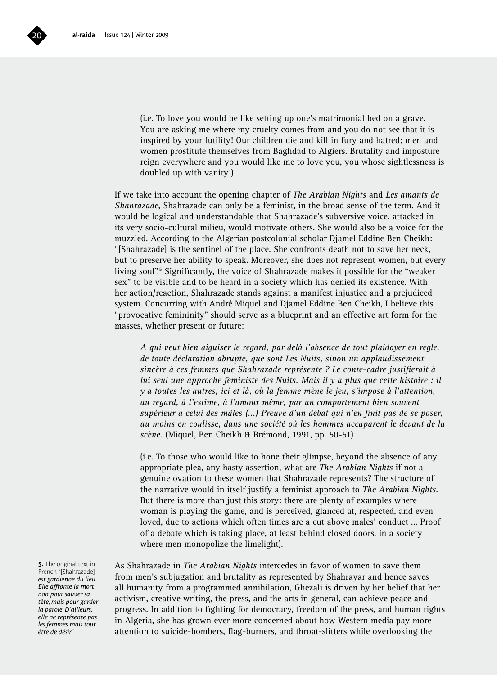

(i.e. To love you would be like setting up one's matrimonial bed on a grave. You are asking me where my cruelty comes from and you do not see that it is inspired by your futility! Our children die and kill in fury and hatred; men and women prostitute themselves from Baghdad to Algiers. Brutality and imposture reign everywhere and you would like me to love you, you whose sightlessness is doubled up with vanity!)

If we take into account the opening chapter of *The Arabian Nights* and *Les amants de Shahrazade*, Shahrazade can only be a feminist, in the broad sense of the term. And it would be logical and understandable that Shahrazade's subversive voice, attacked in its very socio-cultural milieu, would motivate others. She would also be a voice for the muzzled. According to the Algerian postcolonial scholar Djamel Eddine Ben Cheikh: "[Shahrazade] is the sentinel of the place. She confronts death not to save her neck, but to preserve her ability to speak. Moreover, she does not represent women, but every living soul".<sup>5</sup> Significantly, the voice of Shahrazade makes it possible for the "weaker sex" to be visible and to be heard in a society which has denied its existence. With her action/reaction, Shahrazade stands against a manifest injustice and a prejudiced system. Concurring with André Miquel and Djamel Eddine Ben Cheikh, I believe this "provocative femininity" should serve as a blueprint and an effective art form for the masses, whether present or future:

*A qui veut bien aiguiser le regard, par delà l'absence de tout plaidoyer en règle, de toute déclaration abrupte, que sont Les Nuits, sinon un applaudissement sincère à ces femmes que Shahrazade représente ? Le conte-cadre justifierait à lui seul une approche féministe des Nuits. Mais il y a plus que cette histoire : il y a toutes les autres, ici et là, où la femme mène le jeu, s'impose à l'attention, au regard, à l'estime, à l'amour même, par un comportement bien souvent supérieur à celui des mâles (...) Preuve d'un débat qui n'en finit pas de se poser, au moins en coulisse, dans une société où les hommes accaparent le devant de la scène.* (Miquel, Ben Cheikh & Brémond, 1991, pp. 50-51)

(i.e. To those who would like to hone their glimpse, beyond the absence of any appropriate plea, any hasty assertion, what are *The Arabian Nights* if not a genuine ovation to these women that Shahrazade represents? The structure of the narrative would in itself justify a feminist approach to *The Arabian Nights*. But there is more than just this story: there are plenty of examples where woman is playing the game, and is perceived, glanced at, respected, and even loved, due to actions which often times are a cut above males' conduct ... Proof of a debate which is taking place, at least behind closed doors, in a society where men monopolize the limelight).

**5.** The original text in French "[Shahrazade] *est gardienne du lieu. Elle affronte la mort non pour sauver sa tête, mais pour garder la parole. D'ailleurs, elle ne représente pas les femmes mais tout être de désir*".

As Shahrazade in *The Arabian Nights* intercedes in favor of women to save them from men's subjugation and brutality as represented by Shahrayar and hence saves all humanity from a programmed annihilation, Ghezali is driven by her belief that her activism, creative writing, the press, and the arts in general, can achieve peace and progress. In addition to fighting for democracy, freedom of the press, and human rights in Algeria, she has grown ever more concerned about how Western media pay more attention to suicide-bombers, flag-burners, and throat-slitters while overlooking the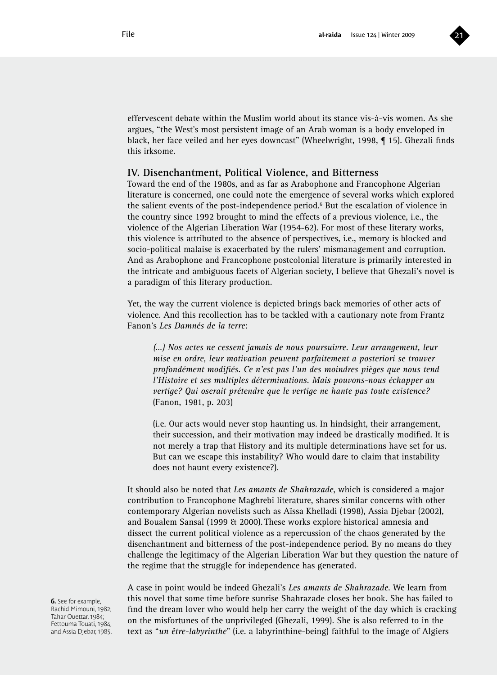

effervescent debate within the Muslim world about its stance vis-à-vis women. As she argues, "the West's most persistent image of an Arab woman is a body enveloped in black, her face veiled and her eyes downcast" (Wheelwright, 1998, ¶ 15). Ghezali finds this irksome.

### **IV. Disenchantment, Political Violence, and Bitterness**

Toward the end of the 1980s, and as far as Arabophone and Francophone Algerian literature is concerned, one could note the emergence of several works which explored the salient events of the post-independence period.<sup>6</sup> But the escalation of violence in the country since 1992 brought to mind the effects of a previous violence, i.e., the violence of the Algerian Liberation War (1954-62). For most of these literary works, this violence is attributed to the absence of perspectives, i.e., memory is blocked and socio-political malaise is exacerbated by the rulers' mismanagement and corruption. And as Arabophone and Francophone postcolonial literature is primarily interested in the intricate and ambiguous facets of Algerian society, I believe that Ghezali's novel is a paradigm of this literary production.

Yet, the way the current violence is depicted brings back memories of other acts of violence. And this recollection has to be tackled with a cautionary note from Frantz Fanon's *Les Damnés de la terre*:

*(…) Nos actes ne cessent jamais de nous poursuivre. Leur arrangement, leur mise en ordre, leur motivation peuvent parfaitement a posteriori se trouver profondément modifiés. Ce n'est pas l'un des moindres pièges que nous tend l'Histoire et ses multiples déterminations. Mais pouvons-nous échapper au vertige? Qui oserait prétendre que le vertige ne hante pas toute existence?* (Fanon, 1981, p. 203)

(i.e. Our acts would never stop haunting us. In hindsight, their arrangement, their succession, and their motivation may indeed be drastically modified. It is not merely a trap that History and its multiple determinations have set for us. But can we escape this instability? Who would dare to claim that instability does not haunt every existence?).

It should also be noted that *Les amants de Shahrazade*, which is considered a major contribution to Francophone Maghrebi literature, shares similar concerns with other contemporary Algerian novelists such as Aïssa Khelladi (1998), Assia Djebar (2002), and Boualem Sansal (1999 & 2000). These works explore historical amnesia and dissect the current political violence as a repercussion of the chaos generated by the disenchantment and bitterness of the post-independence period. By no means do they challenge the legitimacy of the Algerian Liberation War but they question the nature of the regime that the struggle for independence has generated.

A case in point would be indeed Ghezali's *Les amants de Shahrazade*. We learn from this novel that some time before sunrise Shahrazade closes her book. She has failed to find the dream lover who would help her carry the weight of the day which is cracking on the misfortunes of the unprivileged (Ghezali, 1999). She is also referred to in the text as "*un être-labyrinthe*" (i.e. a labyrinthine-being) faithful to the image of Algiers

**6.** See for example Rachid Mimouni, 1982; Tahar Ouettar, 1984; Fettouma Touati, 1984; and Assia Djebar, 1985.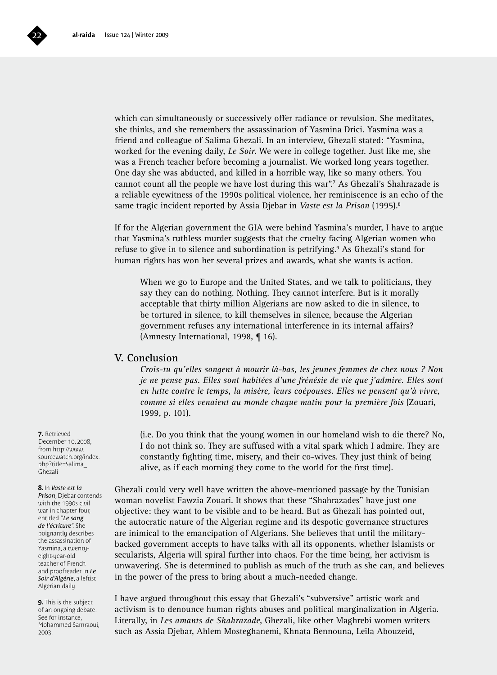

which can simultaneously or successively offer radiance or revulsion. She meditates, she thinks, and she remembers the assassination of Yasmina Drici. Yasmina was a friend and colleague of Salima Ghezali. In an interview, Ghezali stated: "Yasmina, worked for the evening daily, *Le Soir*. We were in college together. Just like me, she was a French teacher before becoming a journalist. We worked long years together. One day she was abducted, and killed in a horrible way, like so many others. You cannot count all the people we have lost during this war".7 As Ghezali's Shahrazade is a reliable eyewitness of the 1990s political violence, her reminiscence is an echo of the same tragic incident reported by Assia Djebar in *Vaste est la Prison* (1995).8

If for the Algerian government the GIA were behind Yasmina's murder, I have to argue that Yasmina's ruthless murder suggests that the cruelty facing Algerian women who refuse to give in to silence and subordination is petrifying.<sup>9</sup> As Ghezali's stand for human rights has won her several prizes and awards, what she wants is action.

When we go to Europe and the United States, and we talk to politicians, they say they can do nothing. Nothing. They cannot interfere. But is it morally acceptable that thirty million Algerians are now asked to die in silence, to be tortured in silence, to kill themselves in silence, because the Algerian government refuses any international interference in its internal affairs? (Amnesty International, 1998, ¶ 16).

### **V. Conclusion**

*Crois-tu qu'elles songent à mourir là-bas, les jeunes femmes de chez nous ? Non je ne pense pas. Elles sont habitées d'une frénésie de vie que j'admire. Elles sont en lutte contre le temps, la misère, leurs coépouses. Elles ne pensent qu'à vivre, comme si elles venaient au monde chaque matin pour la première fois* (Zouari, 1999, p. 101).

(i.e. Do you think that the young women in our homeland wish to die there? No, I do not think so. They are suffused with a vital spark which I admire. They are constantly fighting time, misery, and their co-wives. They just think of being alive, as if each morning they come to the world for the first time).

Ghezali could very well have written the above-mentioned passage by the Tunisian woman novelist Fawzia Zouari. It shows that these "Shahrazades" have just one objective: they want to be visible and to be heard. But as Ghezali has pointed out, the autocratic nature of the Algerian regime and its despotic governance structures are inimical to the emancipation of Algerians. She believes that until the militarybacked government accepts to have talks with all its opponents, whether Islamists or secularists, Algeria will spiral further into chaos. For the time being, her activism is unwavering. She is determined to publish as much of the truth as she can, and believes in the power of the press to bring about a much-needed change.

I have argued throughout this essay that Ghezali's "subversive" artistic work and activism is to denounce human rights abuses and political marginalization in Algeria. Literally, in *Les amants de Shahrazade*, Ghezali, like other Maghrebi women writers such as Assia Djebar, Ahlem Mosteghanemi, Khnata Bennouna, Leïla Abouzeid,

**7.** Retrieved December 10, 2008, from http://www. sourcewatch.org/index. php?title=Salima\_ Ghezali

### **8.** In *Vaste est la*

*Prison*, Djebar contends with the 1990s civil war in chapter four, entitled "*Le sang de l'écriture*". She poignantly describes the assassination of Yasmina, a twentyeight-year-old teacher of French and proofreader in *Le Soir d'Algérie*, a leftist Algerian daily.

**9.** This is the subject of an ongoing debate. See for instance, Mohammed Samraoui, 2003.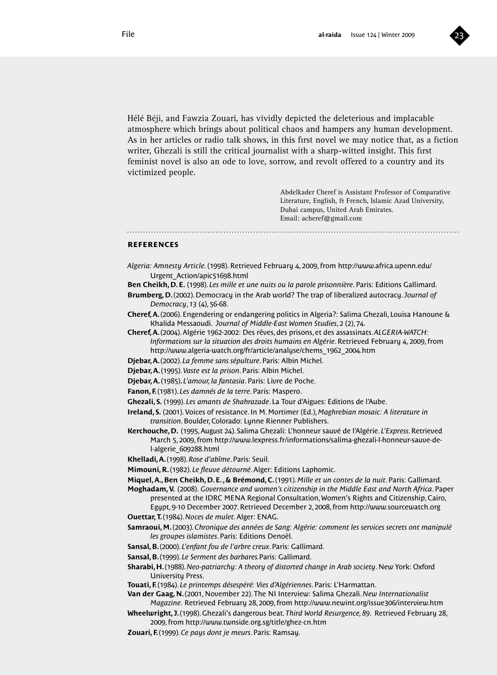

Hélé Béji, and Fawzia Zouari, has vividly depicted the deleterious and implacable atmosphere which brings about political chaos and hampers any human development. As in her articles or radio talk shows, in this first novel we may notice that, as a fiction writer, Ghezali is still the critical journalist with a sharp-witted insight. This first feminist novel is also an ode to love, sorrow, and revolt offered to a country and its victimized people.

> Abdelkader Cheref is Assistant Professor of Comparative Literature, English, & French, Islamic Azad University, Dubai campus, United Arab Emirates. Email: acheref@gmail.com

### **references**

- *Algeria: Amnesty Article.* (1998). Retrieved February 4, 2009, from http://www.africa.upenn.edu/ Urgent\_Action/apic51698.html
- **Ben Cheikh, D. E.** (1998). *Les mille et une nuits ou la parole prisonnière*. Paris: Editions Gallimard.
- **Brumberg, D.** (2002). Democracy in the Arab world? The trap of liberalized autocracy. *Journal of Democracy*, *13* (4), 56-68.
- **Cheref, A.** (2006). Engendering or endangering politics in Algeria?: Salima Ghezali, Louisa Hanoune & Khalida Messaoudi. *Journal of Middle-East Women Studies*, 2 (2), 74.
- **Cheref, A.** (2004). Algérie 1962-2002: Des rêves, des prisons, et des assassinats. *ALGERIA-WATCH: Informations sur la situation des droits humains en Algérie*. Retrieved February 4, 2009, from http://www.algeria-watch.org/fr/article/analyse/chems\_1962\_2004.htm
- **Djebar, A.** (2002). *La femme sans sépulture*. Paris: Albin Michel.
- **Djebar, A.** (1995). *Vaste est la prison*. Paris: Albin Michel.
- **Djebar, A.** (1985)**.** *L'amour, la fantasia*. Paris: Livre de Poche.
- **Fanon, F.** (1981). *Les damnés de la terre*. Paris: Maspero.
- **Ghezali, S.** (1999). *Les amants de Shahrazade*. La Tour d'Aigues: Editions de l'Aube.
- **Ireland, S.** (2001). Voices of resistance. In M. Mortimer (Ed.), *Maghrebian mosaic: A literature in transition*. Boulder, Colorado: Lynne Rienner Publishers.
- **Kerchouche, D.** (1995, August 24). Salima Ghezali: L'honneur sauvé de l'Algérie. *L'Express*. Retrieved March 5, 2009, from http://www.lexpress.fr/informations/salima-ghezali-l-honneur-sauve-del-algerie\_609288.html
- **Khelladi, A.** (1998). *Rose d'abîme*. Paris: Seuil.
- **Mimouni, R.** (1982). *Le fleuve détourné*. Alger: Editions Laphomic.
- **Miquel, A., Ben Cheikh, D. E. , & Brémond, C.** (1991). *Mille et un contes de la nuit*. Paris: Gallimard.
- **Moghadam, V.** (2008). *Governance and women's citizenship in the Middle East and North Africa*. Paper presented at the IDRC MENA Regional Consultation, Women's Rights and Citizenship, Cairo,
- Egypt, 9-10 December 2007. Retrieved December 2, 2008, from http://www.sourcewatch.org **Ouettar, T.** (1984). *Noces de mulet.* Alger: ENAG.
- **Samraoui, M.** (2003). *Chronique des années de Sang: Algérie: comment les services secrets ont manipulé les groupes islamistes*. Paris: Editions Denoël.
- **Sansal, B.** (2000). *L'enfant fou de l'arbre creux*. Paris: Gallimard.
- **Sansal, B.** (1999). *Le Serment des barbares.*Paris: Gallimard.
- **Sharabi, H.** (1988). *Neo-patriarchy: A theory of distorted change in Arab society*. New York: Oxford University Press.
- **Touati, F.** (1984). *Le printemps désespéré: Vies d'Algériennes*. Paris: L'Harmattan.
- **Van der Gaag, N.** (2001, November 22). The NI Interview: Salima Ghezali. *New Internationalist Magazine.* Retrieved February 28, 2009, from http://www.newint.org/issue306/interview.htm
- **Wheelwright, J.** (1998). Ghezali's dangerous beat. *Third World Resurgence, 89*. Retrieved February 28, 2009, from http://www.twnside.org.sg/title/ghez-cn.htm
- **Zouari, F.** (1999). *Ce pays dont je meurs*. Paris: Ramsay.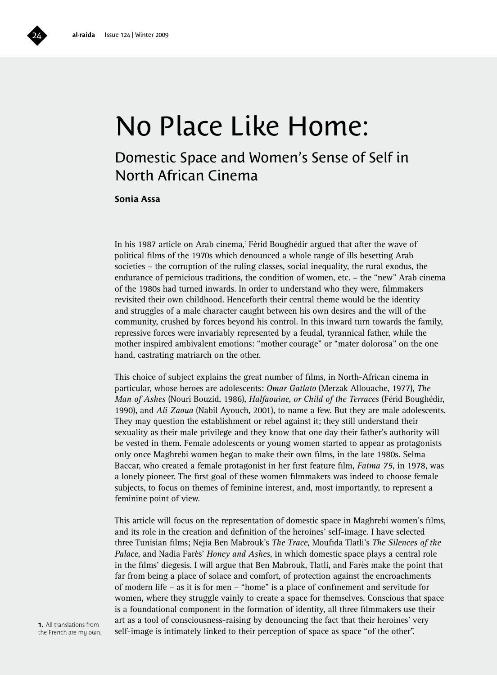# No Place Like Home:

### Domestic Space and Women's Sense of Self in North African Cinema

### **Sonia Assa**

In his 1987 article on Arab cinema,<sup>1</sup> Férid Boughédir argued that after the wave of political films of the 1970s which denounced a whole range of ills besetting Arab societies – the corruption of the ruling classes, social inequality, the rural exodus, the endurance of pernicious traditions, the condition of women, etc. – the "new" Arab cinema of the 1980s had turned inwards. In order to understand who they were, filmmakers revisited their own childhood. Henceforth their central theme would be the identity and struggles of a male character caught between his own desires and the will of the community, crushed by forces beyond his control. In this inward turn towards the family, repressive forces were invariably represented by a feudal, tyrannical father, while the mother inspired ambivalent emotions: "mother courage" or "mater dolorosa" on the one hand, castrating matriarch on the other.

This choice of subject explains the great number of films, in North-African cinema in particular, whose heroes are adolescents: *Omar Gatlato* (Merzak Allouache, 1977), *The Man of Ashes* (Nouri Bouzid, 1986), *Halfaouine*, *or Child of the Terraces* (Férid Boughédir, 1990), and *Ali Zaoua* (Nabil Ayouch, 2001), to name a few. But they are male adolescents. They may question the establishment or rebel against it; they still understand their sexuality as their male privilege and they know that one day their father's authority will be vested in them. Female adolescents or young women started to appear as protagonists only once Maghrebi women began to make their own films, in the late 1980s. Selma Baccar, who created a female protagonist in her first feature film, *Fatma 75*, in 1978, was a lonely pioneer. The first goal of these women filmmakers was indeed to choose female subjects, to focus on themes of feminine interest, and, most importantly, to represent a feminine point of view.

This article will focus on the representation of domestic space in Maghrebi women's films, and its role in the creation and definition of the heroines' self-image. I have selected three Tunisian films; Nejia Ben Mabrouk's *The Trace*, Moufida Tlatli's *The Silences of the Palace*, and Nadia Farès' *Honey and Ashes*, in which domestic space plays a central role in the films' diegesis. I will argue that Ben Mabrouk, Tlatli, and Farès make the point that far from being a place of solace and comfort, of protection against the encroachments of modern life – as it is for men – "home" is a place of confinement and servitude for women, where they struggle vainly to create a space for themselves. Conscious that space is a foundational component in the formation of identity, all three filmmakers use their art as a tool of consciousness-raising by denouncing the fact that their heroines' very self-image is intimately linked to their perception of space as space "of the other".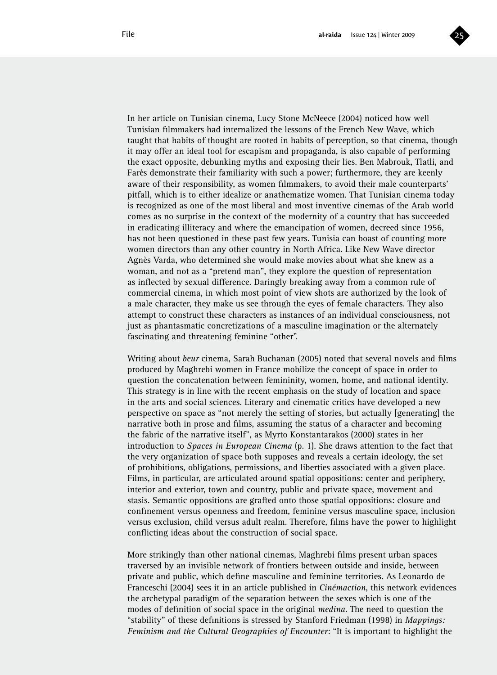

In her article on Tunisian cinema, Lucy Stone McNeece (2004) noticed how well Tunisian filmmakers had internalized the lessons of the French New Wave, which taught that habits of thought are rooted in habits of perception, so that cinema, though it may offer an ideal tool for escapism and propaganda, is also capable of performing the exact opposite, debunking myths and exposing their lies. Ben Mabrouk, Tlatli, and Farès demonstrate their familiarity with such a power; furthermore, they are keenly aware of their responsibility, as women filmmakers, to avoid their male counterparts' pitfall, which is to either idealize or anathematize women. That Tunisian cinema today is recognized as one of the most liberal and most inventive cinemas of the Arab world comes as no surprise in the context of the modernity of a country that has succeeded in eradicating illiteracy and where the emancipation of women, decreed since 1956, has not been questioned in these past few years. Tunisia can boast of counting more women directors than any other country in North Africa. Like New Wave director Agnès Varda, who determined she would make movies about what she knew as a woman, and not as a "pretend man", they explore the question of representation as inflected by sexual difference. Daringly breaking away from a common rule of commercial cinema, in which most point of view shots are authorized by the look of a male character, they make us see through the eyes of female characters. They also attempt to construct these characters as instances of an individual consciousness, not just as phantasmatic concretizations of a masculine imagination or the alternately fascinating and threatening feminine "other".

Writing about *beur* cinema, Sarah Buchanan (2005) noted that several novels and films produced by Maghrebi women in France mobilize the concept of space in order to question the concatenation between femininity, women, home, and national identity. This strategy is in line with the recent emphasis on the study of location and space in the arts and social sciences. Literary and cinematic critics have developed a new perspective on space as "not merely the setting of stories, but actually [generating] the narrative both in prose and films, assuming the status of a character and becoming the fabric of the narrative itself", as Myrto Konstantarakos (2000) states in her introduction to *Spaces in European Cinema* (p. 1). She draws attention to the fact that the very organization of space both supposes and reveals a certain ideology, the set of prohibitions, obligations, permissions, and liberties associated with a given place. Films, in particular, are articulated around spatial oppositions: center and periphery, interior and exterior, town and country, public and private space, movement and stasis. Semantic oppositions are grafted onto those spatial oppositions: closure and confinement versus openness and freedom, feminine versus masculine space, inclusion versus exclusion, child versus adult realm. Therefore, films have the power to highlight conflicting ideas about the construction of social space.

More strikingly than other national cinemas, Maghrebi films present urban spaces traversed by an invisible network of frontiers between outside and inside, between private and public, which define masculine and feminine territories. As Leonardo de Franceschi (2004) sees it in an article published in *Cinémaction*, this network evidences the archetypal paradigm of the separation between the sexes which is one of the modes of definition of social space in the original *medina*. The need to question the "stability" of these definitions is stressed by Stanford Friedman (1998) in *Mappings: Feminism and the Cultural Geographies of Encounter*: "It is important to highlight the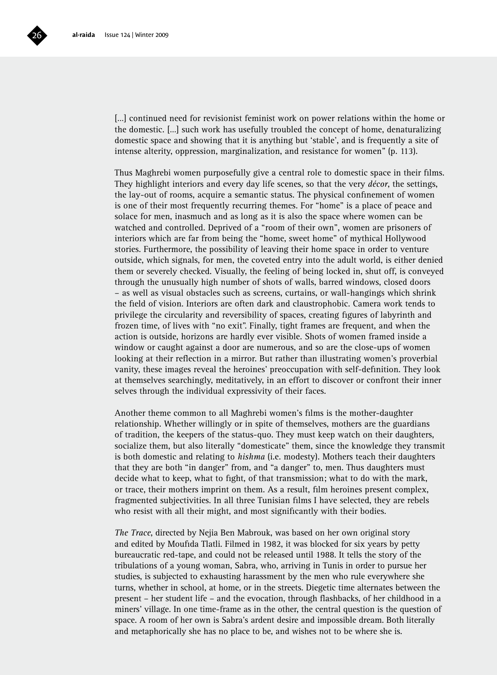

[…] continued need for revisionist feminist work on power relations within the home or the domestic. […] such work has usefully troubled the concept of home, denaturalizing domestic space and showing that it is anything but 'stable', and is frequently a site of intense alterity, oppression, marginalization, and resistance for women" (p. 113).

Thus Maghrebi women purposefully give a central role to domestic space in their films. They highlight interiors and every day life scenes, so that the very *décor*, the settings, the lay-out of rooms, acquire a semantic status. The physical confinement of women is one of their most frequently recurring themes. For "home" is a place of peace and solace for men, inasmuch and as long as it is also the space where women can be watched and controlled. Deprived of a "room of their own", women are prisoners of interiors which are far from being the "home, sweet home" of mythical Hollywood stories. Furthermore, the possibility of leaving their home space in order to venture outside, which signals, for men, the coveted entry into the adult world, is either denied them or severely checked. Visually, the feeling of being locked in, shut off, is conveyed through the unusually high number of shots of walls, barred windows, closed doors – as well as visual obstacles such as screens, curtains, or wall-hangings which shrink the field of vision. Interiors are often dark and claustrophobic. Camera work tends to privilege the circularity and reversibility of spaces, creating figures of labyrinth and frozen time, of lives with "no exit". Finally, tight frames are frequent, and when the action is outside, horizons are hardly ever visible. Shots of women framed inside a window or caught against a door are numerous, and so are the close-ups of women looking at their reflection in a mirror. But rather than illustrating women's proverbial vanity, these images reveal the heroines' preoccupation with self-definition. They look at themselves searchingly, meditatively, in an effort to discover or confront their inner selves through the individual expressivity of their faces.

Another theme common to all Maghrebi women's films is the mother-daughter relationship. Whether willingly or in spite of themselves, mothers are the guardians of tradition, the keepers of the status-quo. They must keep watch on their daughters, socialize them, but also literally "domesticate" them, since the knowledge they transmit is both domestic and relating to *hishma* (i.e. modesty). Mothers teach their daughters that they are both "in danger" from, and "a danger" to, men. Thus daughters must decide what to keep, what to fight, of that transmission; what to do with the mark, or trace, their mothers imprint on them. As a result, film heroines present complex, fragmented subjectivities. In all three Tunisian films I have selected, they are rebels who resist with all their might, and most significantly with their bodies.

*The Trace*, directed by Nejia Ben Mabrouk, was based on her own original story and edited by Moufida Tlatli. Filmed in 1982, it was blocked for six years by petty bureaucratic red-tape, and could not be released until 1988. It tells the story of the tribulations of a young woman, Sabra, who, arriving in Tunis in order to pursue her studies, is subjected to exhausting harassment by the men who rule everywhere she turns, whether in school, at home, or in the streets. Diegetic time alternates between the present – her student life – and the evocation, through flashbacks, of her childhood in a miners' village. In one time-frame as in the other, the central question is the question of space. A room of her own is Sabra's ardent desire and impossible dream. Both literally and metaphorically she has no place to be, and wishes not to be where she is.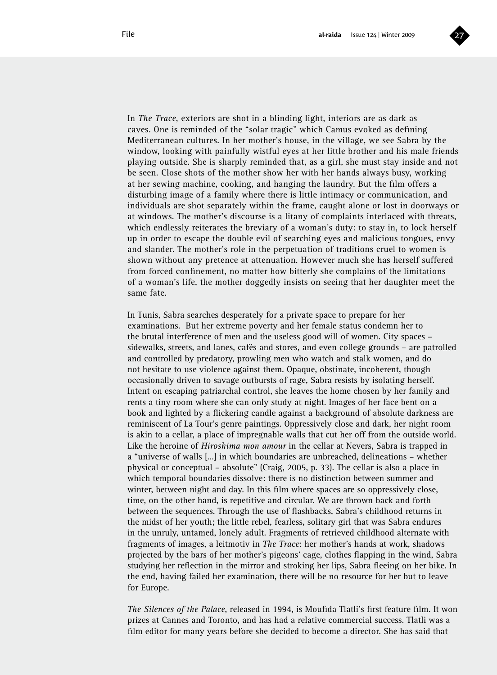

In *The Trace*, exteriors are shot in a blinding light, interiors are as dark as caves. One is reminded of the "solar tragic" which Camus evoked as defining Mediterranean cultures. In her mother's house, in the village, we see Sabra by the window, looking with painfully wistful eyes at her little brother and his male friends playing outside. She is sharply reminded that, as a girl, she must stay inside and not be seen. Close shots of the mother show her with her hands always busy, working at her sewing machine, cooking, and hanging the laundry. But the film offers a disturbing image of a family where there is little intimacy or communication, and individuals are shot separately within the frame, caught alone or lost in doorways or at windows. The mother's discourse is a litany of complaints interlaced with threats, which endlessly reiterates the breviary of a woman's duty: to stay in, to lock herself up in order to escape the double evil of searching eyes and malicious tongues, envy and slander. The mother's role in the perpetuation of traditions cruel to women is shown without any pretence at attenuation. However much she has herself suffered from forced confinement, no matter how bitterly she complains of the limitations of a woman's life, the mother doggedly insists on seeing that her daughter meet the same fate.

In Tunis, Sabra searches desperately for a private space to prepare for her examinations. But her extreme poverty and her female status condemn her to the brutal interference of men and the useless good will of women. City spaces – sidewalks, streets, and lanes, cafés and stores, and even college grounds – are patrolled and controlled by predatory, prowling men who watch and stalk women, and do not hesitate to use violence against them. Opaque, obstinate, incoherent, though occasionally driven to savage outbursts of rage, Sabra resists by isolating herself. Intent on escaping patriarchal control, she leaves the home chosen by her family and rents a tiny room where she can only study at night. Images of her face bent on a book and lighted by a flickering candle against a background of absolute darkness are reminiscent of La Tour's genre paintings. Oppressively close and dark, her night room is akin to a cellar, a place of impregnable walls that cut her off from the outside world. Like the heroine of *Hiroshima mon amour* in the cellar at Nevers, Sabra is trapped in a "universe of walls […] in which boundaries are unbreached, delineations – whether physical or conceptual – absolute" (Craig, 2005, p. 33). The cellar is also a place in which temporal boundaries dissolve: there is no distinction between summer and winter, between night and day. In this film where spaces are so oppressively close, time, on the other hand, is repetitive and circular. We are thrown back and forth between the sequences. Through the use of flashbacks, Sabra's childhood returns in the midst of her youth; the little rebel, fearless, solitary girl that was Sabra endures in the unruly, untamed, lonely adult. Fragments of retrieved childhood alternate with fragments of images, a leitmotiv in *The Trace*: her mother's hands at work, shadows projected by the bars of her mother's pigeons' cage, clothes flapping in the wind, Sabra studying her reflection in the mirror and stroking her lips, Sabra fleeing on her bike. In the end, having failed her examination, there will be no resource for her but to leave for Europe.

*The Silences of the Palace*, released in 1994, is Moufida Tlatli's first feature film. It won prizes at Cannes and Toronto, and has had a relative commercial success. Tlatli was a film editor for many years before she decided to become a director. She has said that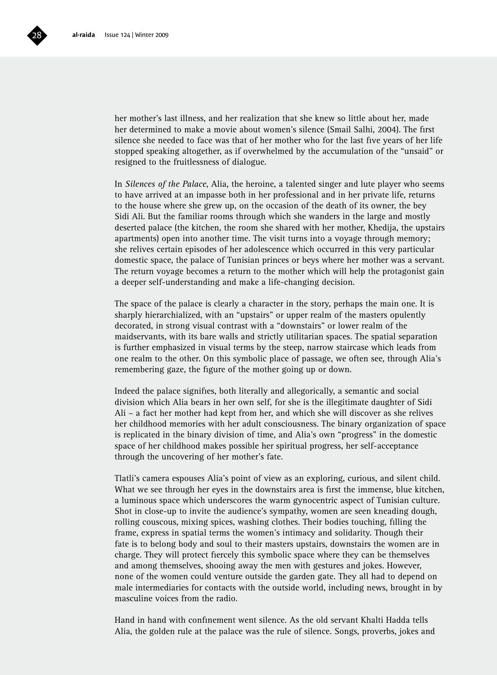

her mother's last illness, and her realization that she knew so little about her, made her determined to make a movie about women's silence (Smail Salhi, 2004). The first silence she needed to face was that of her mother who for the last five years of her life stopped speaking altogether, as if overwhelmed by the accumulation of the "unsaid" or resigned to the fruitlessness of dialogue.

In *Silences of the Palace*, Alia, the heroine, a talented singer and lute player who seems to have arrived at an impasse both in her professional and in her private life, returns to the house where she grew up, on the occasion of the death of its owner, the bey Sidi Ali. But the familiar rooms through which she wanders in the large and mostly deserted palace (the kitchen, the room she shared with her mother, Khedija, the upstairs apartments) open into another time. The visit turns into a voyage through memory; she relives certain episodes of her adolescence which occurred in this very particular domestic space, the palace of Tunisian princes or beys where her mother was a servant. The return voyage becomes a return to the mother which will help the protagonist gain a deeper self-understanding and make a life-changing decision.

The space of the palace is clearly a character in the story, perhaps the main one. It is sharply hierarchialized, with an "upstairs" or upper realm of the masters opulently decorated, in strong visual contrast with a "downstairs" or lower realm of the maidservants, with its bare walls and strictly utilitarian spaces. The spatial separation is further emphasized in visual terms by the steep, narrow staircase which leads from one realm to the other. On this symbolic place of passage, we often see, through Alia's remembering gaze, the figure of the mother going up or down.

Indeed the palace signifies, both literally and allegorically, a semantic and social division which Alia bears in her own self, for she is the illegitimate daughter of Sidi Ali – a fact her mother had kept from her, and which she will discover as she relives her childhood memories with her adult consciousness. The binary organization of space is replicated in the binary division of time, and Alia's own "progress" in the domestic space of her childhood makes possible her spiritual progress, her self-acceptance through the uncovering of her mother's fate.

Tlatli's camera espouses Alia's point of view as an exploring, curious, and silent child. What we see through her eyes in the downstairs area is first the immense, blue kitchen, a luminous space which underscores the warm gynocentric aspect of Tunisian culture. Shot in close-up to invite the audience's sympathy, women are seen kneading dough, rolling couscous, mixing spices, washing clothes. Their bodies touching, filling the frame, express in spatial terms the women's intimacy and solidarity. Though their fate is to belong body and soul to their masters upstairs, downstairs the women are in charge. They will protect fiercely this symbolic space where they can be themselves and among themselves, shooing away the men with gestures and jokes. However, none of the women could venture outside the garden gate. They all had to depend on male intermediaries for contacts with the outside world, including news, brought in by masculine voices from the radio.

Hand in hand with confinement went silence. As the old servant Khalti Hadda tells Alia, the golden rule at the palace was the rule of silence. Songs, proverbs, jokes and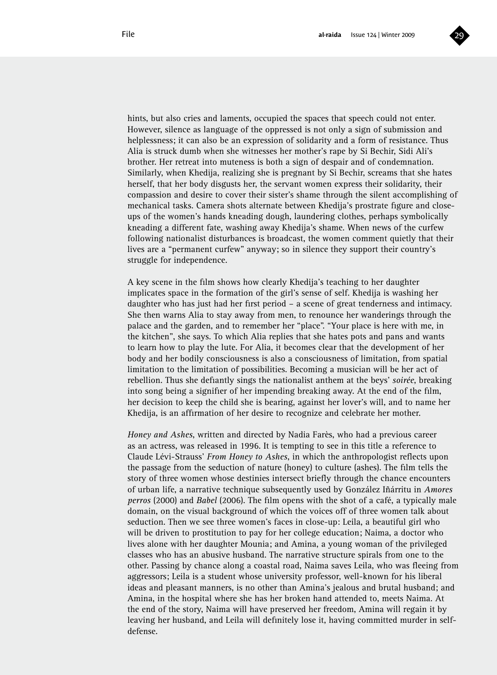

hints, but also cries and laments, occupied the spaces that speech could not enter. However, silence as language of the oppressed is not only a sign of submission and helplessness; it can also be an expression of solidarity and a form of resistance. Thus Alia is struck dumb when she witnesses her mother's rape by Si Bechir, Sidi Ali's brother. Her retreat into muteness is both a sign of despair and of condemnation. Similarly, when Khedija, realizing she is pregnant by Si Bechir, screams that she hates herself, that her body disgusts her, the servant women express their solidarity, their compassion and desire to cover their sister's shame through the silent accomplishing of mechanical tasks. Camera shots alternate between Khedija's prostrate figure and closeups of the women's hands kneading dough, laundering clothes, perhaps symbolically kneading a different fate, washing away Khedija's shame. When news of the curfew following nationalist disturbances is broadcast, the women comment quietly that their lives are a "permanent curfew" anyway; so in silence they support their country's struggle for independence.

A key scene in the film shows how clearly Khedija's teaching to her daughter implicates space in the formation of the girl's sense of self. Khedija is washing her daughter who has just had her first period – a scene of great tenderness and intimacy. She then warns Alia to stay away from men, to renounce her wanderings through the palace and the garden, and to remember her "place". "Your place is here with me, in the kitchen", she says. To which Alia replies that she hates pots and pans and wants to learn how to play the lute. For Alia, it becomes clear that the development of her body and her bodily consciousness is also a consciousness of limitation, from spatial limitation to the limitation of possibilities. Becoming a musician will be her act of rebellion. Thus she defiantly sings the nationalist anthem at the beys' *soirée*, breaking into song being a signifier of her impending breaking away. At the end of the film, her decision to keep the child she is bearing, against her lover's will, and to name her Khedija, is an affirmation of her desire to recognize and celebrate her mother.

*Honey and Ashes*, written and directed by Nadia Farès, who had a previous career as an actress, was released in 1996. It is tempting to see in this title a reference to Claude Lévi-Strauss' *From Honey to Ashes*, in which the anthropologist reflects upon the passage from the seduction of nature (honey) to culture (ashes). The film tells the story of three women whose destinies intersect briefly through the chance encounters of urban life, a narrative technique subsequently used by González Iñárritu in *Amores perros* (2000) and *Babel* (2006). The film opens with the shot of a café, a typically male domain, on the visual background of which the voices off of three women talk about seduction. Then we see three women's faces in close-up: Leila, a beautiful girl who will be driven to prostitution to pay for her college education; Naima, a doctor who lives alone with her daughter Mounia; and Amina, a young woman of the privileged classes who has an abusive husband. The narrative structure spirals from one to the other. Passing by chance along a coastal road, Naima saves Leila, who was fleeing from aggressors; Leila is a student whose university professor, well-known for his liberal ideas and pleasant manners, is no other than Amina's jealous and brutal husband; and Amina, in the hospital where she has her broken hand attended to, meets Naima. At the end of the story, Naima will have preserved her freedom, Amina will regain it by leaving her husband, and Leila will definitely lose it, having committed murder in selfdefense.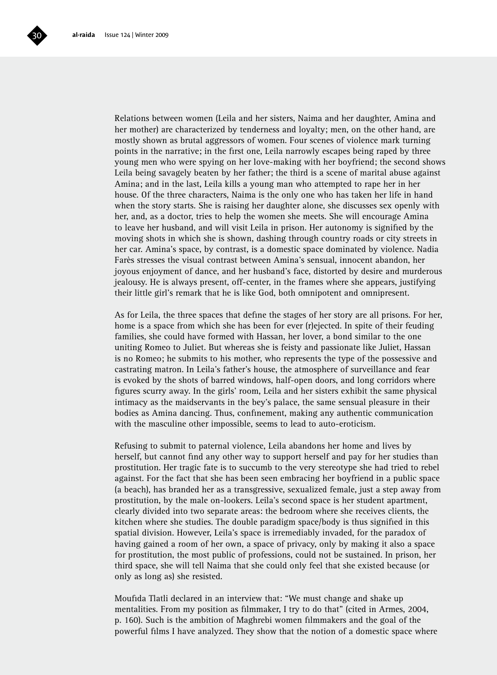

Relations between women (Leila and her sisters, Naima and her daughter, Amina and her mother) are characterized by tenderness and loyalty; men, on the other hand, are mostly shown as brutal aggressors of women. Four scenes of violence mark turning points in the narrative; in the first one, Leila narrowly escapes being raped by three young men who were spying on her love-making with her boyfriend; the second shows Leila being savagely beaten by her father; the third is a scene of marital abuse against Amina; and in the last, Leila kills a young man who attempted to rape her in her house. Of the three characters, Naima is the only one who has taken her life in hand when the story starts. She is raising her daughter alone, she discusses sex openly with her, and, as a doctor, tries to help the women she meets. She will encourage Amina to leave her husband, and will visit Leila in prison. Her autonomy is signified by the moving shots in which she is shown, dashing through country roads or city streets in her car. Amina's space, by contrast, is a domestic space dominated by violence. Nadia Farès stresses the visual contrast between Amina's sensual, innocent abandon, her joyous enjoyment of dance, and her husband's face, distorted by desire and murderous jealousy. He is always present, off-center, in the frames where she appears, justifying their little girl's remark that he is like God, both omnipotent and omnipresent.

As for Leila, the three spaces that define the stages of her story are all prisons. For her, home is a space from which she has been for ever (r)ejected. In spite of their feuding families, she could have formed with Hassan, her lover, a bond similar to the one uniting Romeo to Juliet. But whereas she is feisty and passionate like Juliet, Hassan is no Romeo; he submits to his mother, who represents the type of the possessive and castrating matron. In Leila's father's house, the atmosphere of surveillance and fear is evoked by the shots of barred windows, half-open doors, and long corridors where figures scurry away. In the girls' room, Leila and her sisters exhibit the same physical intimacy as the maidservants in the bey's palace, the same sensual pleasure in their bodies as Amina dancing. Thus, confinement, making any authentic communication with the masculine other impossible, seems to lead to auto-eroticism.

Refusing to submit to paternal violence, Leila abandons her home and lives by herself, but cannot find any other way to support herself and pay for her studies than prostitution. Her tragic fate is to succumb to the very stereotype she had tried to rebel against. For the fact that she has been seen embracing her boyfriend in a public space (a beach), has branded her as a transgressive, sexualized female, just a step away from prostitution, by the male on-lookers. Leila's second space is her student apartment, clearly divided into two separate areas: the bedroom where she receives clients, the kitchen where she studies. The double paradigm space/body is thus signified in this spatial division. However, Leila's space is irremediably invaded, for the paradox of having gained a room of her own, a space of privacy, only by making it also a space for prostitution, the most public of professions, could not be sustained. In prison, her third space, she will tell Naima that she could only feel that she existed because (or only as long as) she resisted.

Moufida Tlatli declared in an interview that: "We must change and shake up mentalities. From my position as filmmaker, I try to do that" (cited in Armes, 2004, p. 160). Such is the ambition of Maghrebi women filmmakers and the goal of the powerful films I have analyzed. They show that the notion of a domestic space where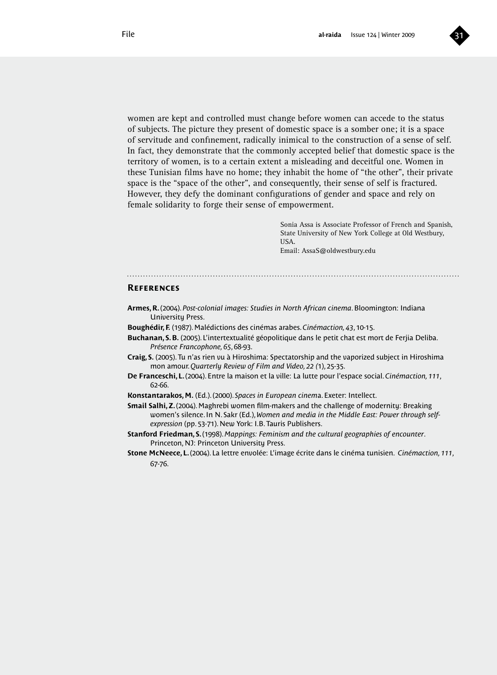

women are kept and controlled must change before women can accede to the status of subjects. The picture they present of domestic space is a somber one; it is a space of servitude and confinement, radically inimical to the construction of a sense of self. In fact, they demonstrate that the commonly accepted belief that domestic space is the territory of women, is to a certain extent a misleading and deceitful one. Women in these Tunisian films have no home; they inhabit the home of "the other", their private space is the "space of the other", and consequently, their sense of self is fractured. However, they defy the dominant configurations of gender and space and rely on female solidarity to forge their sense of empowerment.

> Sonia Assa is Associate Professor of French and Spanish, State University of New York College at Old Westbury, USA. Email: AssaS@oldwestbury.edu

### **References**

- **Armes, R.** (2004). *Post-colonial images: Studies in North African cinema*. Bloomington: Indiana University Press.
- **Boughédir, F.** (1987). Malédictions des cinémas arabes. *Cinémaction, 43*, 10-15.
- **Buchanan, S. B.** (2005). L'intertextualité géopolitique dans le petit chat est mort de Ferjia Deliba. *Présence Francophone, 65*, 68-93.
- **Craig, S.** (2005). Tu n'as rien vu à Hiroshima: Spectatorship and the vaporized subject in Hiroshima mon amour. *Quarterly Review of Film and Video, 22 (*1), 25-35.
- **De Franceschi, L.** (2004). Entre la maison et la ville: La lutte pour l'espace social. *Cinémaction, 111*, 62-66.
- **Konstantarakos, M.** (Ed.). (2000). *Spaces in European cinem*a. Exeter: Intellect.
- **Smail Salhi, Z.** (2004). Maghrebi women film-makers and the challenge of modernity: Breaking women's silence. In N. Sakr (Ed.), *Women and media in the Middle East: Power through selfexpression* (pp. 53-71). New York: I.B. Tauris Publishers.
- **Stanford Friedman, S.** (1998). *Mappings: Feminism and the cultural geographies of encounter*. Princeton, NJ: Princeton University Press.
- **Stone McNeece, L.** (2004). La lettre envolée: L'image écrite dans le cinéma tunisien. *Cinémaction, 111*, 67-76.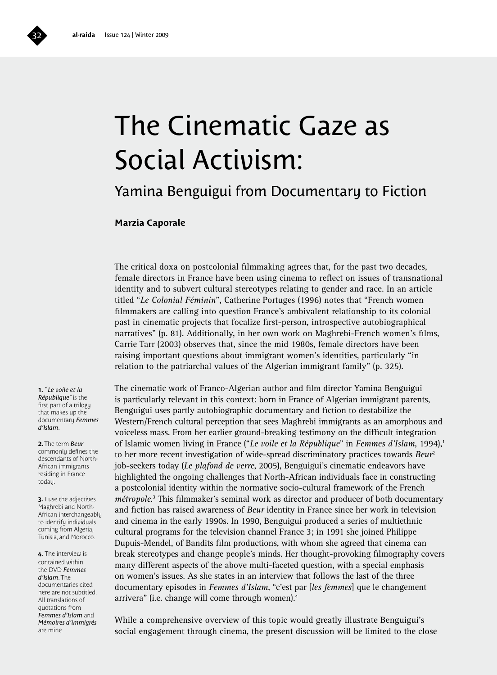# The Cinematic Gaze as Social Activism:

### Yamina Benguigui from Documentary to Fiction

### **Marzia Caporale**

The critical doxa on postcolonial filmmaking agrees that, for the past two decades, female directors in France have been using cinema to reflect on issues of transnational identity and to subvert cultural stereotypes relating to gender and race. In an article titled "*Le Colonial Féminin*", Catherine Portuges (1996) notes that "French women filmmakers are calling into question France's ambivalent relationship to its colonial past in cinematic projects that focalize first-person, introspective autobiographical narratives" (p. 81). Additionally, in her own work on Maghrebi-French women's films, Carrie Tarr (2003) observes that, since the mid 1980s, female directors have been raising important questions about immigrant women's identities, particularly "in relation to the patriarchal values of the Algerian immigrant family" (p. 325).

**1.** "*Le voile et la République*" is the first part of a trilogy that makes up the documentary *Femmes d'Islam*.

**2.** The term *Beur* commonly defines the descendants of North-African immigrants residing in France today.

**3.** I use the adjectives Maghrebi and North-African interchangeably to identify individuals coming from Algeria, Tunisia, and Morocco.

**4.** The interview is contained within the DVD *Femmes d'Islam*. The documentaries cited here are not subtitled. All translations of quotations from *Femmes d'Islam* and *Mémoires d'immigrés* are mine.

The cinematic work of Franco-Algerian author and film director Yamina Benguigui is particularly relevant in this context: born in France of Algerian immigrant parents, Benguigui uses partly autobiographic documentary and fiction to destabilize the Western/French cultural perception that sees Maghrebi immigrants as an amorphous and voiceless mass. From her earlier ground-breaking testimony on the difficult integration of Islamic women living in France ("*Le voile et la République*" in *Femmes d'Islam*, 1994),<sup>1</sup> to her more recent investigation of wide-spread discriminatory practices towards *Beur*<sup>2</sup> job-seekers today (*Le plafond de verre*, 2005), Benguigui's cinematic endeavors have highlighted the ongoing challenges that North-African individuals face in constructing a postcolonial identity within the normative socio-cultural framework of the French métropole.<sup>3</sup> This filmmaker's seminal work as director and producer of both documentary and fiction has raised awareness of *Beur* identity in France since her work in television and cinema in the early 1990s. In 1990, Benguigui produced a series of multiethnic cultural programs for the television channel France 3; in 1991 she joined Philippe Dupuis-Mendel, of Bandits film productions, with whom she agreed that cinema can break stereotypes and change people's minds. Her thought-provoking filmography covers many different aspects of the above multi-faceted question, with a special emphasis on women's issues. As she states in an interview that follows the last of the three documentary episodes in *Femmes d'Islam*, "c'est par [*les femmes*] que le changement arrivera" (i.e. change will come through women).4

While a comprehensive overview of this topic would greatly illustrate Benguigui's social engagement through cinema, the present discussion will be limited to the close

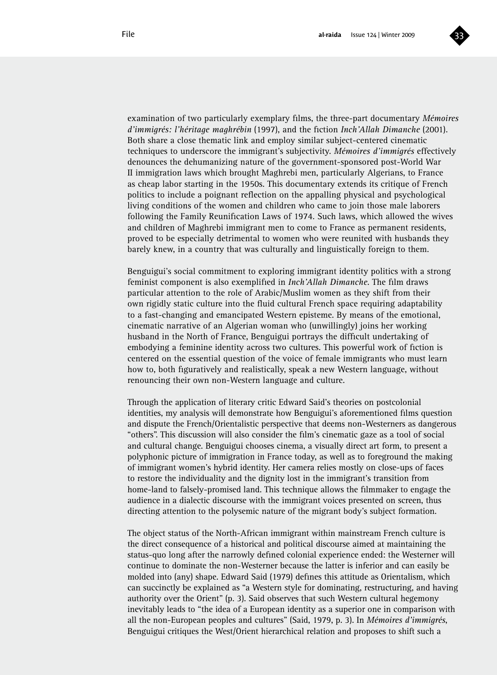

examination of two particularly exemplary films, the three-part documentary *Mémoires d'immigrés: l'héritage maghrébin* (1997), and the fiction *Inch'Allah Dimanche* (2001). Both share a close thematic link and employ similar subject-centered cinematic techniques to underscore the immigrant's subjectivity. *Mémoires d'immigrés* effectively denounces the dehumanizing nature of the government-sponsored post-World War II immigration laws which brought Maghrebi men, particularly Algerians, to France as cheap labor starting in the 1950s. This documentary extends its critique of French politics to include a poignant reflection on the appalling physical and psychological living conditions of the women and children who came to join those male laborers following the Family Reunification Laws of 1974. Such laws, which allowed the wives and children of Maghrebi immigrant men to come to France as permanent residents, proved to be especially detrimental to women who were reunited with husbands they barely knew, in a country that was culturally and linguistically foreign to them.

Benguigui's social commitment to exploring immigrant identity politics with a strong feminist component is also exemplified in *Inch'Allah Dimanche*. The film draws particular attention to the role of Arabic/Muslim women as they shift from their own rigidly static culture into the fluid cultural French space requiring adaptability to a fast-changing and emancipated Western episteme. By means of the emotional, cinematic narrative of an Algerian woman who (unwillingly) joins her working husband in the North of France, Benguigui portrays the difficult undertaking of embodying a feminine identity across two cultures. This powerful work of fiction is centered on the essential question of the voice of female immigrants who must learn how to, both figuratively and realistically, speak a new Western language, without renouncing their own non-Western language and culture.

Through the application of literary critic Edward Said's theories on postcolonial identities, my analysis will demonstrate how Benguigui's aforementioned films question and dispute the French/Orientalistic perspective that deems non-Westerners as dangerous "others". This discussion will also consider the film's cinematic gaze as a tool of social and cultural change. Benguigui chooses cinema, a visually direct art form, to present a polyphonic picture of immigration in France today, as well as to foreground the making of immigrant women's hybrid identity. Her camera relies mostly on close-ups of faces to restore the individuality and the dignity lost in the immigrant's transition from home-land to falsely-promised land. This technique allows the filmmaker to engage the audience in a dialectic discourse with the immigrant voices presented on screen, thus directing attention to the polysemic nature of the migrant body's subject formation.

The object status of the North-African immigrant within mainstream French culture is the direct consequence of a historical and political discourse aimed at maintaining the status-quo long after the narrowly defined colonial experience ended: the Westerner will continue to dominate the non-Westerner because the latter is inferior and can easily be molded into (any) shape. Edward Said (1979) defines this attitude as Orientalism, which can succinctly be explained as "a Western style for dominating, restructuring, and having authority over the Orient" (p. 3). Said observes that such Western cultural hegemony inevitably leads to "the idea of a European identity as a superior one in comparison with all the non-European peoples and cultures" (Said, 1979, p. 3). In *Mémoires d'immigrés*, Benguigui critiques the West/Orient hierarchical relation and proposes to shift such a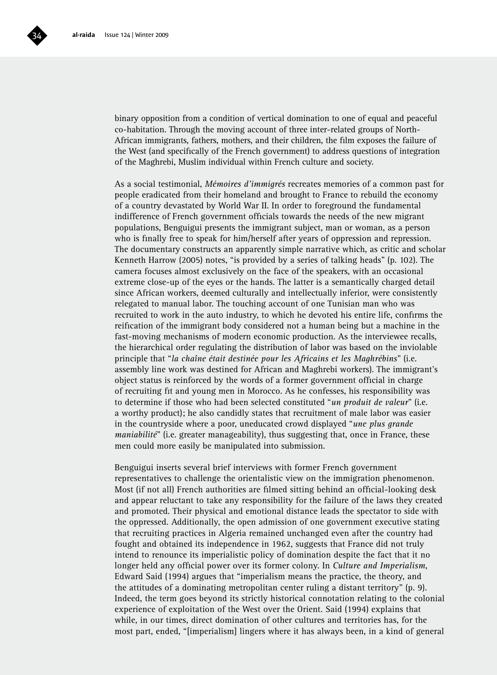

binary opposition from a condition of vertical domination to one of equal and peaceful co-habitation. Through the moving account of three inter-related groups of North-African immigrants, fathers, mothers, and their children, the film exposes the failure of the West (and specifically of the French government) to address questions of integration of the Maghrebi, Muslim individual within French culture and society.

As a social testimonial, *Mémoires d'immigrés* recreates memories of a common past for people eradicated from their homeland and brought to France to rebuild the economy of a country devastated by World War II. In order to foreground the fundamental indifference of French government officials towards the needs of the new migrant populations, Benguigui presents the immigrant subject, man or woman, as a person who is finally free to speak for him/herself after years of oppression and repression. The documentary constructs an apparently simple narrative which, as critic and scholar Kenneth Harrow (2005) notes, "is provided by a series of talking heads" (p. 102). The camera focuses almost exclusively on the face of the speakers, with an occasional extreme close-up of the eyes or the hands. The latter is a semantically charged detail since African workers, deemed culturally and intellectually inferior, were consistently relegated to manual labor. The touching account of one Tunisian man who was recruited to work in the auto industry, to which he devoted his entire life, confirms the reification of the immigrant body considered not a human being but a machine in the fast-moving mechanisms of modern economic production. As the interviewee recalls, the hierarchical order regulating the distribution of labor was based on the inviolable principle that "*la chaîne était destinée pour les Africains et les Maghrébins*" (i.e. assembly line work was destined for African and Maghrebi workers). The immigrant's object status is reinforced by the words of a former government official in charge of recruiting fit and young men in Morocco. As he confesses, his responsibility was to determine if those who had been selected constituted "*un produit de valeur*" (i.e. a worthy product); he also candidly states that recruitment of male labor was easier in the countryside where a poor, uneducated crowd displayed "*une plus grande maniabilité*" (i.e. greater manageability), thus suggesting that, once in France, these men could more easily be manipulated into submission.

Benguigui inserts several brief interviews with former French government representatives to challenge the orientalistic view on the immigration phenomenon. Most (if not all) French authorities are filmed sitting behind an official-looking desk and appear reluctant to take any responsibility for the failure of the laws they created and promoted. Their physical and emotional distance leads the spectator to side with the oppressed. Additionally, the open admission of one government executive stating that recruiting practices in Algeria remained unchanged even after the country had fought and obtained its independence in 1962, suggests that France did not truly intend to renounce its imperialistic policy of domination despite the fact that it no longer held any official power over its former colony. In *Culture and Imperialism*, Edward Said (1994) argues that "imperialism means the practice, the theory, and the attitudes of a dominating metropolitan center ruling a distant territory" (p. 9). Indeed, the term goes beyond its strictly historical connotation relating to the colonial experience of exploitation of the West over the Orient. Said (1994) explains that while, in our times, direct domination of other cultures and territories has, for the most part, ended, "[imperialism] lingers where it has always been, in a kind of general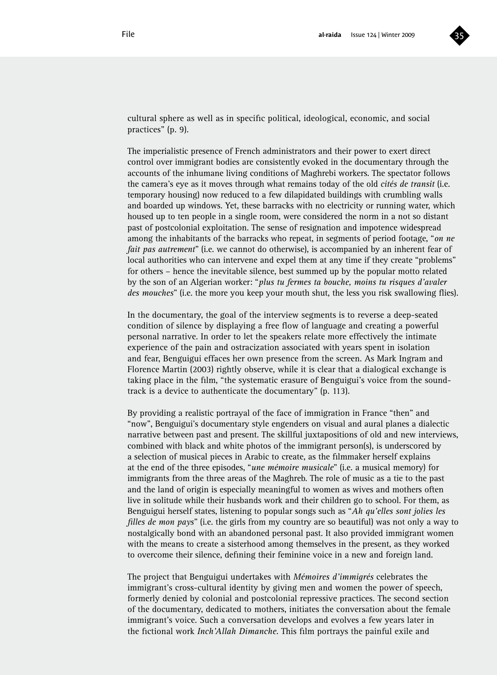

cultural sphere as well as in specific political, ideological, economic, and social practices" (p. 9).

The imperialistic presence of French administrators and their power to exert direct control over immigrant bodies are consistently evoked in the documentary through the accounts of the inhumane living conditions of Maghrebi workers. The spectator follows the camera's eye as it moves through what remains today of the old *cités de transit* (i.e. temporary housing) now reduced to a few dilapidated buildings with crumbling walls and boarded up windows. Yet, these barracks with no electricity or running water, which housed up to ten people in a single room, were considered the norm in a not so distant past of postcolonial exploitation. The sense of resignation and impotence widespread among the inhabitants of the barracks who repeat, in segments of period footage, "*on ne fait pas autrement*" (i.e. we cannot do otherwise), is accompanied by an inherent fear of local authorities who can intervene and expel them at any time if they create "problems" for others – hence the inevitable silence, best summed up by the popular motto related by the son of an Algerian worker: "*plus tu fermes ta bouche, moins tu risques d'avaler des mouches*" (i.e. the more you keep your mouth shut, the less you risk swallowing flies).

In the documentary, the goal of the interview segments is to reverse a deep-seated condition of silence by displaying a free flow of language and creating a powerful personal narrative. In order to let the speakers relate more effectively the intimate experience of the pain and ostracization associated with years spent in isolation and fear, Benguigui effaces her own presence from the screen. As Mark Ingram and Florence Martin (2003) rightly observe, while it is clear that a dialogical exchange is taking place in the film, "the systematic erasure of Benguigui's voice from the soundtrack is a device to authenticate the documentary" (p. 113).

By providing a realistic portrayal of the face of immigration in France "then" and "now", Benguigui's documentary style engenders on visual and aural planes a dialectic narrative between past and present. The skillful juxtapositions of old and new interviews, combined with black and white photos of the immigrant person(s), is underscored by a selection of musical pieces in Arabic to create, as the filmmaker herself explains at the end of the three episodes, "*une mémoire musicale*" (i.e. a musical memory) for immigrants from the three areas of the Maghreb. The role of music as a tie to the past and the land of origin is especially meaningful to women as wives and mothers often live in solitude while their husbands work and their children go to school. For them, as Benguigui herself states, listening to popular songs such as "*Ah qu'elles sont jolies les filles de mon pays*" (i.e. the girls from my country are so beautiful) was not only a way to nostalgically bond with an abandoned personal past. It also provided immigrant women with the means to create a sisterhood among themselves in the present, as they worked to overcome their silence, defining their feminine voice in a new and foreign land.

The project that Benguigui undertakes with *Mémoires d'immigrés* celebrates the immigrant's cross-cultural identity by giving men and women the power of speech, formerly denied by colonial and postcolonial repressive practices. The second section of the documentary, dedicated to mothers, initiates the conversation about the female immigrant's voice. Such a conversation develops and evolves a few years later in the fictional work *Inch'Allah Dimanche*. This film portrays the painful exile and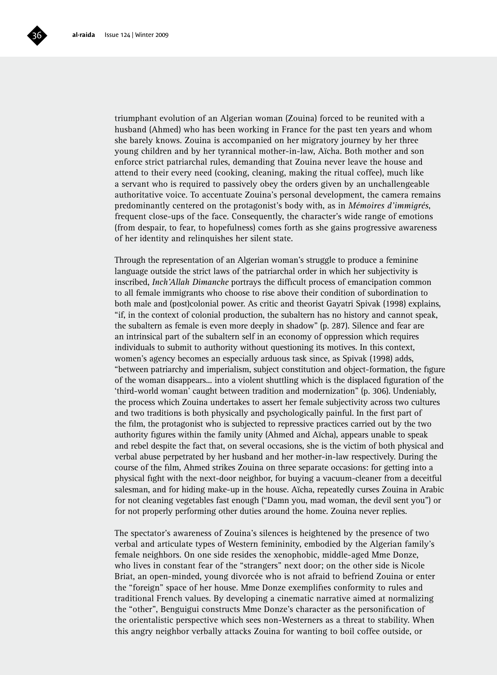

triumphant evolution of an Algerian woman (Zouina) forced to be reunited with a husband (Ahmed) who has been working in France for the past ten years and whom she barely knows. Zouina is accompanied on her migratory journey by her three young children and by her tyrannical mother-in-law, Aïcha. Both mother and son enforce strict patriarchal rules, demanding that Zouina never leave the house and attend to their every need (cooking, cleaning, making the ritual coffee), much like a servant who is required to passively obey the orders given by an unchallengeable authoritative voice. To accentuate Zouina's personal development, the camera remains predominantly centered on the protagonist's body with, as in *Mémoires d'immigrés*, frequent close-ups of the face. Consequently, the character's wide range of emotions (from despair, to fear, to hopefulness) comes forth as she gains progressive awareness of her identity and relinquishes her silent state.

Through the representation of an Algerian woman's struggle to produce a feminine language outside the strict laws of the patriarchal order in which her subjectivity is inscribed, *Inch'Allah Dimanche* portrays the difficult process of emancipation common to all female immigrants who choose to rise above their condition of subordination to both male and (post)colonial power. As critic and theorist Gayatri Spivak (1998) explains, "if, in the context of colonial production, the subaltern has no history and cannot speak, the subaltern as female is even more deeply in shadow" (p. 287). Silence and fear are an intrinsical part of the subaltern self in an economy of oppression which requires individuals to submit to authority without questioning its motives. In this context, women's agency becomes an especially arduous task since, as Spivak (1998) adds, "between patriarchy and imperialism, subject constitution and object-formation, the figure of the woman disappears... into a violent shuttling which is the displaced figuration of the 'third-world woman' caught between tradition and modernization" (p. 306). Undeniably, the process which Zouina undertakes to assert her female subjectivity across two cultures and two traditions is both physically and psychologically painful. In the first part of the film, the protagonist who is subjected to repressive practices carried out by the two authority figures within the family unity (Ahmed and Aïcha), appears unable to speak and rebel despite the fact that, on several occasions, she is the victim of both physical and verbal abuse perpetrated by her husband and her mother-in-law respectively. During the course of the film, Ahmed strikes Zouina on three separate occasions: for getting into a physical fight with the next-door neighbor, for buying a vacuum-cleaner from a deceitful salesman, and for hiding make-up in the house. Aïcha, repeatedly curses Zouina in Arabic for not cleaning vegetables fast enough ("Damn you, mad woman, the devil sent you") or for not properly performing other duties around the home. Zouina never replies.

The spectator's awareness of Zouina's silences is heightened by the presence of two verbal and articulate types of Western femininity, embodied by the Algerian family's female neighbors. On one side resides the xenophobic, middle-aged Mme Donze, who lives in constant fear of the "strangers" next door; on the other side is Nicole Briat, an open-minded, young divorcée who is not afraid to befriend Zouina or enter the "foreign" space of her house. Mme Donze exemplifies conformity to rules and traditional French values. By developing a cinematic narrative aimed at normalizing the "other", Benguigui constructs Mme Donze's character as the personification of the orientalistic perspective which sees non-Westerners as a threat to stability. When this angry neighbor verbally attacks Zouina for wanting to boil coffee outside, or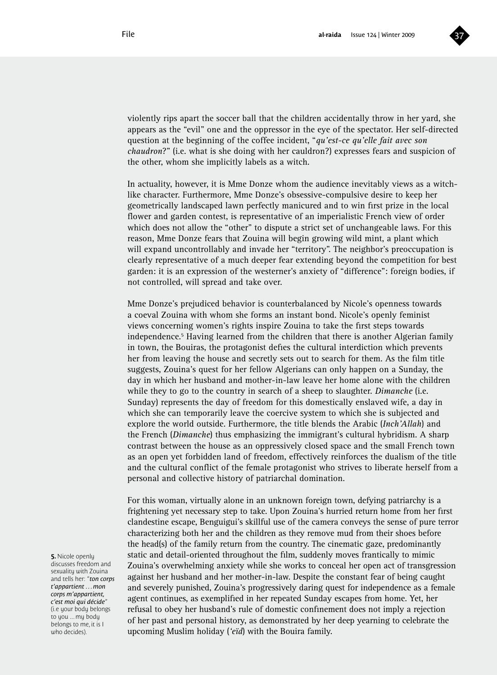

violently rips apart the soccer ball that the children accidentally throw in her yard, she appears as the "evil" one and the oppressor in the eye of the spectator. Her self-directed question at the beginning of the coffee incident, "*qu'est-ce qu'elle fait avec son chaudron*?" (i.e. what is she doing with her cauldron?) expresses fears and suspicion of the other, whom she implicitly labels as a witch.

In actuality, however, it is Mme Donze whom the audience inevitably views as a witchlike character. Furthermore, Mme Donze's obsessive-compulsive desire to keep her geometrically landscaped lawn perfectly manicured and to win first prize in the local flower and garden contest, is representative of an imperialistic French view of order which does not allow the "other" to dispute a strict set of unchangeable laws. For this reason, Mme Donze fears that Zouina will begin growing wild mint, a plant which will expand uncontrollably and invade her "territory". The neighbor's preoccupation is clearly representative of a much deeper fear extending beyond the competition for best garden: it is an expression of the westerner's anxiety of "difference": foreign bodies, if not controlled, will spread and take over.

Mme Donze's prejudiced behavior is counterbalanced by Nicole's openness towards a coeval Zouina with whom she forms an instant bond. Nicole's openly feminist views concerning women's rights inspire Zouina to take the first steps towards independence.5 Having learned from the children that there is another Algerian family in town, the Bouiras, the protagonist defies the cultural interdiction which prevents her from leaving the house and secretly sets out to search for them. As the film title suggests, Zouina's quest for her fellow Algerians can only happen on a Sunday, the day in which her husband and mother-in-law leave her home alone with the children while they to go to the country in search of a sheep to slaughter. *Dimanche* (i.e. Sunday) represents the day of freedom for this domestically enslaved wife, a day in which she can temporarily leave the coercive system to which she is subjected and explore the world outside. Furthermore, the title blends the Arabic (*Inch'Allah*) and the French (*Dimanche*) thus emphasizing the immigrant's cultural hybridism. A sharp contrast between the house as an oppressively closed space and the small French town as an open yet forbidden land of freedom, effectively reinforces the dualism of the title and the cultural conflict of the female protagonist who strives to liberate herself from a personal and collective history of patriarchal domination.

For this woman, virtually alone in an unknown foreign town, defying patriarchy is a frightening yet necessary step to take. Upon Zouina's hurried return home from her first clandestine escape, Benguigui's skillful use of the camera conveys the sense of pure terror characterizing both her and the children as they remove mud from their shoes before the head(s) of the family return from the country. The cinematic gaze, predominantly static and detail-oriented throughout the film, suddenly moves frantically to mimic Zouina's overwhelming anxiety while she works to conceal her open act of transgression against her husband and her mother-in-law. Despite the constant fear of being caught and severely punished, Zouina's progressively daring quest for independence as a female agent continues, as exemplified in her repeated Sunday escapes from home. Yet, her refusal to obey her husband's rule of domestic confinement does not imply a rejection of her past and personal history, as demonstrated by her deep yearning to celebrate the upcoming Muslim holiday (*'eïd*) with the Bouira family.

**5.** Nicole openly discusses freedom and sexuality with Zouina and tells her: "*ton corps t'appartient . . . mon corps m'appartient, c'est moi qui décide*" (i.e your body belongs to you ... my body belongs to me, it is I who decides).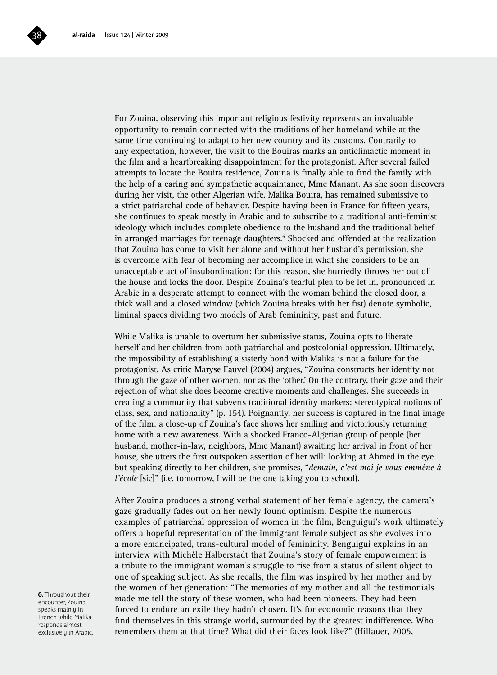

For Zouina, observing this important religious festivity represents an invaluable opportunity to remain connected with the traditions of her homeland while at the same time continuing to adapt to her new country and its customs. Contrarily to any expectation, however, the visit to the Bouiras marks an anticlimactic moment in the film and a heartbreaking disappointment for the protagonist. After several failed attempts to locate the Bouira residence, Zouina is finally able to find the family with the help of a caring and sympathetic acquaintance, Mme Manant. As she soon discovers during her visit, the other Algerian wife, Malika Bouira, has remained submissive to a strict patriarchal code of behavior. Despite having been in France for fifteen years, she continues to speak mostly in Arabic and to subscribe to a traditional anti-feminist ideology which includes complete obedience to the husband and the traditional belief in arranged marriages for teenage daughters.<sup>6</sup> Shocked and offended at the realization that Zouina has come to visit her alone and without her husband's permission, she is overcome with fear of becoming her accomplice in what she considers to be an unacceptable act of insubordination: for this reason, she hurriedly throws her out of the house and locks the door. Despite Zouina's tearful plea to be let in, pronounced in Arabic in a desperate attempt to connect with the woman behind the closed door, a thick wall and a closed window (which Zouina breaks with her fist) denote symbolic, liminal spaces dividing two models of Arab femininity, past and future.

While Malika is unable to overturn her submissive status, Zouina opts to liberate herself and her children from both patriarchal and postcolonial oppression. Ultimately, the impossibility of establishing a sisterly bond with Malika is not a failure for the protagonist. As critic Maryse Fauvel (2004) argues, "Zouina constructs her identity not through the gaze of other women, nor as the 'other.' On the contrary, their gaze and their rejection of what she does become creative moments and challenges. She succeeds in creating a community that subverts traditional identity markers: stereotypical notions of class, sex, and nationality" (p. 154). Poignantly, her success is captured in the final image of the film: a close-up of Zouina's face shows her smiling and victoriously returning home with a new awareness. With a shocked Franco-Algerian group of people (her husband, mother-in-law, neighbors, Mme Manant) awaiting her arrival in front of her house, she utters the first outspoken assertion of her will: looking at Ahmed in the eye but speaking directly to her children, she promises, "*demain, c'est moi je vous emmène à l'école* [sic]" (i.e. tomorrow, I will be the one taking you to school).

After Zouina produces a strong verbal statement of her female agency, the camera's gaze gradually fades out on her newly found optimism. Despite the numerous examples of patriarchal oppression of women in the film, Benguigui's work ultimately offers a hopeful representation of the immigrant female subject as she evolves into a more emancipated, trans-cultural model of femininity. Benguigui explains in an interview with Michèle Halberstadt that Zouina's story of female empowerment is a tribute to the immigrant woman's struggle to rise from a status of silent object to one of speaking subject. As she recalls, the film was inspired by her mother and by the women of her generation: "The memories of my mother and all the testimonials made me tell the story of these women, who had been pioneers. They had been forced to endure an exile they hadn't chosen. It's for economic reasons that they find themselves in this strange world, surrounded by the greatest indifference. Who remembers them at that time? What did their faces look like?" (Hillauer, 2005,

**6.** Throughout their encounter, Zouina speaks mainly in French while Malika responds almost exclusively in Arabic.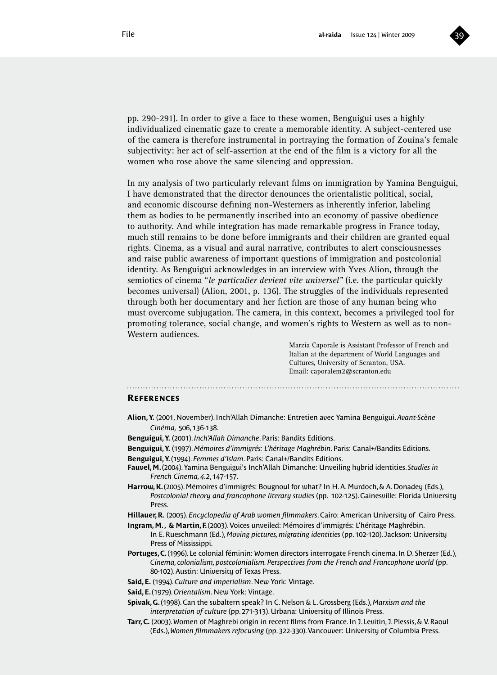

pp. 290-291). In order to give a face to these women, Benguigui uses a highly individualized cinematic gaze to create a memorable identity. A subject-centered use of the camera is therefore instrumental in portraying the formation of Zouina's female subjectivity: her act of self-assertion at the end of the film is a victory for all the women who rose above the same silencing and oppression.

In my analysis of two particularly relevant films on immigration by Yamina Benguigui, I have demonstrated that the director denounces the orientalistic political, social, and economic discourse defining non-Westerners as inherently inferior, labeling them as bodies to be permanently inscribed into an economy of passive obedience to authority. And while integration has made remarkable progress in France today, much still remains to be done before immigrants and their children are granted equal rights. Cinema, as a visual and aural narrative, contributes to alert consciousnesses and raise public awareness of important questions of immigration and postcolonial identity. As Benguigui acknowledges in an interview with Yves Alion, through the semiotics of cinema "*le particulier devient vite universel"* (i.e. the particular quickly becomes universal) (Alion, 2001, p. 136). The struggles of the individuals represented through both her documentary and her fiction are those of any human being who must overcome subjugation. The camera, in this context, becomes a privileged tool for promoting tolerance, social change, and women's rights to Western as well as to non-Western audiences.

> Marzia Caporale is Assistant Professor of French and Italian at the department of World Languages and Cultures, University of Scranton, USA. Email: caporalem2@scranton.edu

#### **References**

**Alion, Y.** (2001, November). Inch'Allah Dimanche: Entretien avec Yamina Benguigui. *Avant-Scène Cinéma,* 506, 136-138.

- **Benguigui, Y.** (2001). *Inch'Allah Dimanche*. Paris: Bandits Editions.
- **Benguigui, Y.** (1997). *Mémoires d'immigrés: L'héritage Maghrébin*. Paris: Canal+/Bandits Editions.
- **Benguigui, Y.** (1994). *Femmes d'Islam*. Paris: Canal+/Bandits Editions.
- **Fauvel, M.** (2004). Yamina Benguigui's Inch'Allah Dimanche: Unveiling hybrid identities. *Studies in French Cinema, 4.2*, 147-157.
- **Harrow, K.** (2005). Mémoires d'immigrés: Bougnoul for what? In H. A. Murdoch, & A. Donadey (Eds.), *Postcolonial theory and francophone literary studies* (pp. 102-125). Gainesville: Florida University Press.
- **Hillauer, R.** (2005). *Encyclopedia of Arab women filmmakers*. Cairo: American University of Cairo Press.
- **Ingram, M. , & Martin, F.** (2003). Voices unveiled: Mémoires d'immigrés: L'héritage Maghrébin. In E. Rueschmann (Ed.), *Moving pictures, migrating identities* (pp. 102-120). Jackson: University Press of Mississippi.
- **Portuges, C.** (1996). Le colonial féminin: Women directors interrogate French cinema. In D. Sherzer (Ed.), *Cinema, colonialism, postcolonialism. Perspectives from the French and Francophone world* (pp. 80-102). Austin: University of Texas Press.
- **Said, E.** (1994). *Culture and imperialism*. New York: Vintage.
- **Said, E.** (1979). *Orientalism*. New York: Vintage.
- **Spivak, G.** (1998). Can the subaltern speak? In C. Nelson & L. Grossberg (Eds.), *Marxism and the interpretation of culture* (pp. 271-313). Urbana: University of Illinois Press.
- **Tarr, C.** (2003). Women of Maghrebi origin in recent films from France. In J. Levitin, J. Plessis, & V. Raoul (Eds.), *Women filmmakers refocusing* (pp. 322-330). Vancouver: University of Columbia Press.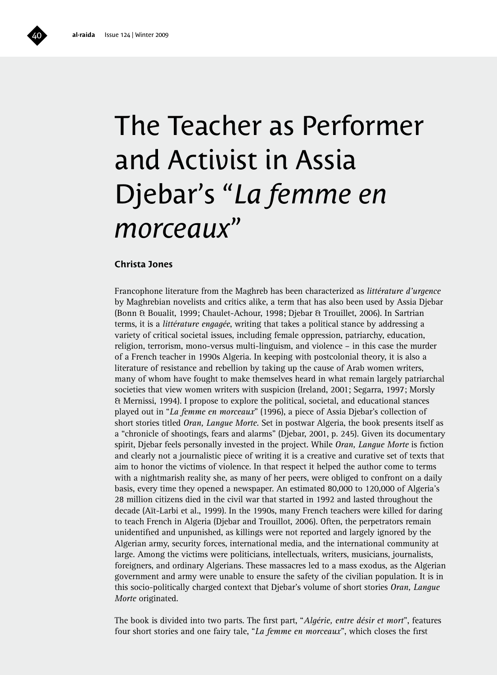# The Teacher as Performer and Activist in Assia Djebar's "*La femme en morceaux*"

#### **Christa Jones**

Francophone literature from the Maghreb has been characterized as *littérature d'urgence* by Maghrebian novelists and critics alike, a term that has also been used by Assia Djebar (Bonn & Boualit, 1999; Chaulet-Achour, 1998; Djebar & Trouillet, 2006). In Sartrian terms, it is a *littérature engagée*, writing that takes a political stance by addressing a variety of critical societal issues, including female oppression, patriarchy, education, religion, terrorism, mono-versus multi-linguism, and violence – in this case the murder of a French teacher in 1990s Algeria. In keeping with postcolonial theory, it is also a literature of resistance and rebellion by taking up the cause of Arab women writers, many of whom have fought to make themselves heard in what remain largely patriarchal societies that view women writers with suspicion (Ireland, 2001; Segarra, 1997; Morsly & Mernissi, 1994). I propose to explore the political, societal, and educational stances played out in "*La femme en morceaux*" (1996), a piece of Assia Djebar's collection of short stories titled *Oran, Langue Morte*. Set in postwar Algeria, the book presents itself as a "chronicle of shootings, fears and alarms" (Djebar, 2001, p. 245). Given its documentary spirit, Djebar feels personally invested in the project. While *Oran, Langue Morte* is fiction and clearly not a journalistic piece of writing it is a creative and curative set of texts that aim to honor the victims of violence. In that respect it helped the author come to terms with a nightmarish reality she, as many of her peers, were obliged to confront on a daily basis, every time they opened a newspaper. An estimated 80,000 to 120,000 of Algeria's 28 million citizens died in the civil war that started in 1992 and lasted throughout the decade (Aït-Larbi et al., 1999). In the 1990s, many French teachers were killed for daring to teach French in Algeria (Djebar and Trouillot, 2006). Often, the perpetrators remain unidentified and unpunished, as killings were not reported and largely ignored by the Algerian army, security forces, international media, and the international community at large. Among the victims were politicians, intellectuals, writers, musicians, journalists, foreigners, and ordinary Algerians. These massacres led to a mass exodus, as the Algerian government and army were unable to ensure the safety of the civilian population. It is in this socio-politically charged context that Djebar's volume of short stories *Oran, Langue Morte* originated.

The book is divided into two parts. The first part, "*Algérie, entre désir et mort*", features four short stories and one fairy tale, "*La femme en morceaux*", which closes the first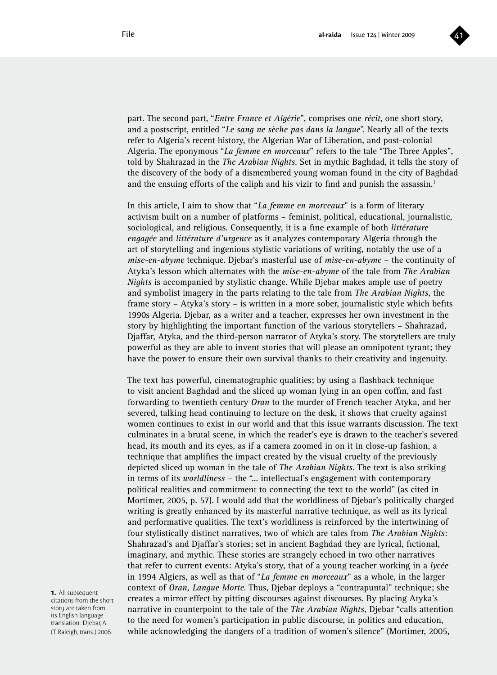

part. The second part, "*Entre France et Algérie*", comprises one *récit*, one short story, and a postscript, entitled "*Le sang ne sèche pas dans la langue*". Nearly all of the texts refer to Algeria's recent history, the Algerian War of Liberation, and post-colonial Algeria. The eponymous "*La femme en morceaux*" refers to the tale "The Three Apples", told by Shahrazad in the *The Arabian Nights*. Set in mythic Baghdad, it tells the story of the discovery of the body of a dismembered young woman found in the city of Baghdad and the ensuing efforts of the caliph and his vizir to find and punish the assassin.<sup>1</sup>

In this article, I aim to show that "*La femme en morceaux*" is a form of literary activism built on a number of platforms – feminist, political, educational, journalistic, sociological, and religious. Consequently, it is a fine example of both *littérature engagée* and *littérature d'urgence* as it analyzes contemporary Algeria through the art of storytelling and ingenious stylistic variations of writing, notably the use of a *mise-en-abyme* technique. Djebar's masterful use of *mise-en-abyme* – the continuity of Atyka's lesson which alternates with the *mise-en-abyme* of the tale from *The Arabian Nights* is accompanied by stylistic change. While Djebar makes ample use of poetry and symbolist imagery in the parts relating to the tale from *The Arabian Nights*, the frame story – Atyka's story – is written in a more sober, journalistic style which befits 1990s Algeria. Djebar, as a writer and a teacher, expresses her own investment in the story by highlighting the important function of the various storytellers – Shahrazad, Djaffar, Atyka, and the third-person narrator of Atyka's story. The storytellers are truly powerful as they are able to invent stories that will please an omnipotent tyrant; they have the power to ensure their own survival thanks to their creativity and ingenuity.

The text has powerful, cinematographic qualities; by using a flashback technique to visit ancient Baghdad and the sliced up woman lying in an open coffin, and fast forwarding to twentieth century *Oran* to the murder of French teacher Atyka, and her severed, talking head continuing to lecture on the desk, it shows that cruelty against women continues to exist in our world and that this issue warrants discussion. The text culminates in a brutal scene, in which the reader's eye is drawn to the teacher's severed head, its mouth and its eyes, as if a camera zoomed in on it in close-up fashion, a technique that amplifies the impact created by the visual cruelty of the previously depicted sliced up woman in the tale of *The Arabian Nights*. The text is also striking in terms of its *worldliness* – the "... intellectual's engagement with contemporary political realities and commitment to connecting the text to the world" (as cited in Mortimer, 2005, p. 57). I would add that the worldliness of Djebar's politically charged writing is greatly enhanced by its masterful narrative technique, as well as its lyrical and performative qualities. The text's worldliness is reinforced by the intertwining of four stylistically distinct narratives, two of which are tales from *The Arabian Nights*: Shahrazad's and Djaffar's stories; set in ancient Baghdad they are lyrical, fictional, imaginary, and mythic. These stories are strangely echoed in two other narratives that refer to current events: Atyka's story, that of a young teacher working in a *lycée* in 1994 Algiers, as well as that of "*La femme en morceaux*" as a whole, in the larger context of *Oran, Langue Morte*. Thus, Djebar deploys a "contrapuntal" technique; she creates a mirror effect by pitting discourses against discourses. By placing Atyka's narrative in counterpoint to the tale of the *The Arabian Nights,* Djebar "calls attention to the need for women's participation in public discourse, in politics and education, while acknowledging the dangers of a tradition of women's silence" (Mortimer, 2005,

**1.** All subsequent citations from the short story are taken from its English language translation: Djebar, A. (T. Raleigh, trans.) 2006.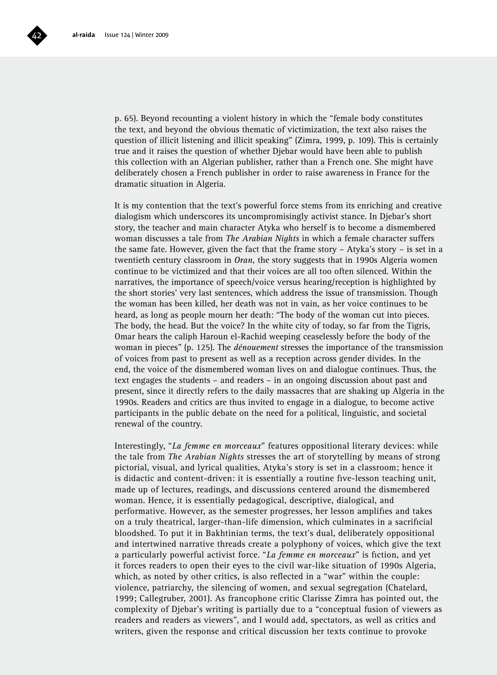

p. 65). Beyond recounting a violent history in which the "female body constitutes the text, and beyond the obvious thematic of victimization, the text also raises the question of illicit listening and illicit speaking" (Zimra, 1999, p. 109). This is certainly true and it raises the question of whether Djebar would have been able to publish this collection with an Algerian publisher, rather than a French one. She might have deliberately chosen a French publisher in order to raise awareness in France for the dramatic situation in Algeria.

It is my contention that the text's powerful force stems from its enriching and creative dialogism which underscores its uncompromisingly activist stance. In Djebar's short story, the teacher and main character Atyka who herself is to become a dismembered woman discusses a tale from *The Arabian Nights* in which a female character suffers the same fate. However, given the fact that the frame story – Atyka's story – is set in a twentieth century classroom in *Oran,* the story suggests that in 1990s Algeria women continue to be victimized and that their voices are all too often silenced. Within the narratives, the importance of speech/voice versus hearing/reception is highlighted by the short stories' very last sentences, which address the issue of transmission. Though the woman has been killed, her death was not in vain, as her voice continues to be heard, as long as people mourn her death: "The body of the woman cut into pieces. The body, the head. But the voice? In the white city of today, so far from the Tigris, Omar hears the caliph Haroun el-Rachid weeping ceaselessly before the body of the woman in pieces" (p. 125). The *dénouement* stresses the importance of the transmission of voices from past to present as well as a reception across gender divides. In the end, the voice of the dismembered woman lives on and dialogue continues. Thus, the text engages the students – and readers – in an ongoing discussion about past and present, since it directly refers to the daily massacres that are shaking up Algeria in the 1990s. Readers and critics are thus invited to engage in a dialogue, to become active participants in the public debate on the need for a political, linguistic, and societal renewal of the country.

Interestingly, "*La femme en morceaux*" features oppositional literary devices: while the tale from *The Arabian Nights* stresses the art of storytelling by means of strong pictorial, visual, and lyrical qualities, Atyka's story is set in a classroom; hence it is didactic and content-driven: it is essentially a routine five-lesson teaching unit, made up of lectures, readings, and discussions centered around the dismembered woman. Hence, it is essentially pedagogical, descriptive, dialogical, and performative. However, as the semester progresses, her lesson amplifies and takes on a truly theatrical, larger-than-life dimension, which culminates in a sacrificial bloodshed. To put it in Bakhtinian terms, the text's dual, deliberately oppositional and intertwined narrative threads create a polyphony of voices, which give the text a particularly powerful activist force. "*La femme en morceaux*" is fiction, and yet it forces readers to open their eyes to the civil war-like situation of 1990s Algeria, which, as noted by other critics, is also reflected in a "war" within the couple: violence, patriarchy, the silencing of women, and sexual segregation (Chatelard, 1999; Callegruber, 2001). As francophone critic Clarisse Zimra has pointed out, the complexity of Djebar's writing is partially due to a "conceptual fusion of viewers as readers and readers as viewers", and I would add, spectators, as well as critics and writers, given the response and critical discussion her texts continue to provoke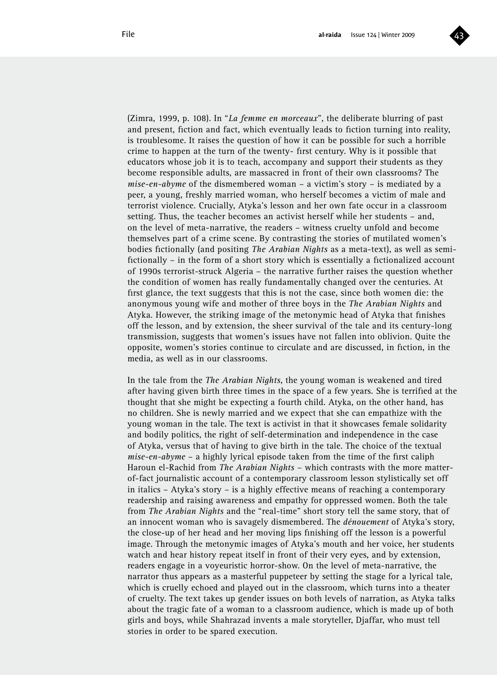

(Zimra, 1999, p. 108). In "*La femme en morceaux*", the deliberate blurring of past and present, fiction and fact, which eventually leads to fiction turning into reality, is troublesome. It raises the question of how it can be possible for such a horrible crime to happen at the turn of the twenty- first century. Why is it possible that educators whose job it is to teach, accompany and support their students as they become responsible adults, are massacred in front of their own classrooms? The *mise-en-abyme* of the dismembered woman – a victim's story – is mediated by a peer, a young, freshly married woman, who herself becomes a victim of male and terrorist violence. Crucially, Atyka's lesson and her own fate occur in a classroom setting. Thus, the teacher becomes an activist herself while her students – and, on the level of meta-narrative, the readers – witness cruelty unfold and become themselves part of a crime scene. By contrasting the stories of mutilated women's bodies fictionally (and positing *The Arabian Nights* as a meta-text), as well as semifictionally – in the form of a short story which is essentially a fictionalized account of 1990s terrorist-struck Algeria – the narrative further raises the question whether the condition of women has really fundamentally changed over the centuries. At first glance, the text suggests that this is not the case, since both women die: the anonymous young wife and mother of three boys in the *The Arabian Nights* and Atyka. However, the striking image of the metonymic head of Atyka that finishes off the lesson, and by extension, the sheer survival of the tale and its century-long transmission, suggests that women's issues have not fallen into oblivion. Quite the opposite, women's stories continue to circulate and are discussed, in fiction, in the media, as well as in our classrooms.

In the tale from the *The Arabian Nights*, the young woman is weakened and tired after having given birth three times in the space of a few years. She is terrified at the thought that she might be expecting a fourth child. Atyka, on the other hand, has no children. She is newly married and we expect that she can empathize with the young woman in the tale. The text is activist in that it showcases female solidarity and bodily politics, the right of self-determination and independence in the case of Atyka, versus that of having to give birth in the tale. The choice of the textual *mise-en-abyme* – a highly lyrical episode taken from the time of the first caliph Haroun el-Rachid from *The Arabian Nights* – which contrasts with the more matterof-fact journalistic account of a contemporary classroom lesson stylistically set off in italics – Atyka's story – is a highly effective means of reaching a contemporary readership and raising awareness and empathy for oppressed women. Both the tale from *The Arabian Nights* and the "real-time" short story tell the same story, that of an innocent woman who is savagely dismembered. The *dénouement* of Atyka's story, the close-up of her head and her moving lips finishing off the lesson is a powerful image. Through the metonymic images of Atyka's mouth and her voice, her students watch and hear history repeat itself in front of their very eyes, and by extension, readers engage in a voyeuristic horror-show. On the level of meta-narrative, the narrator thus appears as a masterful puppeteer by setting the stage for a lyrical tale, which is cruelly echoed and played out in the classroom, which turns into a theater of cruelty. The text takes up gender issues on both levels of narration, as Atyka talks about the tragic fate of a woman to a classroom audience, which is made up of both girls and boys, while Shahrazad invents a male storyteller, Djaffar, who must tell stories in order to be spared execution.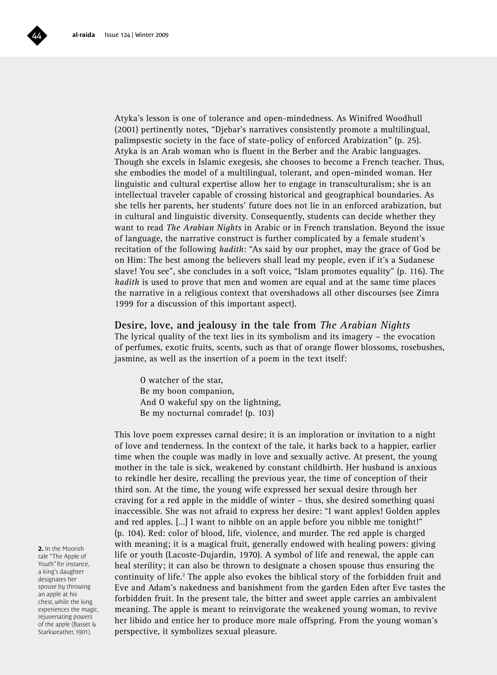Atyka's lesson is one of tolerance and open-mindedness. As Winifred Woodhull (2001) pertinently notes, "Djebar's narratives consistently promote a multilingual, palimpsestic society in the face of state-policy of enforced Arabization" (p. 25). Atyka is an Arab woman who is fluent in the Berber and the Arabic languages. Though she excels in Islamic exegesis, she chooses to become a French teacher. Thus, she embodies the model of a multilingual, tolerant, and open-minded woman. Her linguistic and cultural expertise allow her to engage in transculturalism; she is an intellectual traveler capable of crossing historical and geographical boundaries. As she tells her parents, her students' future does not lie in an enforced arabization, but in cultural and linguistic diversity. Consequently, students can decide whether they want to read *The Arabian Nights* in Arabic or in French translation. Beyond the issue of language, the narrative construct is further complicated by a female student's recitation of the following *hadith*: "As said by our prophet, may the grace of God be on Him: The best among the believers shall lead my people, even if it's a Sudanese slave! You see", she concludes in a soft voice, "Islam promotes equality" (p. 116). The *hadith* is used to prove that men and women are equal and at the same time places the narrative in a religious context that overshadows all other discourses (see Zimra 1999 for a discussion of this important aspect).

#### **Desire, love, and jealousy in the tale from** *The Arabian Nights*

The lyrical quality of the text lies in its symbolism and its imagery – the evocation of perfumes, exotic fruits, scents, such as that of orange flower blossoms, rosebushes, jasmine, as well as the insertion of a poem in the text itself:

O watcher of the star, Be my boon companion, And O wakeful spy on the lightning, Be my nocturnal comrade! (p. 103)

This love poem expresses carnal desire; it is an imploration or invitation to a night of love and tenderness. In the context of the tale, it harks back to a happier, earlier time when the couple was madly in love and sexually active. At present, the young mother in the tale is sick, weakened by constant childbirth. Her husband is anxious to rekindle her desire, recalling the previous year, the time of conception of their third son. At the time, the young wife expressed her sexual desire through her craving for a red apple in the middle of winter – thus, she desired something quasi inaccessible. She was not afraid to express her desire: "I want apples! Golden apples and red apples. […] I want to nibble on an apple before you nibble me tonight!" (p. 104). Red: color of blood, life, violence, and murder. The red apple is charged with meaning; it is a magical fruit, generally endowed with healing powers: giving life or youth (Lacoste-Dujardin, 1970). A symbol of life and renewal, the apple can heal sterility; it can also be thrown to designate a chosen spouse thus ensuring the continuity of life.<sup>2</sup> The apple also evokes the biblical story of the forbidden fruit and Eve and Adam's nakedness and banishment from the garden Eden after Eve tastes the forbidden fruit. In the present tale, the bitter and sweet apple carries an ambivalent meaning. The apple is meant to reinvigorate the weakened young woman, to revive her libido and entice her to produce more male offspring. From the young woman's perspective, it symbolizes sexual pleasure.

**2.** In the Moorish tale "The Apple of Youth" for instance, a king's daughter designates her spouse by throwing an apple at his chest, while the king experiences the magic, rejuvenating powers of the apple (Basset & Starkweather, 1901).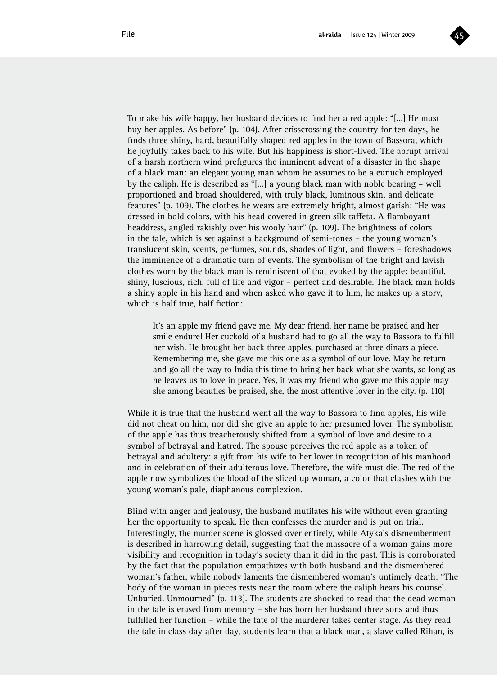

To make his wife happy, her husband decides to find her a red apple: "[…] He must buy her apples. As before" (p. 104). After crisscrossing the country for ten days, he finds three shiny, hard, beautifully shaped red apples in the town of Bassora, which he joyfully takes back to his wife. But his happiness is short-lived. The abrupt arrival of a harsh northern wind prefigures the imminent advent of a disaster in the shape of a black man: an elegant young man whom he assumes to be a eunuch employed by the caliph. He is described as "[…] a young black man with noble bearing – well proportioned and broad shouldered, with truly black, luminous skin, and delicate features" (p. 109). The clothes he wears are extremely bright, almost garish: "He was dressed in bold colors, with his head covered in green silk taffeta. A flamboyant headdress, angled rakishly over his wooly hair" (p. 109). The brightness of colors in the tale, which is set against a background of semi-tones – the young woman's translucent skin, scents, perfumes, sounds, shades of light, and flowers – foreshadows the imminence of a dramatic turn of events. The symbolism of the bright and lavish clothes worn by the black man is reminiscent of that evoked by the apple: beautiful, shiny, luscious, rich, full of life and vigor – perfect and desirable. The black man holds a shiny apple in his hand and when asked who gave it to him, he makes up a story, which is half true, half fiction:

It's an apple my friend gave me. My dear friend, her name be praised and her smile endure! Her cuckold of a husband had to go all the way to Bassora to fulfill her wish. He brought her back three apples, purchased at three dinars a piece. Remembering me, she gave me this one as a symbol of our love. May he return and go all the way to India this time to bring her back what she wants, so long as he leaves us to love in peace. Yes, it was my friend who gave me this apple may she among beauties be praised, she, the most attentive lover in the city. (p. 110)

While it is true that the husband went all the way to Bassora to find apples, his wife did not cheat on him, nor did she give an apple to her presumed lover. The symbolism of the apple has thus treacherously shifted from a symbol of love and desire to a symbol of betrayal and hatred. The spouse perceives the red apple as a token of betrayal and adultery: a gift from his wife to her lover in recognition of his manhood and in celebration of their adulterous love. Therefore, the wife must die. The red of the apple now symbolizes the blood of the sliced up woman, a color that clashes with the young woman's pale, diaphanous complexion.

Blind with anger and jealousy, the husband mutilates his wife without even granting her the opportunity to speak. He then confesses the murder and is put on trial. Interestingly, the murder scene is glossed over entirely, while Atyka's dismemberment is described in harrowing detail, suggesting that the massacre of a woman gains more visibility and recognition in today's society than it did in the past. This is corroborated by the fact that the population empathizes with both husband and the dismembered woman's father, while nobody laments the dismembered woman's untimely death: "The body of the woman in pieces rests near the room where the caliph hears his counsel. Unburied. Unmourned" (p. 113). The students are shocked to read that the dead woman in the tale is erased from memory – she has born her husband three sons and thus fulfilled her function – while the fate of the murderer takes center stage. As they read the tale in class day after day, students learn that a black man, a slave called Rihan, is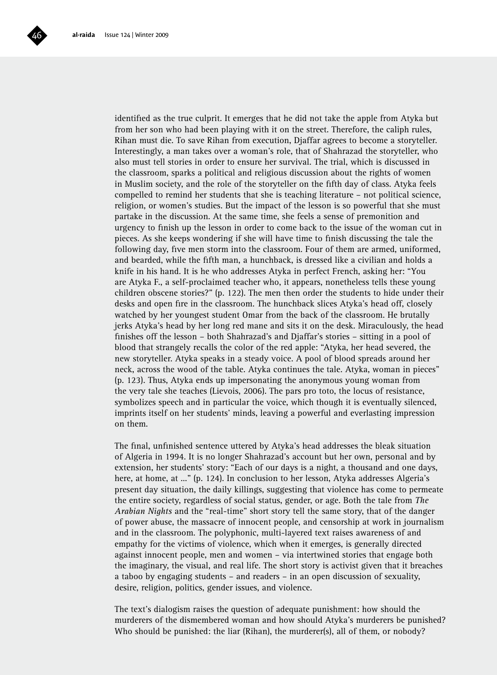

identified as the true culprit. It emerges that he did not take the apple from Atyka but from her son who had been playing with it on the street. Therefore, the caliph rules, Rihan must die. To save Rihan from execution, Djaffar agrees to become a storyteller. Interestingly, a man takes over a woman's role, that of Shahrazad the storyteller, who also must tell stories in order to ensure her survival. The trial, which is discussed in the classroom, sparks a political and religious discussion about the rights of women in Muslim society, and the role of the storyteller on the fifth day of class. Atyka feels compelled to remind her students that she is teaching literature – not political science, religion, or women's studies. But the impact of the lesson is so powerful that she must partake in the discussion. At the same time, she feels a sense of premonition and urgency to finish up the lesson in order to come back to the issue of the woman cut in pieces. As she keeps wondering if she will have time to finish discussing the tale the following day, five men storm into the classroom. Four of them are armed, uniformed, and bearded, while the fifth man, a hunchback, is dressed like a civilian and holds a knife in his hand. It is he who addresses Atyka in perfect French, asking her: "You are Atyka F., a self-proclaimed teacher who, it appears, nonetheless tells these young children obscene stories?" (p. 122). The men then order the students to hide under their desks and open fire in the classroom. The hunchback slices Atyka's head off, closely watched by her youngest student Omar from the back of the classroom. He brutally jerks Atyka's head by her long red mane and sits it on the desk. Miraculously, the head finishes off the lesson – both Shahrazad's and Djaffar's stories – sitting in a pool of blood that strangely recalls the color of the red apple: "Atyka, her head severed, the new storyteller. Atyka speaks in a steady voice. A pool of blood spreads around her neck, across the wood of the table. Atyka continues the tale. Atyka, woman in pieces" (p. 123). Thus, Atyka ends up impersonating the anonymous young woman from the very tale she teaches (Lievois, 2006). The pars pro toto, the locus of resistance, symbolizes speech and in particular the voice, which though it is eventually silenced, imprints itself on her students' minds, leaving a powerful and everlasting impression on them.

The final, unfinished sentence uttered by Atyka's head addresses the bleak situation of Algeria in 1994. It is no longer Shahrazad's account but her own, personal and by extension, her students' story: "Each of our days is a night, a thousand and one days, here, at home, at ..." (p. 124). In conclusion to her lesson, Atyka addresses Algeria's present day situation, the daily killings, suggesting that violence has come to permeate the entire society, regardless of social status, gender, or age. Both the tale from *The Arabian Nights* and the "real-time" short story tell the same story, that of the danger of power abuse, the massacre of innocent people, and censorship at work in journalism and in the classroom. The polyphonic, multi-layered text raises awareness of and empathy for the victims of violence, which when it emerges, is generally directed against innocent people, men and women – via intertwined stories that engage both the imaginary, the visual, and real life. The short story is activist given that it breaches a taboo by engaging students – and readers – in an open discussion of sexuality, desire, religion, politics, gender issues, and violence.

The text's dialogism raises the question of adequate punishment: how should the murderers of the dismembered woman and how should Atyka's murderers be punished? Who should be punished: the liar (Rihan), the murderer(s), all of them, or nobody?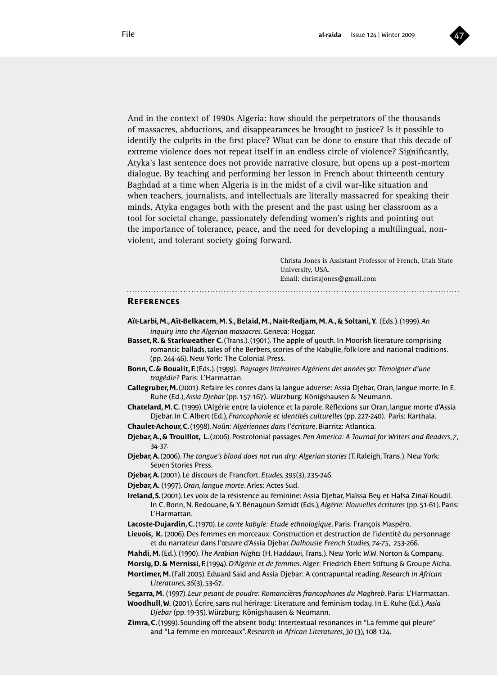

And in the context of 1990s Algeria: how should the perpetrators of the thousands of massacres, abductions, and disappearances be brought to justice? Is it possible to identify the culprits in the first place? What can be done to ensure that this decade of extreme violence does not repeat itself in an endless circle of violence? Significantly, Atyka's last sentence does not provide narrative closure, but opens up a post-mortem dialogue. By teaching and performing her lesson in French about thirteenth century Baghdad at a time when Algeria is in the midst of a civil war-like situation and when teachers, journalists, and intellectuals are literally massacred for speaking their minds, Atyka engages both with the present and the past using her classroom as a tool for societal change, passionately defending women's rights and pointing out the importance of tolerance, peace, and the need for developing a multilingual, nonviolent, and tolerant society going forward.

> Christa Jones is Assistant Professor of French, Utah State University, USA. Email: christajones@gmail.com

#### **References**

- **Aït-Larbi, M., Aït-Belkacem, M. S., Belaid, M., Nait-Redjam, M. A., & Soltani, Y.** (Eds.). (1999). *An inquiry into the Algerian massacres*. Geneva: Hoggar.
- **Basset, R. & Starkweather C.** (Trans.). (1901). The apple of youth. In Moorish literature comprising romantic ballads, tales of the Berbers, stories of the Kabylie, folk-lore and national traditions. (pp. 244-46). New York: The Colonial Press.
- **Bonn, C. & Boualit, F.** (Eds.). (1999). *Paysages littéraires Algériens des années 90: Témoigner d'une tragédie?* Paris: L'Harmattan.
- **Callegruber, M.** (2001). Refaire les contes dans la langue adverse: Assia Djebar, Oran, langue morte. In E. Ruhe (Ed.), *Assia Djebar* (pp. 157-167). Würzburg: Königshausen & Neumann.
- **Chatelard, M. C.** (1999). L'Algérie entre la violence et la parole. Réflexions sur Oran, langue morte d'Assia Djebar. In C. Albert (Ed.), *Francophonie et identités culturelles* (pp. 227-240). Paris: Karthala.
- **Chaulet-Achour, C.** (1998). *Noûn: Algériennes dans l'écriture*. Biarritz: Atlantica.
- **Djebar, A., & Trouillot, L.** (2006). Postcolonial passages. *Pen America: A Journal for Writers and Readers*, *7*, 34-37.
- **Djebar, A.** (2006). *The tongue's blood does not run dry: Algerian stories* (T. Raleigh, Trans.). New York: Seven Stories Press.
- **Djebar, A.** (2001). Le discours de Francfort. *Etudes, 395*(3), 235-246.
- **Djebar, A.** (1997). *Oran, langue morte*. Arles: Actes Sud.
- **Ireland, S.** (2001). Les voix de la résistence au feminine: Assia Djebar, Maïssa Bey et Hafsa Zinaï-Koudil. In C. Bonn, N. Redouane, & Y. Bénayoun-Szmidt (Eds.), *Algérie: Nouvelles écritures* (pp. 51-61). Paris: L'Harmattan.
- **Lacoste-Dujardin, C.** (1970). *Le conte kabyle: Etude ethnologique*. Paris: François Maspéro.
- **Lievois, K.** (2006). Des femmes en morceaux: Construction et destruction de l'identité du personnage et du narrateur dans l'œuvre d'Assia Djebar. *Dalhousie French Studies, 74-75*, 253-266.
- **Mahdi, M.** (Ed.). (1990). *The Arabian Nights* (H. Haddawi, Trans.). New York: W.W. Norton & Company.
- **Morsly, D. & Mernissi, F.** (1994). *D'Algérie et de femmes*. Alger: Friedrich Ebert Stiftung & Groupe Aïcha.

**Mortimer, M.** (Fall 2005). Edward Said and Assia Djebar: A contrapuntal reading. *Research in African Literatures, 36*(3), 53-67.

- **Segarra, M.** (1997). *Leur pesant de poudre: Romancières francophones du Maghreb*. Paris: L'Harmattan.
- **Woodhull, W.** (2001). Écrire, sans nul hérirage: Literature and feminism today. In E. Ruhe (Ed.), *Assia Djebar* (pp. 19-35). Würzburg: Königshausen & Neumann.
- **Zimra, C.** (1999). Sounding off the absent body: Intertextual resonances in "La femme qui pleure" and "La femme en morceaux". *Research in African Literatures*, *30* (3), 108-124.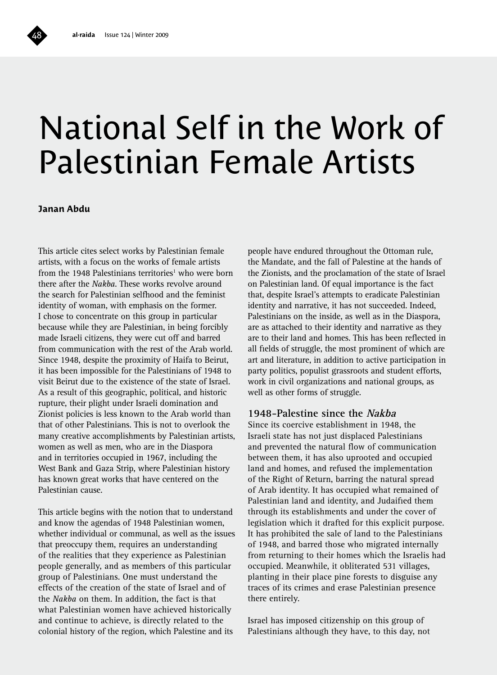# National Self in the Work of Palestinian Female Artists

**Janan Abdu**

This article cites select works by Palestinian female artists, with a focus on the works of female artists from the 1948 Palestinians territories<sup>1</sup> who were born there after the *Nakba*. These works revolve around the search for Palestinian selfhood and the feminist identity of woman, with emphasis on the former. I chose to concentrate on this group in particular because while they are Palestinian, in being forcibly made Israeli citizens, they were cut off and barred from communication with the rest of the Arab world. Since 1948, despite the proximity of Haifa to Beirut, it has been impossible for the Palestinians of 1948 to visit Beirut due to the existence of the state of Israel. As a result of this geographic, political, and historic rupture, their plight under Israeli domination and Zionist policies is less known to the Arab world than that of other Palestinians. This is not to overlook the many creative accomplishments by Palestinian artists, women as well as men, who are in the Diaspora and in territories occupied in 1967, including the West Bank and Gaza Strip, where Palestinian history has known great works that have centered on the Palestinian cause.

This article begins with the notion that to understand and know the agendas of 1948 Palestinian women, whether individual or communal, as well as the issues that preoccupy them, requires an understanding of the realities that they experience as Palestinian people generally, and as members of this particular group of Palestinians. One must understand the effects of the creation of the state of Israel and of the *Nakba* on them. In addition, the fact is that what Palestinian women have achieved historically and continue to achieve, is directly related to the colonial history of the region, which Palestine and its

people have endured throughout the Ottoman rule, the Mandate, and the fall of Palestine at the hands of the Zionists, and the proclamation of the state of Israel on Palestinian land. Of equal importance is the fact that, despite Israel's attempts to eradicate Palestinian identity and narrative, it has not succeeded. Indeed, Palestinians on the inside, as well as in the Diaspora, are as attached to their identity and narrative as they are to their land and homes. This has been reflected in all fields of struggle, the most prominent of which are art and literature, in addition to active participation in party politics, populist grassroots and student efforts, work in civil organizations and national groups, as well as other forms of struggle.

#### **1948-Palestine since the Nakba**

Since its coercive establishment in 1948, the Israeli state has not just displaced Palestinians and prevented the natural flow of communication between them, it has also uprooted and occupied land and homes, and refused the implementation of the Right of Return, barring the natural spread of Arab identity. It has occupied what remained of Palestinian land and identity, and Judaified them through its establishments and under the cover of legislation which it drafted for this explicit purpose. It has prohibited the sale of land to the Palestinians of 1948, and barred those who migrated internally from returning to their homes which the Israelis had occupied. Meanwhile, it obliterated 531 villages, planting in their place pine forests to disguise any traces of its crimes and erase Palestinian presence there entirely.

Israel has imposed citizenship on this group of Palestinians although they have, to this day, not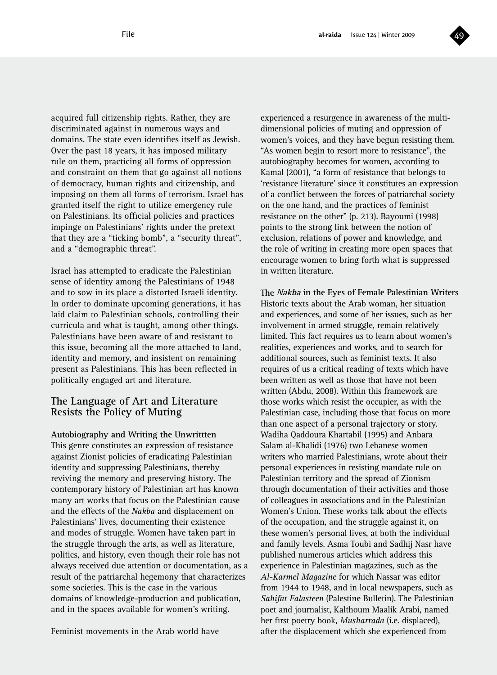

acquired full citizenship rights. Rather, they are discriminated against in numerous ways and domains. The state even identifies itself as Jewish. Over the past 18 years, it has imposed military rule on them, practicing all forms of oppression and constraint on them that go against all notions of democracy, human rights and citizenship, and imposing on them all forms of terrorism. Israel has granted itself the right to utilize emergency rule on Palestinians. Its official policies and practices impinge on Palestinians' rights under the pretext that they are a "ticking bomb", a "security threat", and a "demographic threat".

Israel has attempted to eradicate the Palestinian sense of identity among the Palestinians of 1948 and to sow in its place a distorted Israeli identity. In order to dominate upcoming generations, it has laid claim to Palestinian schools, controlling their curricula and what is taught, among other things. Palestinians have been aware of and resistant to this issue, becoming all the more attached to land, identity and memory, and insistent on remaining present as Palestinians. This has been reflected in politically engaged art and literature.

#### **The Language of Art and Literature Resists the Policy of Muting**

**Autobiography and Writing the Unwrittten** This genre constitutes an expression of resistance against Zionist policies of eradicating Palestinian identity and suppressing Palestinians, thereby reviving the memory and preserving history. The contemporary history of Palestinian art has known many art works that focus on the Palestinian cause and the effects of the *Nakba* and displacement on Palestinians' lives, documenting their existence and modes of struggle. Women have taken part in the struggle through the arts, as well as literature, politics, and history, even though their role has not always received due attention or documentation, as a result of the patriarchal hegemony that characterizes some societies. This is the case in the various domains of knowledge-production and publication, and in the spaces available for women's writing.

Feminist movements in the Arab world have

experienced a resurgence in awareness of the multidimensional policies of muting and oppression of women's voices, and they have begun resisting them. "As women begin to resort more to resistance", the autobiography becomes for women, according to Kamal (2001), "a form of resistance that belongs to 'resistance literature' since it constitutes an expression of a conflict between the forces of patriarchal society on the one hand, and the practices of feminist resistance on the other" (p. 213). Bayoumi (1998) points to the strong link between the notion of exclusion, relations of power and knowledge, and the role of writing in creating more open spaces that encourage women to bring forth what is suppressed in written literature.

**The Nakba in the Eyes of Female Palestinian Writers** Historic texts about the Arab woman, her situation and experiences, and some of her issues, such as her involvement in armed struggle, remain relatively limited. This fact requires us to learn about women's realities, experiences and works, and to search for additional sources, such as feminist texts. It also requires of us a critical reading of texts which have been written as well as those that have not been written (Abdu, 2008). Within this framework are those works which resist the occupier, as with the Palestinian case, including those that focus on more than one aspect of a personal trajectory or story. Wadiha Qaddoura Khartabil (1995) and Anbara Salam al-Khalidi (1976) two Lebanese women writers who married Palestinians, wrote about their personal experiences in resisting mandate rule on Palestinian territory and the spread of Zionism through documentation of their activities and those of colleagues in associations and in the Palestinian Women's Union. These works talk about the effects of the occupation, and the struggle against it, on these women's personal lives, at both the individual and family levels. Asma Toubi and Sadhij Nasr have published numerous articles which address this experience in Palestinian magazines, such as the *Al-Karmel Magazine* for which Nassar was editor from 1944 to 1948, and in local newspapers, such as *Sahifat Falasteen* (Palestine Bulletin). The Palestinian poet and journalist, Kalthoum Maalik Arabi, named her first poetry book, *Musharrada* (i.e. displaced), after the displacement which she experienced from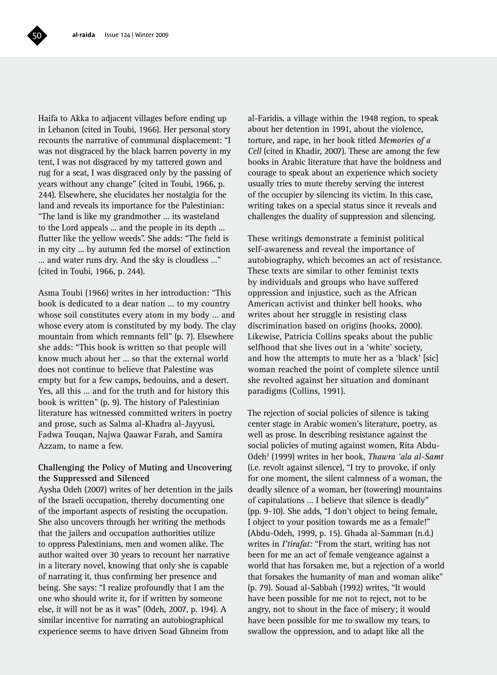Haifa to Akka to adjacent villages before ending up in Lebanon (cited in Toubi, 1966). Her personal story recounts the narrative of communal displacement: "I was not disgraced by the black barren poverty in my tent, I was not disgraced by my tattered gown and rug for a seat, I was disgraced only by the passing of years without any change" (cited in Toubi, 1966, p. 244). Elsewhere, she elucidates her nostalgia for the land and reveals its importance for the Palestinian: "The land is like my grandmother … its wasteland to the Lord appeals ... and the people in its depth ... flutter like the yellow weeds". She adds: "The field is in my city ... by autumn fed the morsel of extinction … and water runs dry. And the sky is cloudless …" (cited in Toubi, 1966, p. 244).

Asma Toubi (1966) writes in her introduction: "This book is dedicated to a dear nation … to my country whose soil constitutes every atom in my body … and whose every atom is constituted by my body. The clay mountain from which remnants fell" (p. 7). Elsewhere she adds: "This book is written so that people will know much about her ... so that the external world does not continue to believe that Palestine was empty but for a few camps, bedouins, and a desert. Yes, all this … and for the truth and for history this book is written" (p. 9). The history of Palestinian literature has witnessed committed writers in poetry and prose, such as Salma al-Khadra al-Jayyusi, Fadwa Touqan, Najwa Qaawar Farah, and Samira Azzam, to name a few.

#### **Challenging the Policy of Muting and Uncovering the Suppressed and Silenced**

Aysha Odeh (2007) writes of her detention in the jails of the Israeli occupation, thereby documenting one of the important aspects of resisting the occupation. She also uncovers through her writing the methods that the jailers and occupation authorities utilize to oppress Palestinians, men and women alike. The author waited over 30 years to recount her narrative in a literary novel, knowing that only she is capable of narrating it, thus confirming her presence and being. She says: "I realize profoundly that I am the one who should write it, for if written by someone else, it will not be as it was" (Odeh, 2007, p. 194). A similar incentive for narrating an autobiographical experience seems to have driven Soad Ghneim from

al-Faridis, a village within the 1948 region, to speak about her detention in 1991, about the violence, torture, and rape, in her book titled *Memories of a Cell* (cited in Khadir, 2007). These are among the few books in Arabic literature that have the boldness and courage to speak about an experience which society usually tries to mute thereby serving the interest of the occupier by silencing its victim. In this case, writing takes on a special status since it reveals and challenges the duality of suppression and silencing.

These writings demonstrate a feminist political self-awareness and reveal the importance of autobiography, which becomes an act of resistance. These texts are similar to other feminist texts by individuals and groups who have suffered oppression and injustice, such as the African American activist and thinker bell hooks, who writes about her struggle in resisting class discrimination based on origins (hooks, 2000). Likewise, Patricia Collins speaks about the public selfhood that she lives out in a 'white' society, and how the attempts to mute her as a 'black' [sic] woman reached the point of complete silence until she revolted against her situation and dominant paradigms (Collins, 1991).

The rejection of social policies of silence is taking center stage in Arabic women's literature, poetry, as well as prose. In describing resistance against the social policies of muting against women, Rita Abdu-Odeh2 (1999) writes in her book, *Thawra 'ala al-Samt* (i.e. revolt against silence), "I try to provoke, if only for one moment, the silent calmness of a woman, the deadly silence of a woman, her (towering) mountains of capitulations … I believe that silence is deadly" (pp. 9-10). She adds, "I don't object to being female, I object to your position towards me as a female!" (Abdu-Odeh, 1999, p. 15). Ghada al-Samman (n.d.) writes in *I'tirafat:* "From the start, writing has not been for me an act of female vengeance against a world that has forsaken me, but a rejection of a world that forsakes the humanity of man and woman alike" (p. 79). Souad al-Sabbah (1992) writes, "It would have been possible for me not to reject, not to be angry, not to shout in the face of misery; it would have been possible for me to swallow my tears, to swallow the oppression, and to adapt like all the

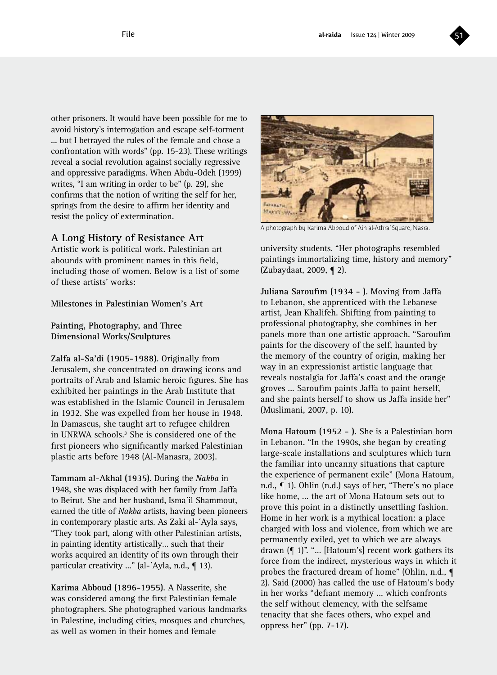

other prisoners. It would have been possible for me to avoid history's interrogation and escape self-torment ... but I betrayed the rules of the female and chose a confrontation with words" (pp. 15-23). These writings reveal a social revolution against socially regressive and oppressive paradigms. When Abdu-Odeh (1999) writes, "I am writing in order to be" (p. 29), she confirms that the notion of writing the self for her, springs from the desire to affirm her identity and resist the policy of extermination.

#### **A Long History of Resistance Art**

Artistic work is political work. Palestinian art abounds with prominent names in this field, including those of women. Below is a list of some of these artists' works:

**Milestones in Palestinian Women's Art** 

**Painting, Photography, and Three Dimensional Works/Sculptures**

**Zalfa al-Sa'di (1905-1988)**. Originally from Jerusalem, she concentrated on drawing icons and portraits of Arab and Islamic heroic figures. She has exhibited her paintings in the Arab Institute that was established in the Islamic Council in Jerusalem in 1932. She was expelled from her house in 1948. In Damascus, she taught art to refugee children in UNRWA schools.<sup>3</sup> She is considered one of the first pioneers who significantly marked Palestinian plastic arts before 1948 (Al-Manasra, 2003).

**Tammam al-Akhal (1935)**. During the *Nakba* in 1948, she was displaced with her family from Jaffa to Beirut. She and her husband, Isma´il Shammout, earned the title of *Nakba* artists, having been pioneers in contemporary plastic arts. As Zaki al-´Ayla says, "They took part, along with other Palestinian artists, in painting identity artistically… such that their works acquired an identity of its own through their particular creativity ..." (al-'Ayla, n.d., ¶ 13).

**Karima Abboud (1896-1955)**. A Nasserite, she was considered among the first Palestinian female photographers. She photographed various landmarks in Palestine, including cities, mosques and churches, as well as women in their homes and female



A photograph by Karima Abboud of Ain al-Athra' Square, Nasra.

university students. "Her photographs resembled paintings immortalizing time, history and memory" (Zubaydaat, 2009, ¶ 2).

**Juliana Saroufim (1934 - )**. Moving from Jaffa to Lebanon, she apprenticed with the Lebanese artist, Jean Khalifeh. Shifting from painting to professional photography, she combines in her panels more than one artistic approach. "Saroufim paints for the discovery of the self, haunted by the memory of the country of origin, making her way in an expressionist artistic language that reveals nostalgia for Jaffa's coast and the orange groves ... Saroufim paints Jaffa to paint herself, and she paints herself to show us Jaffa inside her" (Muslimani, 2007, p. 10).

**Mona Hatoum (1952 - )**. She is a Palestinian born in Lebanon. "In the 1990s, she began by creating large-scale installations and sculptures which turn the familiar into uncanny situations that capture the experience of permanent exile" (Mona Hatoum, n.d., ¶ 1). Ohlin (n.d.) says of her, "There's no place like home, ... the art of Mona Hatoum sets out to prove this point in a distinctly unsettling fashion. Home in her work is a mythical location: a place charged with loss and violence, from which we are permanently exiled, yet to which we are always drawn (¶ 1)". "… [Hatoum's] recent work gathers its force from the indirect, mysterious ways in which it probes the fractured dream of home" (Ohlin, n.d., ¶ 2). Said (2000) has called the use of Hatoum's body in her works "defiant memory ... which confronts the self without clemency, with the selfsame tenacity that she faces others, who expel and oppress her" (pp. 7-17).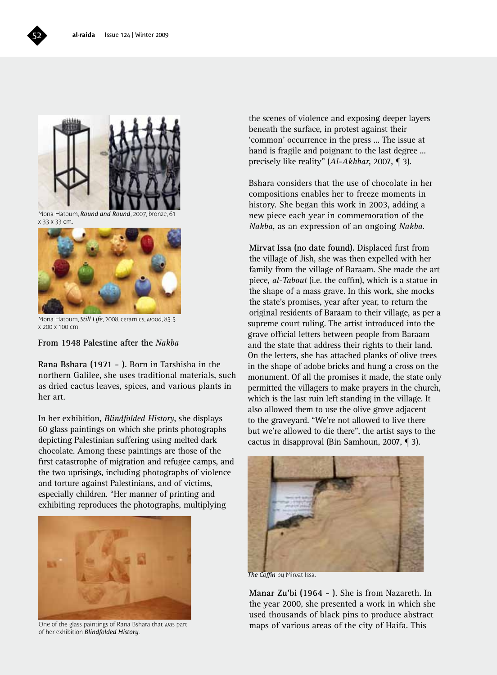

Mona Hatoum, *Round and Round*, 2007, bronze, 61 x 33 x 33 cm.



Mona Hatoum, *Still Life*, 2008, ceramics, wood, 83.5 x 200 x 100 cm.

**From 1948 Palestine after the** *Nakba*

**Rana Bshara (1971 - )**. Born in Tarshisha in the northern Galilee, she uses traditional materials, such as dried cactus leaves, spices, and various plants in her art.

In her exhibition, *Blindfolded History*, she displays 60 glass paintings on which she prints photographs depicting Palestinian suffering using melted dark chocolate. Among these paintings are those of the first catastrophe of migration and refugee camps, and the two uprisings, including photographs of violence and torture against Palestinians, and of victims, especially children. "Her manner of printing and exhibiting reproduces the photographs, multiplying



One of the glass paintings of Rana Bshara that was part of her exhibition *Blindfolded History*.

the scenes of violence and exposing deeper layers beneath the surface, in protest against their 'common' occurrence in the press ... The issue at hand is fragile and poignant to the last degree ... precisely like reality" (*Al-Akhbar*, 2007, ¶ 3).

Bshara considers that the use of chocolate in her compositions enables her to freeze moments in history. She began this work in 2003, adding a new piece each year in commemoration of the *Nakba*, as an expression of an ongoing *Nakba*.

**Mirvat Issa (no date found).** Displaced first from the village of Jish, she was then expelled with her family from the village of Baraam. She made the art piece, *al-Tabout* (i.e. the coffin), which is a statue in the shape of a mass grave. In this work, she mocks the state's promises, year after year, to return the original residents of Baraam to their village, as per a supreme court ruling. The artist introduced into the grave official letters between people from Baraam and the state that address their rights to their land. On the letters, she has attached planks of olive trees in the shape of adobe bricks and hung a cross on the monument. Of all the promises it made, the state only permitted the villagers to make prayers in the church, which is the last ruin left standing in the village. It also allowed them to use the olive grove adjacent to the graveyard. "We're not allowed to live there but we're allowed to die there", the artist says to the cactus in disapproval (Bin Samhoun, 2007, ¶ 3).



*The Coffin* by Mirvat Issa.

**Manar Zu'bi (1964 - )**. She is from Nazareth. In the year 2000, she presented a work in which she used thousands of black pins to produce abstract maps of various areas of the city of Haifa. This

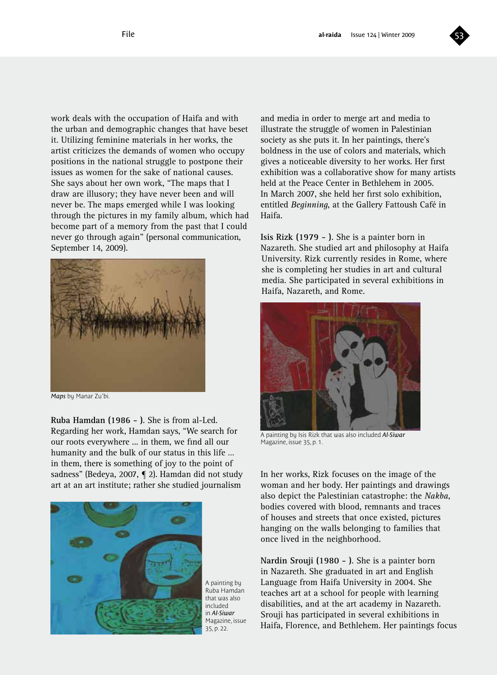

work deals with the occupation of Haifa and with the urban and demographic changes that have beset it. Utilizing feminine materials in her works, the artist criticizes the demands of women who occupy positions in the national struggle to postpone their issues as women for the sake of national causes. She says about her own work, "The maps that I draw are illusory; they have never been and will never be. The maps emerged while I was looking through the pictures in my family album, which had become part of a memory from the past that I could never go through again" (personal communication, September 14, 2009).



*Maps* by Manar Zu'bi.

**Ruba Hamdan (1986 - )**. She is from al-Led. Regarding her work, Hamdan says, "We search for our roots everywhere ... in them, we find all our humanity and the bulk of our status in this life … in them, there is something of joy to the point of sadness" (Bedeya, 2007, ¶ 2). Hamdan did not study art at an art institute; rather she studied journalism



A painting by Ruba Hamdan that was also included in *Al-Siwar*  Magazine, issue 35, p. 22.

and media in order to merge art and media to illustrate the struggle of women in Palestinian society as she puts it. In her paintings, there's boldness in the use of colors and materials, which gives a noticeable diversity to her works. Her first exhibition was a collaborative show for many artists held at the Peace Center in Bethlehem in 2005. In March 2007, she held her first solo exhibition, entitled *Beginning*, at the Gallery Fattoush Café in Haifa.

**Isis Rizk (1979 - )**. She is a painter born in Nazareth. She studied art and philosophy at Haifa University. Rizk currently resides in Rome, where she is completing her studies in art and cultural media. She participated in several exhibitions in Haifa, Nazareth, and Rome.



A painting by Isis Rizk that was also included *Al-Siwar*  Magazine, issue 35, p. 1.

In her works, Rizk focuses on the image of the woman and her body. Her paintings and drawings also depict the Palestinian catastrophe: the *Nakba*, bodies covered with blood, remnants and traces of houses and streets that once existed, pictures hanging on the walls belonging to families that once lived in the neighborhood.

**Nardin Srouji (1980 - )**. She is a painter born in Nazareth. She graduated in art and English Language from Haifa University in 2004. She teaches art at a school for people with learning disabilities, and at the art academy in Nazareth. Srouji has participated in several exhibitions in Haifa, Florence, and Bethlehem. Her paintings focus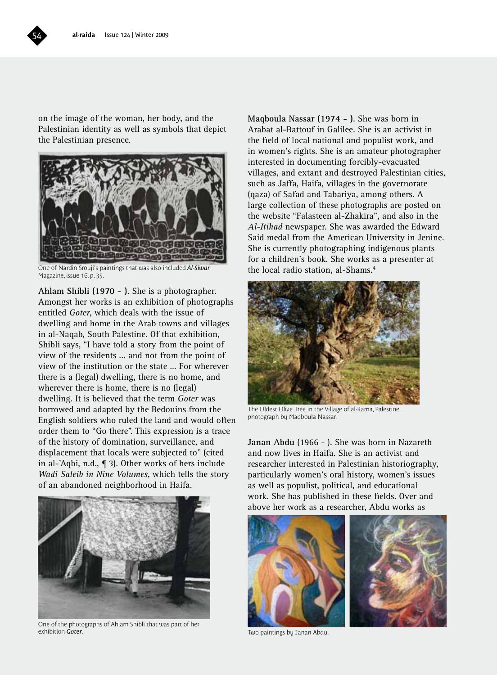on the image of the woman, her body, and the Palestinian identity as well as symbols that depict the Palestinian presence.



One of Nardin Srouji's paintings that was also included *Al-Siwar*  Magazine, issue 16, p. 35.

**Ahlam Shibli (1970 - )**. She is a photographer. Amongst her works is an exhibition of photographs entitled *Goter*, which deals with the issue of dwelling and home in the Arab towns and villages in al-Naqab, South Palestine. Of that exhibition, Shibli says, "I have told a story from the point of view of the residents ... and not from the point of view of the institution or the state … For wherever there is a (legal) dwelling, there is no home, and wherever there is home, there is no (legal) dwelling. It is believed that the term *Goter* was borrowed and adapted by the Bedouins from the English soldiers who ruled the land and would often order them to "Go there". This expression is a trace of the history of domination, surveillance, and displacement that locals were subjected to" (cited in al-'Aqbi, n.d., ¶ 3). Other works of hers include *Wadi Saleib in Nine Volumes*, which tells the story of an abandoned neighborhood in Haifa.



One of the photographs of Ahlam Shibli that was part of her exhibition *Goter*. Two paintings by Janan Abdu.

**Maqboula Nassar (1974 - )**. She was born in Arabat al-Battouf in Galilee. She is an activist in the field of local national and populist work, and in women's rights. She is an amateur photographer interested in documenting forcibly-evacuated villages, and extant and destroyed Palestinian cities, such as Jaffa, Haifa, villages in the governorate (qaza) of Safad and Tabariya, among others. A large collection of these photographs are posted on the website "Falasteen al-Zhakira", and also in the *Al-Itihad* newspaper. She was awarded the Edward Said medal from the American University in Jenine. She is currently photographing indigenous plants for a children's book. She works as a presenter at the local radio station, al-Shams.4



The Oldest Olive Tree in the Village of al-Rama, Palestine, photograph by Maqboula Nassar.

**Janan Abdu** (1966 - ). She was born in Nazareth and now lives in Haifa. She is an activist and researcher interested in Palestinian historiography, particularly women's oral history, women's issues as well as populist, political, and educational work. She has published in these fields. Over and above her work as a researcher, Abdu works as





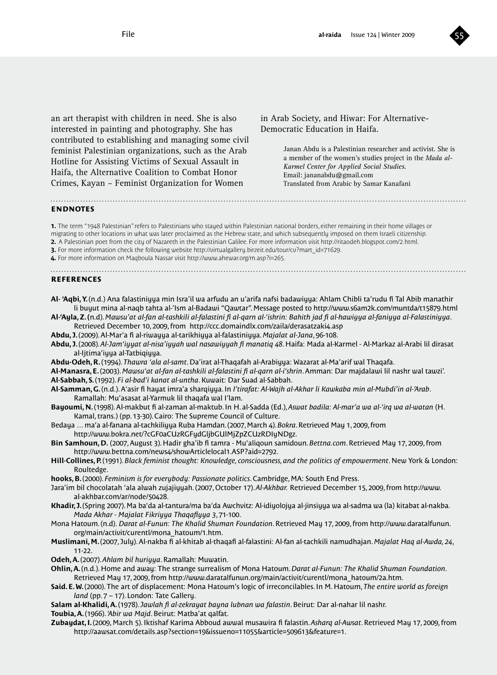

an art therapist with children in need. She is also interested in painting and photography. She has contributed to establishing and managing some civil feminist Palestinian organizations, such as the Arab Hotline for Assisting Victims of Sexual Assault in Haifa, the Alternative Coalition to Combat Honor Crimes, Kayan – Feminist Organization for Women

in Arab Society, and Hiwar: For Alternative-Democratic Education in Haifa.

> Janan Abdu is a Palestinian researcher and activist. She is a member of the women's studies project in the *Mada al-Karmel Center for Applied Social Studies*. Email: jananabdu@gmail.com Translated from Arabic by Samar Kanafani

#### **endnotes**

**1.** The term "1948 Palestinian" refers to Palestinians who stayed within Palestinian national borders, either remaining in their home villages or migrating to other locations in what was later proclaimed as the Hebrew state, and which subsequently imposed on them Israeli citizenship. **2.** A Palestinian poet from the city of Nazareth in the Palestinian Galilee. For more information visit http://ritaodeh.blogspot.com/2.html. **3.** For more information check the following website http://virtualgallery.birzeit.edu/tour/cv?mart\_id=71629.

**4.** For more information on Maqboula Nassar visit http://www.ahewar.org/m.asp?i=265.

#### **references**

**Al- 'Aqbi, Y.** (n.d.) Ana falastiniyya min Isra'il wa arfudu an u'arifa nafsi badawiyya: Ahlam Chibli ta'rudu fi Tal Abib manathir li buyut mina al-naqb tahta al-'Ism al-Badawi "Qawtar". Message posted to http://www.s6am2k.com/muntda/t15879.html

**Al-'Ayla, Z. (**n.d). *Mawsu'at al-fan al-tashkili al-falastini fi al-qarn al-'ishrin: Bahith jad fi al-hawiyya al-faniyya al-Falastiniyya*. Retrieved December 10, 2009, from http://ccc.domaindlx.com/zaila/derasatzaki4.asp

**Abdu, J.** (2009). Al-Mar'a fi al-riwayya al-tarikhiyya al-falastiniyya. *Majalat al-Jana*, 96-108.

- **Abdu, J.** (2008). *Al-Jam'iyyat al-nisa'iyyah wal nasawiyyah fi manatiq 48*. Haifa: Mada al-Karmel Al-Markaz al-Arabi lil dirasat al-Ijtima'iyya al-Tatbiqiyya.
- **Abdu-Odeh, R.** (1994). *Thawra 'ala al-samt*. Da'irat al-Thaqafah al-Arabiyya: Wazarat al-Ma'arif wal Thaqafa.
- **Al-Manasra, E.** (2003). *Mawsu'at al-fan al-tashkili al-falastini fi al-qarn al-i'shrin*. Amman: Dar majdalawi lil nashr wal tawzi'. **Al-Sabbah, S.** (1992). *Fi al-bad'i kanat al-untha*. Kuwait: Dar Suad al-Sabbah.
- **Al-Samman, G.** (n.d.). A'asir fi hayat imra'a sharqiyya. In *I'tirafat: Al-Wajh al-Akhar li Kawkaba min al-Mubdi'in al-'Arab*. Ramallah: Mu'asasat al-Yarmuk lil thaqafa wal I'lam.
- **Bayoumi, N.** (1998). Al-makbut fi al-zaman al-maktub. In H. al-Sadda (Ed.), *Aswat badila: Al-mar'a wa al-'irq wa al-watan* (H. Kamal, trans.) (pp. 13-30). Cairo: The Supreme Council of Culture.
- Bedaya … ma'a al-fanana al-tachkiliyya Ruba Hamdan. (2007, March 4). *Bokra*. Retrieved May 1, 2009, from http://www.bokra.net/?cGF0aCUzRGFydGljbGUlMjZpZCUzRDIyNDgz.
- **Bin Samhoun, D.** (2007, August 3). Hadir gha'ib fi tamra Mu'aliqoun samidoun. *Bettna.com*. Retrieved May 17, 2009, from http://www.bettna.com/news4/showArticlelocal1.ASP?aid=2792.
- Hill-Collines, P. (1991). *Black feminist thought: Knowledge, consciousness, and the politics of empowerment*. New York & London: Roultedge.
- **hooks, B.** (2000). *Feminism is for everybody: Passionate politics*. Cambridge, MA: South End Press.

Jara'im bil chocolatah 'ala alwah zujajiyyah. (2007, October 17). *Al-Akhbar.* Retrieved December 15, 2009, from http://www. al-akhbar.com/ar/node/50428.

- **Khadir, J.** (Spring 2007). Ma ba'da al-tantura/ma ba'da Awchvitz: Al-idiyolojya al-jinsiyya wa al-sadma wa (la) kitabat al-nakba. *Mada Akhar - Majalat Fikriyya Thaqafiyya 3*, 71-100.
- Mona Hatoum. (n.d). *Darat al-Funun: The Khalid Shuman Foundation*. Retrieved May 17, 2009, from http://www.daratalfunun. org/main/activit/curentl/mona\_hatoum/1.htm.
- **Muslimani, M.** (2007, July). Al-nakba fi al-khitab al-thaqafi al-falastini: Al-fan al-tachkili namudhajan. *Majalat Haq al-Awda, 24*, 11-22.
- **Odeh, A.** (2007). *Ahlam bil huriyya*. Ramallah: Muwatin.
- **Ohlin, A.** (n.d.). Home and away: The strange surrealism of Mona Hatoum. *Darat al-Funun: The Khalid Shuman Foundation*. Retrieved May 17, 2009, from http://www.daratalfunun.org/main/activit/curentl/mona\_hatoum/2a.htm.
- **Said. E. W.** (2000). The art of displacement: Mona Hatoum's logic of irreconcilables. In M. Hatoum, *The entire world as foreign land* (pp. 7 – 17). London: Tate Gallery.
- **Salam al-Khalidi, A.** (1978). *Jawlah fi al-zekrayat bayna lubnan wa falastin*. Beirut: Dar al-nahar lil nashr.
- **Toubia, A.** (1966). *'Abir wa Majd*. Beirut: Matba'at qalfat.
- **Zubaydat, I.** (2009, March 5). Iktishaf Karima Abboud awwal musawira fi falastin. *Asharq al-Awsat*. Retrieved May 17, 2009, from http://aawsat.com/details.asp?section=19&issueno=11055&article=509613&feature=1.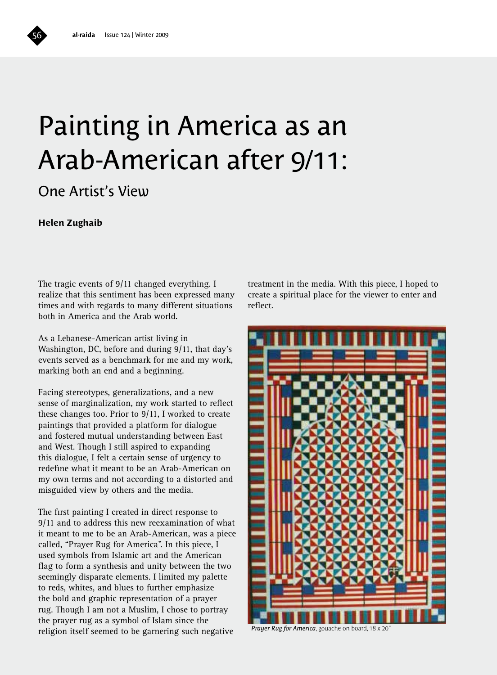## Painting in America as an Arab-American after 9/11:

#### One Artist's View

#### **Helen Zughaib**

The tragic events of 9/11 changed everything. I realize that this sentiment has been expressed many times and with regards to many different situations both in America and the Arab world.

As a Lebanese-American artist living in Washington, DC, before and during 9/11, that day's events served as a benchmark for me and my work, marking both an end and a beginning.

Facing stereotypes, generalizations, and a new sense of marginalization, my work started to reflect these changes too. Prior to 9/11, I worked to create paintings that provided a platform for dialogue and fostered mutual understanding between East and West. Though I still aspired to expanding this dialogue, I felt a certain sense of urgency to redefine what it meant to be an Arab-American on my own terms and not according to a distorted and misguided view by others and the media.

The first painting I created in direct response to 9/11 and to address this new reexamination of what it meant to me to be an Arab-American, was a piece called, "Prayer Rug for America". In this piece, I used symbols from Islamic art and the American flag to form a synthesis and unity between the two seemingly disparate elements. I limited my palette to reds, whites, and blues to further emphasize the bold and graphic representation of a prayer rug. Though I am not a Muslim, I chose to portray the prayer rug as a symbol of Islam since the religion itself seemed to be garnering such negative

treatment in the media. With this piece, I hoped to create a spiritual place for the viewer to enter and reflect.



*Prayer Rug for America*, gouache on board, 18 x 20"

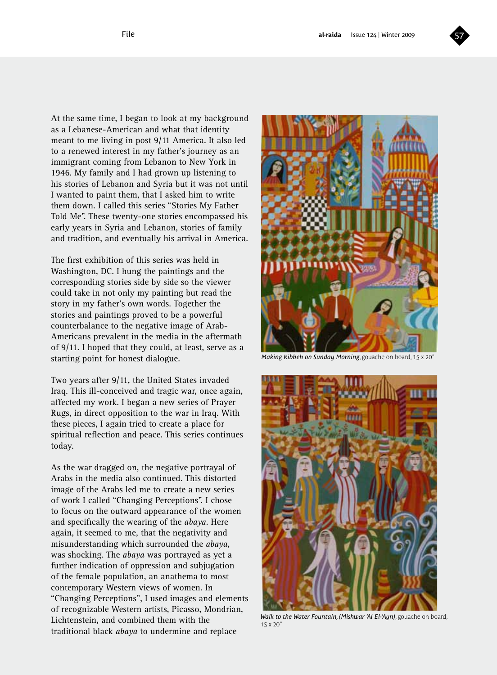

At the same time, I began to look at my background as a Lebanese-American and what that identity meant to me living in post 9/11 America. It also led to a renewed interest in my father's journey as an immigrant coming from Lebanon to New York in 1946. My family and I had grown up listening to his stories of Lebanon and Syria but it was not until I wanted to paint them, that I asked him to write them down. I called this series "Stories My Father Told Me". These twenty-one stories encompassed his early years in Syria and Lebanon, stories of family and tradition, and eventually his arrival in America.

The first exhibition of this series was held in Washington, DC. I hung the paintings and the corresponding stories side by side so the viewer could take in not only my painting but read the story in my father's own words. Together the stories and paintings proved to be a powerful counterbalance to the negative image of Arab-Americans prevalent in the media in the aftermath of 9/11. I hoped that they could, at least, serve as a starting point for honest dialogue.

Two years after 9/11, the United States invaded Iraq. This ill-conceived and tragic war, once again, affected my work. I began a new series of Prayer Rugs, in direct opposition to the war in Iraq. With these pieces, I again tried to create a place for spiritual reflection and peace. This series continues today.

As the war dragged on, the negative portrayal of Arabs in the media also continued. This distorted image of the Arabs led me to create a new series of work I called "Changing Perceptions". I chose to focus on the outward appearance of the women and specifically the wearing of the *abaya*. Here again, it seemed to me, that the negativity and misunderstanding which surrounded the *abaya*, was shocking. The *abaya* was portrayed as yet a further indication of oppression and subjugation of the female population, an anathema to most contemporary Western views of women. In "Changing Perceptions", I used images and elements of recognizable Western artists, Picasso, Mondrian, Lichtenstein, and combined them with the traditional black *abaya* to undermine and replace



*Making Kibbeh on Sunday Morning*, gouache on board, 15 x 20"



*Walk to the Water Fountain, (Mishwar 'Al El-'Ayn)*, gouache on board,  $15 \times 20''$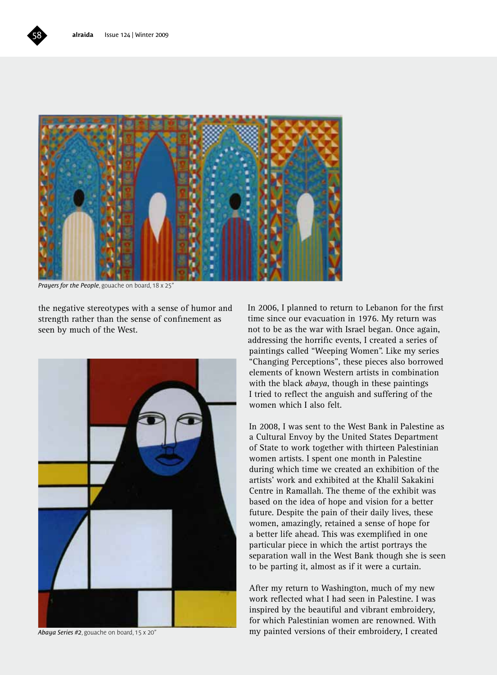

*Prayers for the People*, gouache on board, 18 x 25"

the negative stereotypes with a sense of humor and strength rather than the sense of confinement as seen by much of the West.



*Abaya Series #2*, gouache on board, 15 x 20"

In 2006, I planned to return to Lebanon for the first time since our evacuation in 1976. My return was not to be as the war with Israel began. Once again, addressing the horrific events, I created a series of paintings called "Weeping Women". Like my series "Changing Perceptions", these pieces also borrowed elements of known Western artists in combination with the black *abaya*, though in these paintings I tried to reflect the anguish and suffering of the women which I also felt.

In 2008, I was sent to the West Bank in Palestine as a Cultural Envoy by the United States Department of State to work together with thirteen Palestinian women artists. I spent one month in Palestine during which time we created an exhibition of the artists' work and exhibited at the Khalil Sakakini Centre in Ramallah. The theme of the exhibit was based on the idea of hope and vision for a better future. Despite the pain of their daily lives, these women, amazingly, retained a sense of hope for a better life ahead. This was exemplified in one particular piece in which the artist portrays the separation wall in the West Bank though she is seen to be parting it, almost as if it were a curtain.

After my return to Washington, much of my new work reflected what I had seen in Palestine. I was inspired by the beautiful and vibrant embroidery, for which Palestinian women are renowned. With my painted versions of their embroidery, I created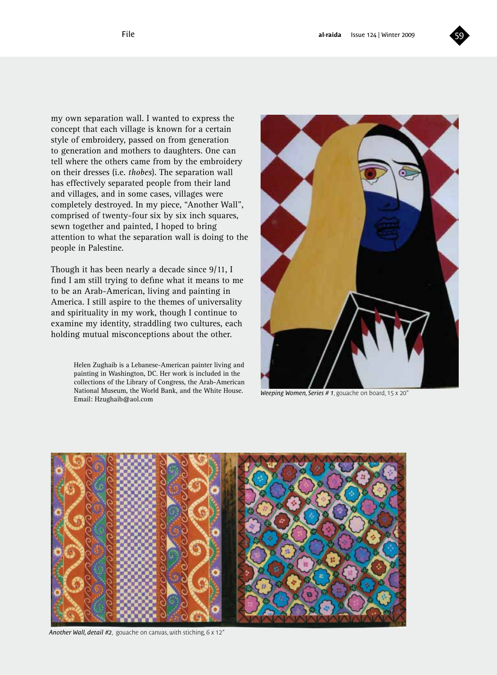

my own separation wall. I wanted to express the concept that each village is known for a certain style of embroidery, passed on from generation to generation and mothers to daughters. One can tell where the others came from by the embroidery on their dresses (i.e. *thobes*). The separation wall has effectively separated people from their land and villages, and in some cases, villages were completely destroyed. In my piece, "Another Wall", comprised of twenty-four six by six inch squares, sewn together and painted, I hoped to bring attention to what the separation wall is doing to the people in Palestine.

Though it has been nearly a decade since 9/11, I find I am still trying to define what it means to me to be an Arab-American, living and painting in America. I still aspire to the themes of universality and spirituality in my work, though I continue to examine my identity, straddling two cultures, each holding mutual misconceptions about the other.

> Helen Zughaib is a Lebanese-American painter living and painting in Washington, DC. Her work is included in the collections of the Library of Congress, the Arab-American National Museum, the World Bank, and the White House. Email: Hzughaib@aol.com



*Weeping Women, Series # 1*, gouache on board, 15 x 20"



*Another Wall, detail #2*, gouache on canvas, with stiching, 6 x 12"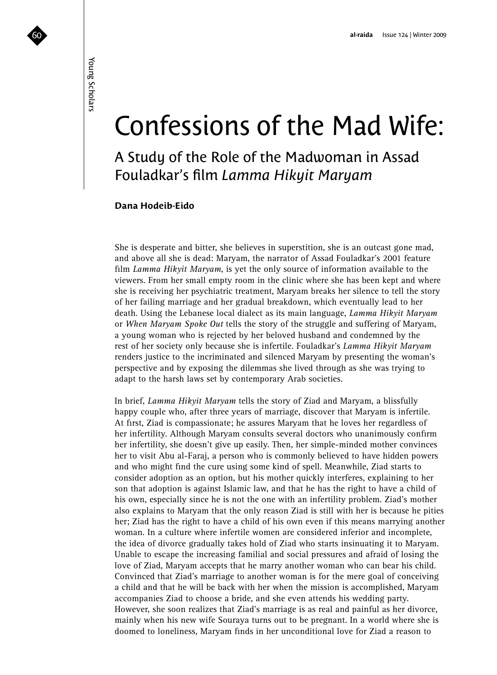## Confessions of the Mad Wife:

A Study of the Role of the Madwoman in Assad Fouladkar's film *Lamma Hikyit Maryam*

#### **Dana Hodeib-Eido**

She is desperate and bitter, she believes in superstition, she is an outcast gone mad, and above all she is dead: Maryam, the narrator of Assad Fouladkar's 2001 feature film *Lamma Hikyit Maryam*, is yet the only source of information available to the viewers. From her small empty room in the clinic where she has been kept and where she is receiving her psychiatric treatment, Maryam breaks her silence to tell the story of her failing marriage and her gradual breakdown, which eventually lead to her death. Using the Lebanese local dialect as its main language, *Lamma Hikyit Maryam* or *When Maryam Spoke Out* tells the story of the struggle and suffering of Maryam, a young woman who is rejected by her beloved husband and condemned by the rest of her society only because she is infertile. Fouladkar's *Lamma Hikyit Maryam* renders justice to the incriminated and silenced Maryam by presenting the woman's perspective and by exposing the dilemmas she lived through as she was trying to adapt to the harsh laws set by contemporary Arab societies.

In brief, *Lamma Hikyit Maryam* tells the story of Ziad and Maryam, a blissfully happy couple who, after three years of marriage, discover that Maryam is infertile. At first, Ziad is compassionate; he assures Maryam that he loves her regardless of her infertility. Although Maryam consults several doctors who unanimously confirm her infertility, she doesn't give up easily. Then, her simple-minded mother convinces her to visit Abu al-Faraj, a person who is commonly believed to have hidden powers and who might find the cure using some kind of spell. Meanwhile, Ziad starts to consider adoption as an option, but his mother quickly interferes, explaining to her son that adoption is against Islamic law, and that he has the right to have a child of his own, especially since he is not the one with an infertility problem. Ziad's mother also explains to Maryam that the only reason Ziad is still with her is because he pities her; Ziad has the right to have a child of his own even if this means marrying another woman. In a culture where infertile women are considered inferior and incomplete, the idea of divorce gradually takes hold of Ziad who starts insinuating it to Maryam. Unable to escape the increasing familial and social pressures and afraid of losing the love of Ziad, Maryam accepts that he marry another woman who can bear his child. Convinced that Ziad's marriage to another woman is for the mere goal of conceiving a child and that he will be back with her when the mission is accomplished, Maryam accompanies Ziad to choose a bride, and she even attends his wedding party. However, she soon realizes that Ziad's marriage is as real and painful as her divorce, mainly when his new wife Souraya turns out to be pregnant. In a world where she is doomed to loneliness, Maryam finds in her unconditional love for Ziad a reason to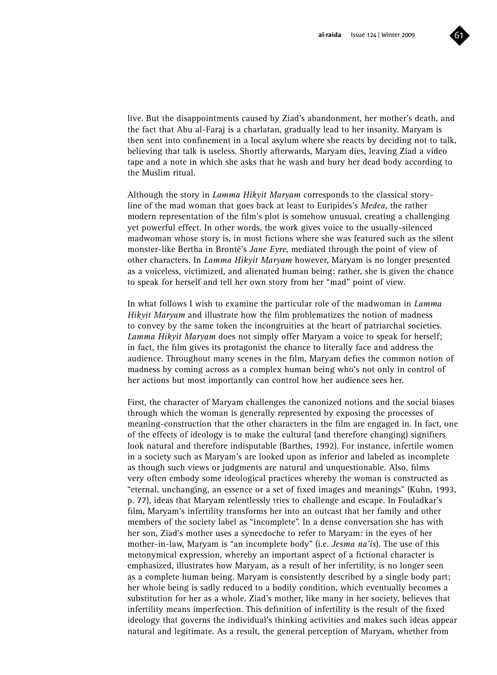

live. But the disappointments caused by Ziad's abandonment, her mother's death, and the fact that Abu al-Faraj is a charlatan, gradually lead to her insanity. Maryam is then sent into confinement in a local asylum where she reacts by deciding not to talk, believing that talk is useless. Shortly afterwards, Maryam dies, leaving Ziad a video tape and a note in which she asks that he wash and bury her dead body according to the Muslim ritual.

Although the story in *Lamma Hikyit Maryam* corresponds to the classical storyline of the mad woman that goes back at least to Euripides's *Medea*, the rather modern representation of the film's plot is somehow unusual, creating a challenging yet powerful effect. In other words, the work gives voice to the usually-silenced madwoman whose story is, in most fictions where she was featured such as the silent monster-like Bertha in Brontë's *Jane Eyre*, mediated through the point of view of other characters. In *Lamma Hikyit Maryam* however, Maryam is no longer presented as a voiceless, victimized, and alienated human being; rather, she is given the chance to speak for herself and tell her own story from her "mad" point of view.

In what follows I wish to examine the particular role of the madwoman in *Lamma Hikyit Maryam* and illustrate how the film problematizes the notion of madness to convey by the same token the incongruities at the heart of patriarchal societies. *Lamma Hikyit Maryam* does not simply offer Maryam a voice to speak for herself; in fact, the film gives its protagonist the chance to literally face and address the audience. Throughout many scenes in the film, Maryam defies the common notion of madness by coming across as a complex human being who's not only in control of her actions but most importantly can control how her audience sees her.

First, the character of Maryam challenges the canonized notions and the social biases through which the woman is generally represented by exposing the processes of meaning-construction that the other characters in the film are engaged in. In fact, one of the effects of ideology is to make the cultural (and therefore changing) signifiers look natural and therefore indisputable (Barthes, 1992). For instance, infertile women in a society such as Maryam's are looked upon as inferior and labeled as incomplete as though such views or judgments are natural and unquestionable. Also, films very often embody some ideological practices whereby the woman is constructed as "eternal, unchanging, an essence or a set of fixed images and meanings" (Kuhn, 1993, p. 77), ideas that Maryam relentlessly tries to challenge and escape. In Fouladkar's film, Maryam's infertility transforms her into an outcast that her family and other members of the society label as "incomplete". In a dense conversation she has with her son, Ziad's mother uses a synecdoche to refer to Maryam: in the eyes of her mother-in-law, Maryam is "an incomplete body" (i.e. *Jesma na'is*). The use of this metonymical expression, whereby an important aspect of a fictional character is emphasized, illustrates how Maryam, as a result of her infertility, is no longer seen as a complete human being. Maryam is consistently described by a single body part; her whole being is sadly reduced to a bodily condition, which eventually becomes a substitution for her as a whole. Ziad's mother, like many in her society, believes that infertility means imperfection. This definition of infertility is the result of the fixed ideology that governs the individual's thinking activities and makes such ideas appear natural and legitimate. As a result, the general perception of Maryam, whether from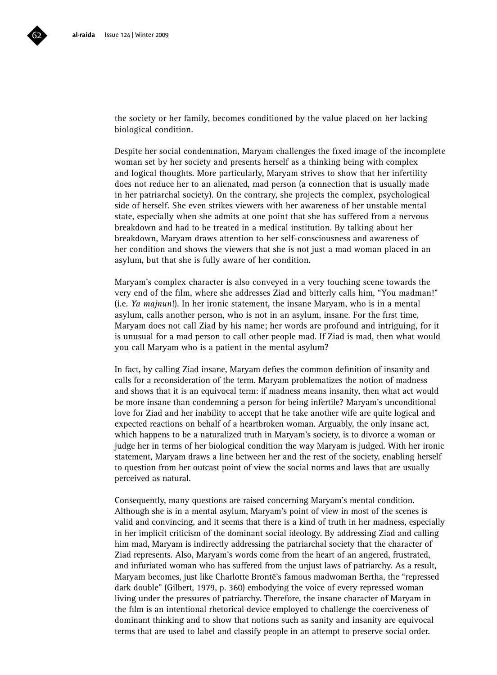

Despite her social condemnation, Maryam challenges the fixed image of the incomplete woman set by her society and presents herself as a thinking being with complex and logical thoughts. More particularly, Maryam strives to show that her infertility does not reduce her to an alienated, mad person (a connection that is usually made in her patriarchal society). On the contrary, she projects the complex, psychological side of herself. She even strikes viewers with her awareness of her unstable mental state, especially when she admits at one point that she has suffered from a nervous breakdown and had to be treated in a medical institution. By talking about her breakdown, Maryam draws attention to her self-consciousness and awareness of her condition and shows the viewers that she is not just a mad woman placed in an asylum, but that she is fully aware of her condition.

Maryam's complex character is also conveyed in a very touching scene towards the very end of the film, where she addresses Ziad and bitterly calls him, "You madman!" (i.e. *Ya majnun*!). In her ironic statement, the insane Maryam, who is in a mental asylum, calls another person, who is not in an asylum, insane. For the first time, Maryam does not call Ziad by his name; her words are profound and intriguing, for it is unusual for a mad person to call other people mad. If Ziad is mad, then what would you call Maryam who is a patient in the mental asylum?

In fact, by calling Ziad insane, Maryam defies the common definition of insanity and calls for a reconsideration of the term. Maryam problematizes the notion of madness and shows that it is an equivocal term: if madness means insanity, then what act would be more insane than condemning a person for being infertile? Maryam's unconditional love for Ziad and her inability to accept that he take another wife are quite logical and expected reactions on behalf of a heartbroken woman. Arguably, the only insane act, which happens to be a naturalized truth in Maryam's society, is to divorce a woman or judge her in terms of her biological condition the way Maryam is judged. With her ironic statement, Maryam draws a line between her and the rest of the society, enabling herself to question from her outcast point of view the social norms and laws that are usually perceived as natural.

Consequently, many questions are raised concerning Maryam's mental condition. Although she is in a mental asylum, Maryam's point of view in most of the scenes is valid and convincing, and it seems that there is a kind of truth in her madness, especially in her implicit criticism of the dominant social ideology. By addressing Ziad and calling him mad, Maryam is indirectly addressing the patriarchal society that the character of Ziad represents. Also, Maryam's words come from the heart of an angered, frustrated, and infuriated woman who has suffered from the unjust laws of patriarchy. As a result, Maryam becomes, just like Charlotte Brontë's famous madwoman Bertha, the "repressed dark double" (Gilbert, 1979, p. 360) embodying the voice of every repressed woman living under the pressures of patriarchy. Therefore, the insane character of Maryam in the film is an intentional rhetorical device employed to challenge the coerciveness of dominant thinking and to show that notions such as sanity and insanity are equivocal terms that are used to label and classify people in an attempt to preserve social order.

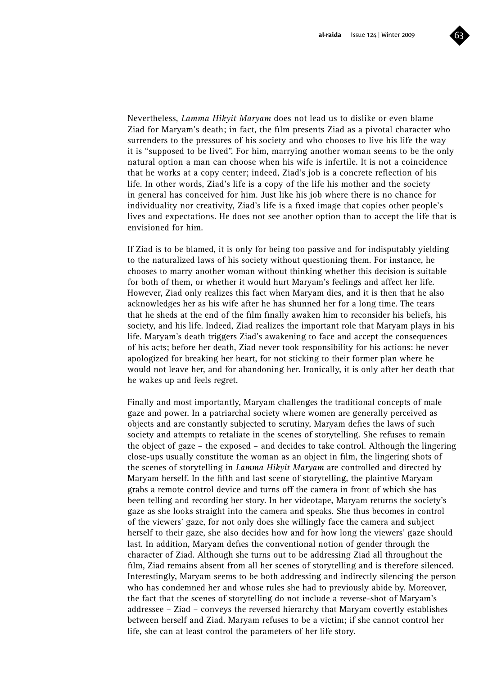

Nevertheless, *Lamma Hikyit Maryam* does not lead us to dislike or even blame Ziad for Maryam's death; in fact, the film presents Ziad as a pivotal character who surrenders to the pressures of his society and who chooses to live his life the way it is "supposed to be lived". For him, marrying another woman seems to be the only natural option a man can choose when his wife is infertile. It is not a coincidence that he works at a copy center; indeed, Ziad's job is a concrete reflection of his life. In other words, Ziad's life is a copy of the life his mother and the society in general has conceived for him. Just like his job where there is no chance for individuality nor creativity, Ziad's life is a fixed image that copies other people's lives and expectations. He does not see another option than to accept the life that is envisioned for him.

If Ziad is to be blamed, it is only for being too passive and for indisputably yielding to the naturalized laws of his society without questioning them. For instance, he chooses to marry another woman without thinking whether this decision is suitable for both of them, or whether it would hurt Maryam's feelings and affect her life. However, Ziad only realizes this fact when Maryam dies, and it is then that he also acknowledges her as his wife after he has shunned her for a long time. The tears that he sheds at the end of the film finally awaken him to reconsider his beliefs, his society, and his life. Indeed, Ziad realizes the important role that Maryam plays in his life. Maryam's death triggers Ziad's awakening to face and accept the consequences of his acts; before her death, Ziad never took responsibility for his actions: he never apologized for breaking her heart, for not sticking to their former plan where he would not leave her, and for abandoning her. Ironically, it is only after her death that he wakes up and feels regret.

Finally and most importantly, Maryam challenges the traditional concepts of male gaze and power. In a patriarchal society where women are generally perceived as objects and are constantly subjected to scrutiny, Maryam defies the laws of such society and attempts to retaliate in the scenes of storytelling. She refuses to remain the object of gaze – the exposed – and decides to take control. Although the lingering close-ups usually constitute the woman as an object in film, the lingering shots of the scenes of storytelling in *Lamma Hikyit Maryam* are controlled and directed by Maryam herself. In the fifth and last scene of storytelling, the plaintive Maryam grabs a remote control device and turns off the camera in front of which she has been telling and recording her story. In her videotape, Maryam returns the society's gaze as she looks straight into the camera and speaks. She thus becomes in control of the viewers' gaze, for not only does she willingly face the camera and subject herself to their gaze, she also decides how and for how long the viewers' gaze should last. In addition, Maryam defies the conventional notion of gender through the character of Ziad. Although she turns out to be addressing Ziad all throughout the film, Ziad remains absent from all her scenes of storytelling and is therefore silenced. Interestingly, Maryam seems to be both addressing and indirectly silencing the person who has condemned her and whose rules she had to previously abide by. Moreover, the fact that the scenes of storytelling do not include a reverse-shot of Maryam's addressee – Ziad – conveys the reversed hierarchy that Maryam covertly establishes between herself and Ziad. Maryam refuses to be a victim; if she cannot control her life, she can at least control the parameters of her life story.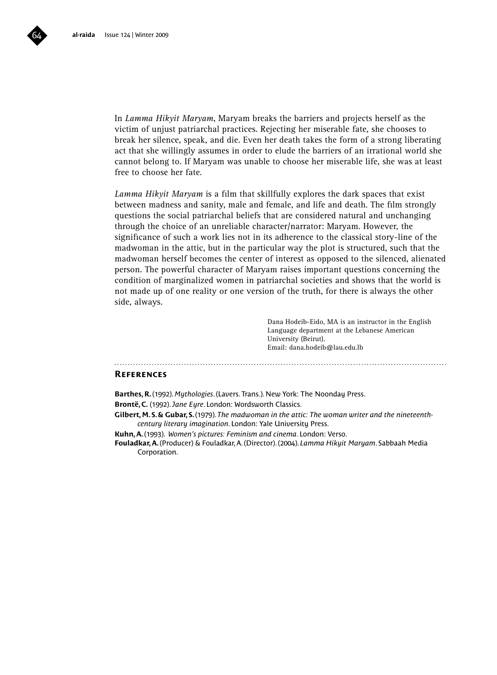

*Lamma Hikyit Maryam* is a film that skillfully explores the dark spaces that exist between madness and sanity, male and female, and life and death. The film strongly questions the social patriarchal beliefs that are considered natural and unchanging through the choice of an unreliable character/narrator: Maryam. However, the significance of such a work lies not in its adherence to the classical story-line of the madwoman in the attic, but in the particular way the plot is structured, such that the madwoman herself becomes the center of interest as opposed to the silenced, alienated person. The powerful character of Maryam raises important questions concerning the condition of marginalized women in patriarchal societies and shows that the world is not made up of one reality or one version of the truth, for there is always the other side, always.

> Dana Hodeib-Eido, MA is an instructor in the English Language department at the Lebanese American University (Beirut). Email: dana.hodeib@lau.edu.lb

#### **References**

**Barthes, R.** (1992). *Mythologies*. (Lavers. Trans.). New York: The Noonday Press.

**Brontë, C.** (1992). *Jane Eyre*. London: Wordsworth Classics.

**Gilbert, M. S. & Gubar, S.** (1979). *The madwoman in the attic: The woman writer and the nineteenthcentury literary imagination*. London: Yale University Press.

**Kuhn, A.** (1993). *Women's pictures: Feminism and cinema*. London: Verso.

**Fouladkar, A.** (Producer) & Fouladkar, A. (Director). (2004). *Lamma Hikyit Maryam*. Sabbaah Media Corporation.

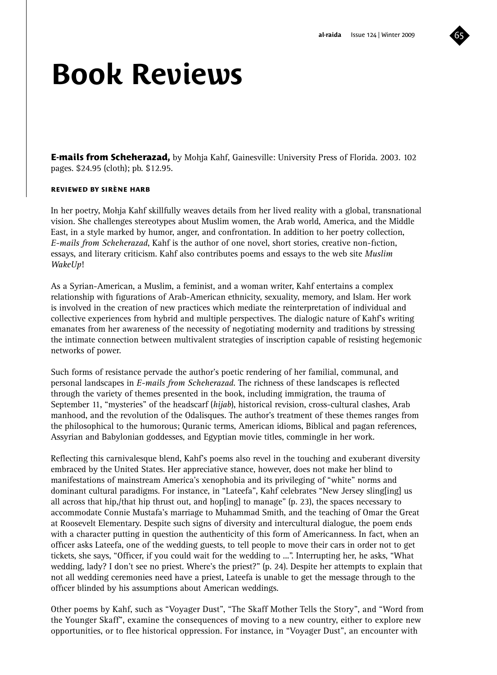

## **Book Reviews**

**E-mails from Scheherazad,** by Mohja Kahf, Gainesville: University Press of Florida. 2003. 102 pages. \$24.95 (cloth); pb. \$12.95.

#### **reviewed by sirène harb**

In her poetry, Mohja Kahf skillfully weaves details from her lived reality with a global, transnational vision. She challenges stereotypes about Muslim women, the Arab world, America, and the Middle East, in a style marked by humor, anger, and confrontation. In addition to her poetry collection, *E-mails from Scheherazad*, Kahf is the author of one novel, short stories, creative non-fiction, essays, and literary criticism. Kahf also contributes poems and essays to the web site *Muslim WakeUp*!

As a Syrian-American, a Muslim, a feminist, and a woman writer, Kahf entertains a complex relationship with figurations of Arab-American ethnicity, sexuality, memory, and Islam. Her work is involved in the creation of new practices which mediate the reinterpretation of individual and collective experiences from hybrid and multiple perspectives. The dialogic nature of Kahf's writing emanates from her awareness of the necessity of negotiating modernity and traditions by stressing the intimate connection between multivalent strategies of inscription capable of resisting hegemonic networks of power.

Such forms of resistance pervade the author's poetic rendering of her familial, communal, and personal landscapes in *E-mails from Scheherazad*. The richness of these landscapes is reflected through the variety of themes presented in the book, including immigration, the trauma of September 11, "mysteries" of the headscarf (*hijab*), historical revision, cross-cultural clashes, Arab manhood, and the revolution of the Odalisques. The author's treatment of these themes ranges from the philosophical to the humorous; Quranic terms, American idioms, Biblical and pagan references, Assyrian and Babylonian goddesses, and Egyptian movie titles, commingle in her work.

Reflecting this carnivalesque blend, Kahf's poems also revel in the touching and exuberant diversity embraced by the United States. Her appreciative stance, however, does not make her blind to manifestations of mainstream America's xenophobia and its privileging of "white" norms and dominant cultural paradigms. For instance, in "Lateefa", Kahf celebrates "New Jersey sling[ing] us all across that hip,/that hip thrust out, and hop[ing] to manage" (p. 23), the spaces necessary to accommodate Connie Mustafa's marriage to Muhammad Smith, and the teaching of Omar the Great at Roosevelt Elementary. Despite such signs of diversity and intercultural dialogue, the poem ends with a character putting in question the authenticity of this form of Americanness. In fact, when an officer asks Lateefa, one of the wedding guests, to tell people to move their cars in order not to get tickets, she says, "Officer, if you could wait for the wedding to ...". Interrupting her, he asks, "What wedding, lady? I don't see no priest. Where's the priest?" (p. 24). Despite her attempts to explain that not all wedding ceremonies need have a priest, Lateefa is unable to get the message through to the officer blinded by his assumptions about American weddings.

Other poems by Kahf, such as "Voyager Dust", "The Skaff Mother Tells the Story", and "Word from the Younger Skaff", examine the consequences of moving to a new country, either to explore new opportunities, or to flee historical oppression. For instance, in "Voyager Dust", an encounter with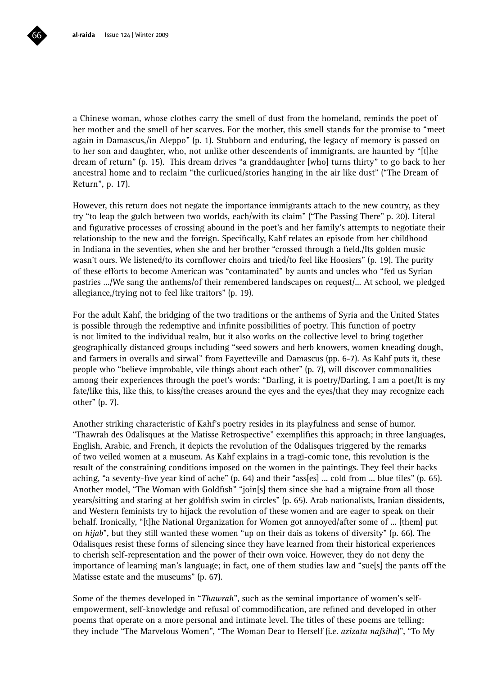a Chinese woman, whose clothes carry the smell of dust from the homeland, reminds the poet of her mother and the smell of her scarves. For the mother, this smell stands for the promise to "meet again in Damascus,/in Aleppo" (p. 1). Stubborn and enduring, the legacy of memory is passed on to her son and daughter, who, not unlike other descendents of immigrants, are haunted by "[t]he dream of return" (p. 15). This dream drives "a granddaughter [who] turns thirty" to go back to her ancestral home and to reclaim "the curlicued/stories hanging in the air like dust" ("The Dream of Return", p. 17).

However, this return does not negate the importance immigrants attach to the new country, as they try "to leap the gulch between two worlds, each/with its claim" ("The Passing There" p. 20). Literal and figurative processes of crossing abound in the poet's and her family's attempts to negotiate their relationship to the new and the foreign. Specifically, Kahf relates an episode from her childhood in Indiana in the seventies, when she and her brother "crossed through a field./Its golden music wasn't ours. We listened/to its cornflower choirs and tried/to feel like Hoosiers" (p. 19). The purity of these efforts to become American was "contaminated" by aunts and uncles who "fed us Syrian pastries …/We sang the anthems/of their remembered landscapes on request/... At school, we pledged allegiance,/trying not to feel like traitors" (p. 19).

For the adult Kahf, the bridging of the two traditions or the anthems of Syria and the United States is possible through the redemptive and infinite possibilities of poetry. This function of poetry is not limited to the individual realm, but it also works on the collective level to bring together geographically distanced groups including "seed sowers and herb knowers, women kneading dough, and farmers in overalls and sirwal" from Fayetteville and Damascus (pp. 6-7). As Kahf puts it, these people who "believe improbable, vile things about each other" (p. 7), will discover commonalities among their experiences through the poet's words: "Darling, it is poetry/Darling, I am a poet/It is my fate/like this, like this, to kiss/the creases around the eyes and the eyes/that they may recognize each other" (p. 7).

Another striking characteristic of Kahf's poetry resides in its playfulness and sense of humor. "Thawrah des Odalisques at the Matisse Retrospective" exemplifies this approach; in three languages, English, Arabic, and French, it depicts the revolution of the Odalisques triggered by the remarks of two veiled women at a museum. As Kahf explains in a tragi-comic tone, this revolution is the result of the constraining conditions imposed on the women in the paintings. They feel their backs aching, "a seventy-five year kind of ache" (p. 64) and their "ass[es] ... cold from ... blue tiles" (p. 65). Another model, "The Woman with Goldfish" "join[s] them since she had a migraine from all those years/sitting and staring at her goldfish swim in circles" (p. 65). Arab nationalists, Iranian dissidents, and Western feminists try to hijack the revolution of these women and are eager to speak on their behalf. Ironically, "[t]he National Organization for Women got annoyed/after some of ... [them] put on *hijab*", but they still wanted these women "up on their dais as tokens of diversity" (p. 66). The Odalisques resist these forms of silencing since they have learned from their historical experiences to cherish self-representation and the power of their own voice. However, they do not deny the importance of learning man's language; in fact, one of them studies law and "sue[s] the pants off the Matisse estate and the museums" (p. 67).

Some of the themes developed in "*Thawrah*", such as the seminal importance of women's selfempowerment, self-knowledge and refusal of commodification, are refined and developed in other poems that operate on a more personal and intimate level. The titles of these poems are telling; they include "The Marvelous Women", "The Woman Dear to Herself (i.e. *azizatu nafsiha*)", "To My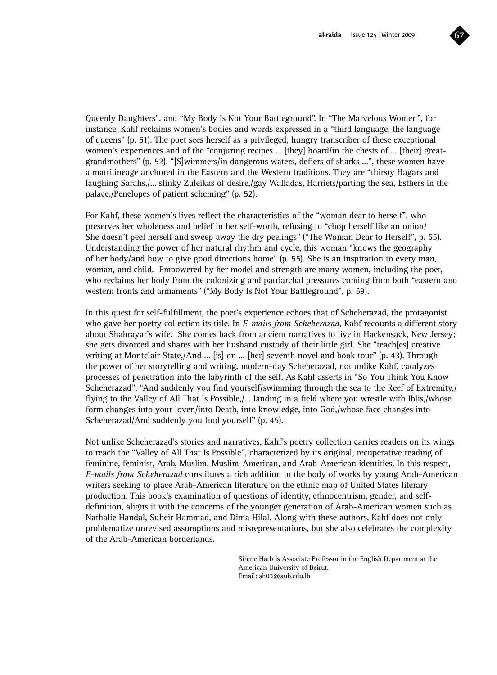

Queenly Daughters", and "My Body Is Not Your Battleground". In "The Marvelous Women", for instance, Kahf reclaims women's bodies and words expressed in a "third language, the language of queens" (p. 51). The poet sees herself as a privileged, hungry transcriber of these exceptional women's experiences and of the "conjuring recipes ... [they] hoard/in the chests of ... [their] greatgrandmothers" (p. 52). "[S]wimmers/in dangerous waters, defiers of sharks ...", these women have a matrilineage anchored in the Eastern and the Western traditions. They are "thirsty Hagars and laughing Sarahs,/... slinky Zuleikas of desire,/gay Walladas, Harriets/parting the sea, Esthers in the palace,/Penelopes of patient scheming" (p. 52).

For Kahf, these women's lives reflect the characteristics of the "woman dear to herself", who preserves her wholeness and belief in her self-worth, refusing to "chop herself like an onion/ She doesn't peel herself and sweep away the dry peelings" ("The Woman Dear to Herself", p. 55). Understanding the power of her natural rhythm and cycle, this woman "knows the geography of her body/and how to give good directions home" (p. 55). She is an inspiration to every man, woman, and child. Empowered by her model and strength are many women, including the poet, who reclaims her body from the colonizing and patriarchal pressures coming from both "eastern and western fronts and armaments" ("My Body Is Not Your Battleground", p. 59).

In this quest for self-fulfillment, the poet's experience echoes that of Scheherazad, the protagonist who gave her poetry collection its title. In *E-mails from Scheherazad*, Kahf recounts a different story about Shahrayar's wife. She comes back from ancient narratives to live in Hackensack, New Jersey; she gets divorced and shares with her husband custody of their little girl. She "teach[es] creative writing at Montclair State,/And … [is] on ... [her] seventh novel and book tour" (p. 43). Through the power of her storytelling and writing, modern-day Scheherazad, not unlike Kahf, catalyzes processes of penetration into the labyrinth of the self. As Kahf asserts in "So You Think You Know Scheherazad", "And suddenly you find yourself/swimming through the sea to the Reef of Extremity,/ flving to the Valley of All That Is Possible,/... landing in a field where you wrestle with Iblis,/whose form changes into your lover,/into Death, into knowledge, into God,/whose face changes into Scheherazad/And suddenly you find yourself" (p. 45).

Not unlike Scheherazad's stories and narratives, Kahf's poetry collection carries readers on its wings to reach the "Valley of All That Is Possible", characterized by its original, recuperative reading of feminine, feminist, Arab, Muslim, Muslim-American, and Arab-American identities. In this respect, *E-mails from Scheherazad* constitutes a rich addition to the body of works by young Arab-American writers seeking to place Arab-American literature on the ethnic map of United States literary production. This book's examination of questions of identity, ethnocentrism, gender, and selfdefinition, aligns it with the concerns of the younger generation of Arab-American women such as Nathalie Handal, Suheir Hammad, and Dima Hilal. Along with these authors, Kahf does not only problematize unrevised assumptions and misrepresentations, but she also celebrates the complexity of the Arab-American borderlands.

> Sirène Harb is Associate Professor in the English Department at the American University of Beirut. Email: sh03@aub.edu.lb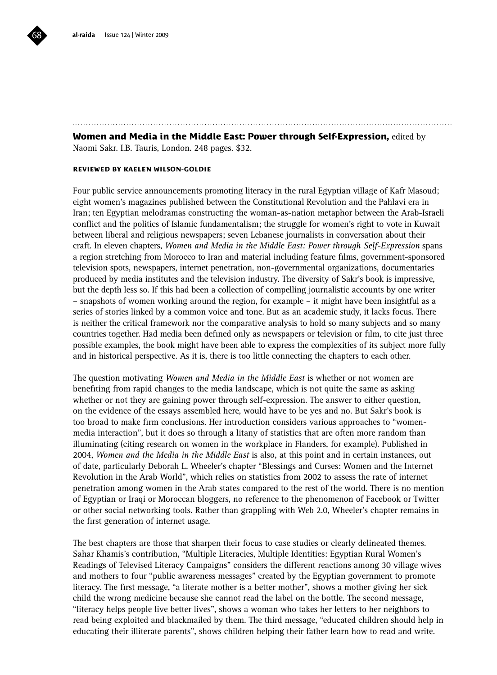

#### **Women and Media in the Middle East: Power through Self-Expression,** edited by Naomi Sakr. I.B. Tauris, London. 248 pages. \$32.

#### **reviewed by kaelen wilson-goldie**

Four public service announcements promoting literacy in the rural Egyptian village of Kafr Masoud; eight women's magazines published between the Constitutional Revolution and the Pahlavi era in Iran; ten Egyptian melodramas constructing the woman-as-nation metaphor between the Arab-Israeli conflict and the politics of Islamic fundamentalism; the struggle for women's right to vote in Kuwait between liberal and religious newspapers; seven Lebanese journalists in conversation about their craft. In eleven chapters, *Women and Media in the Middle East: Power through Self-Expression* spans a region stretching from Morocco to Iran and material including feature films, government-sponsored television spots, newspapers, internet penetration, non-governmental organizations, documentaries produced by media institutes and the television industry. The diversity of Sakr's book is impressive, but the depth less so. If this had been a collection of compelling journalistic accounts by one writer – snapshots of women working around the region, for example – it might have been insightful as a series of stories linked by a common voice and tone. But as an academic study, it lacks focus. There is neither the critical framework nor the comparative analysis to hold so many subjects and so many countries together. Had media been defined only as newspapers or television or film, to cite just three possible examples, the book might have been able to express the complexities of its subject more fully and in historical perspective. As it is, there is too little connecting the chapters to each other.

The question motivating *Women and Media in the Middle East* is whether or not women are benefiting from rapid changes to the media landscape, which is not quite the same as asking whether or not they are gaining power through self-expression. The answer to either question, on the evidence of the essays assembled here, would have to be yes and no. But Sakr's book is too broad to make firm conclusions. Her introduction considers various approaches to "womenmedia interaction", but it does so through a litany of statistics that are often more random than illuminating (citing research on women in the workplace in Flanders, for example). Published in 2004, *Women and the Media in the Middle East* is also, at this point and in certain instances, out of date, particularly Deborah L. Wheeler's chapter "Blessings and Curses: Women and the Internet Revolution in the Arab World", which relies on statistics from 2002 to assess the rate of internet penetration among women in the Arab states compared to the rest of the world. There is no mention of Egyptian or Iraqi or Moroccan bloggers, no reference to the phenomenon of Facebook or Twitter or other social networking tools. Rather than grappling with Web 2.0, Wheeler's chapter remains in the first generation of internet usage.

The best chapters are those that sharpen their focus to case studies or clearly delineated themes. Sahar Khamis's contribution, "Multiple Literacies, Multiple Identities: Egyptian Rural Women's Readings of Televised Literacy Campaigns" considers the different reactions among 30 village wives and mothers to four "public awareness messages" created by the Egyptian government to promote literacy. The first message, "a literate mother is a better mother", shows a mother giving her sick child the wrong medicine because she cannot read the label on the bottle. The second message, "literacy helps people live better lives", shows a woman who takes her letters to her neighbors to read being exploited and blackmailed by them. The third message, "educated children should help in educating their illiterate parents", shows children helping their father learn how to read and write.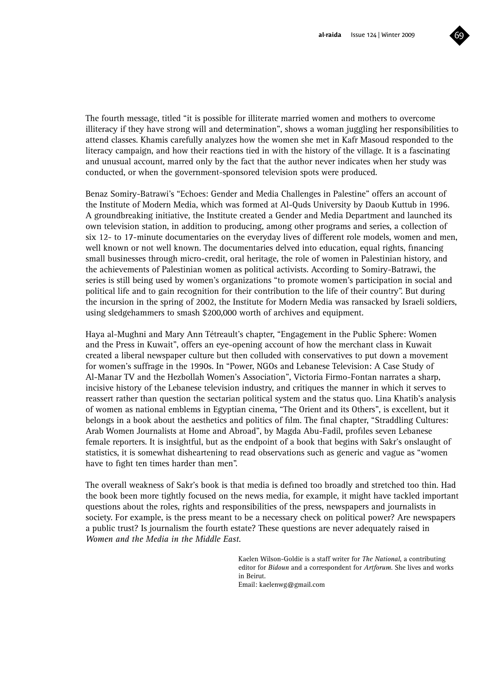

The fourth message, titled "it is possible for illiterate married women and mothers to overcome illiteracy if they have strong will and determination", shows a woman juggling her responsibilities to attend classes. Khamis carefully analyzes how the women she met in Kafr Masoud responded to the literacy campaign, and how their reactions tied in with the history of the village. It is a fascinating and unusual account, marred only by the fact that the author never indicates when her study was conducted, or when the government-sponsored television spots were produced.

Benaz Somiry-Batrawi's "Echoes: Gender and Media Challenges in Palestine" offers an account of the Institute of Modern Media, which was formed at Al-Quds University by Daoub Kuttub in 1996. A groundbreaking initiative, the Institute created a Gender and Media Department and launched its own television station, in addition to producing, among other programs and series, a collection of six 12- to 17-minute documentaries on the everyday lives of different role models, women and men, well known or not well known. The documentaries delved into education, equal rights, financing small businesses through micro-credit, oral heritage, the role of women in Palestinian history, and the achievements of Palestinian women as political activists. According to Somiry-Batrawi, the series is still being used by women's organizations "to promote women's participation in social and political life and to gain recognition for their contribution to the life of their country". But during the incursion in the spring of 2002, the Institute for Modern Media was ransacked by Israeli soldiers, using sledgehammers to smash \$200,000 worth of archives and equipment.

Haya al-Mughni and Mary Ann Tétreault's chapter, "Engagement in the Public Sphere: Women and the Press in Kuwait", offers an eye-opening account of how the merchant class in Kuwait created a liberal newspaper culture but then colluded with conservatives to put down a movement for women's suffrage in the 1990s. In "Power, NGOs and Lebanese Television: A Case Study of Al-Manar TV and the Hezbollah Women's Association", Victoria Firmo-Fontan narrates a sharp, incisive history of the Lebanese television industry, and critiques the manner in which it serves to reassert rather than question the sectarian political system and the status quo. Lina Khatib's analysis of women as national emblems in Egyptian cinema, "The Orient and its Others", is excellent, but it belongs in a book about the aesthetics and politics of film. The final chapter, "Straddling Cultures: Arab Women Journalists at Home and Abroad", by Magda Abu-Fadil, profiles seven Lebanese female reporters. It is insightful, but as the endpoint of a book that begins with Sakr's onslaught of statistics, it is somewhat disheartening to read observations such as generic and vague as "women have to fight ten times harder than men".

The overall weakness of Sakr's book is that media is defined too broadly and stretched too thin. Had the book been more tightly focused on the news media, for example, it might have tackled important questions about the roles, rights and responsibilities of the press, newspapers and journalists in society. For example, is the press meant to be a necessary check on political power? Are newspapers a public trust? Is journalism the fourth estate? These questions are never adequately raised in *Women and the Media in the Middle East*.

> Kaelen Wilson-Goldie is a staff writer for *The National*, a contributing editor for *Bidoun* and a correspondent for *Artforum*. She lives and works in Beirut. Email: kaelenwg@gmail.com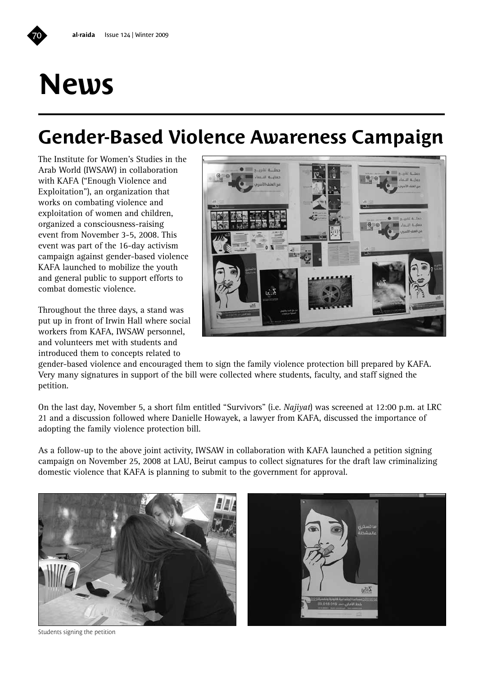## **News**

### **Gender-Based Violence Awareness Campaign**

The Institute for Women's Studies in the Arab World (IWSAW) in collaboration with KAFA ("Enough Violence and Exploitation"), an organization that works on combating violence and exploitation of women and children, organized a consciousness-raising event from November 3-5, 2008. This event was part of the 16-day activism campaign against gender-based violence KAFA launched to mobilize the youth and general public to support efforts to combat domestic violence.

Throughout the three days, a stand was put up in front of Irwin Hall where social workers from KAFA, IWSAW personnel, and volunteers met with students and introduced them to concepts related to



gender-based violence and encouraged them to sign the family violence protection bill prepared by KAFA. Very many signatures in support of the bill were collected where students, faculty, and staff signed the petition.

On the last day, November 5, a short film entitled "Survivors" (i.e. *Najiyat*) was screened at 12:00 p.m. at LRC 21 and a discussion followed where Danielle Howayek, a lawyer from KAFA, discussed the importance of adopting the family violence protection bill.

As a follow-up to the above joint activity, IWSAW in collaboration with KAFA launched a petition signing campaign on November 25, 2008 at LAU, Beirut campus to collect signatures for the draft law criminalizing domestic violence that KAFA is planning to submit to the government for approval.





Students signing the petition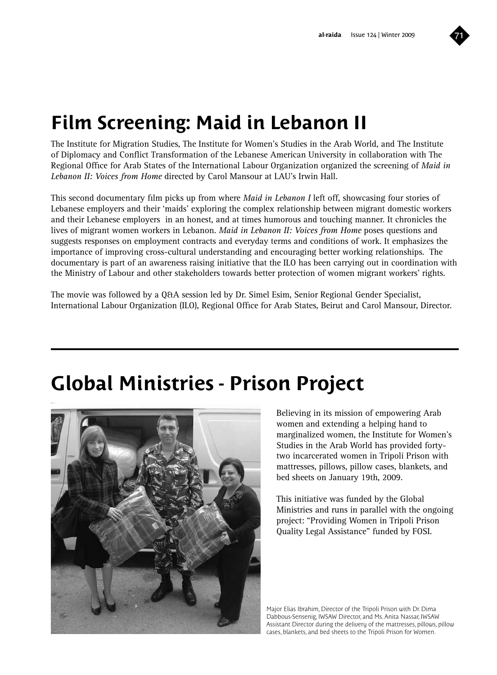

### **Film Screening: Maid in Lebanon II**

The Institute for Migration Studies, The Institute for Women's Studies in the Arab World, and The Institute of Diplomacy and Conflict Transformation of the Lebanese American University in collaboration with The Regional Office for Arab States of the International Labour Organization organized the screening of *Maid in Lebanon II: Voices from Home* directed by Carol Mansour at LAU's Irwin Hall.

This second documentary film picks up from where *Maid in Lebanon I* left off, showcasing four stories of Lebanese employers and their 'maids' exploring the complex relationship between migrant domestic workers and their Lebanese employers in an honest, and at times humorous and touching manner. It chronicles the lives of migrant women workers in Lebanon. *Maid in Lebanon II: Voices from Home* poses questions and suggests responses on employment contracts and everyday terms and conditions of work. It emphasizes the importance of improving cross-cultural understanding and encouraging better working relationships. The documentary is part of an awareness raising initiative that the ILO has been carrying out in coordination with the Ministry of Labour and other stakeholders towards better protection of women migrant workers' rights.

The movie was followed by a Q&A session led by Dr. Simel Esim, Senior Regional Gender Specialist, International Labour Organization (ILO), Regional Office for Arab States, Beirut and Carol Mansour, Director.

### **Global Ministries - Prison Project**



Believing in its mission of empowering Arab women and extending a helping hand to marginalized women, the Institute for Women's Studies in the Arab World has provided fortytwo incarcerated women in Tripoli Prison with mattresses, pillows, pillow cases, blankets, and bed sheets on January 19th, 2009.

This initiative was funded by the Global Ministries and runs in parallel with the ongoing project: "Providing Women in Tripoli Prison Quality Legal Assistance" funded by FOSI.

Major Elias Ibrahim, Director of the Tripoli Prison with Dr. Dima Dabbous-Sensenig, IWSAW Director, and Ms. Anita Nassar, IWSAW Assistant Director during the delivery of the mattresses, pillows, pillow cases, blankets, and bed sheets to the Tripoli Prison for Women.